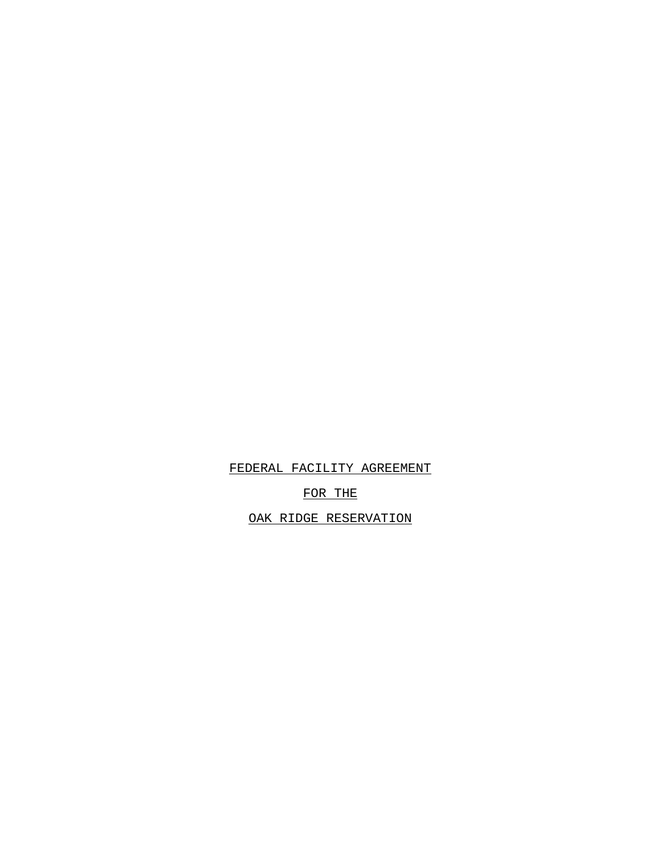FEDERAL FACILITY AGREEMENT

FOR THE

OAK RIDGE RESERVATION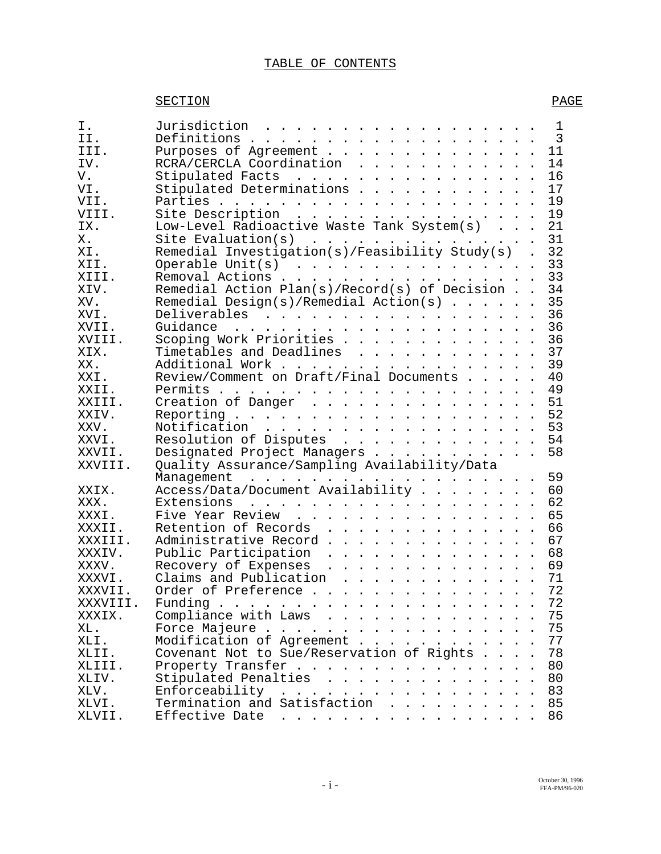## TABLE OF CONTENTS

## SECTION PAGE

| Ι.          | Jurisdiction<br>1<br>$\overline{3}$                                          |
|-------------|------------------------------------------------------------------------------|
| TT.         | 11                                                                           |
| III.<br>IV. | Purposes of Agreement<br>14                                                  |
| V.          | RCRA/CERCLA Coordination<br>16                                               |
|             | Stipulated Facts<br>Stipulated Determinations                                |
| VI.         | 17                                                                           |
| VII.        | 19                                                                           |
| VIII.       | Site Description<br>Low-Level Radioactive Waste Tank System(s)<br>19         |
| IX.         | 21                                                                           |
| Χ.          | 31<br>Site Evaluation(s)<br>Remedial Investigation(s)/Feasibility Study(s) . |
| XI.         | 32                                                                           |
| XII.        | 33<br>Operable Unit(s) $\ldots$ $\ldots$ $\ldots$ $\ldots$ $\ldots$ $\ldots$ |
| XIII.       | 33<br>Removal Actions                                                        |
| XIV.        | Remedial Action Plan(s)/Record(s) of Decision<br>34                          |
| XV.         | Remedial Design(s)/Remedial Action(s)<br>35                                  |
| XVI.        | 36<br>Deliverables                                                           |
| XVII.       | 36                                                                           |
| XVIII.      | Scoping Work Priorities<br>36                                                |
| XIX.        | 37<br>Timetables and Deadlines                                               |
| XX.         | Additional Work<br>39                                                        |
| XXI.        | Review/Comment on Draft/Final Documents<br>40                                |
| XXII.       | 49                                                                           |
| XXIII.      | 51<br>Creation of Danger                                                     |
| XXIV.       | 52                                                                           |
| XXV.        | Notification<br>53                                                           |
| XXVI.       | 54<br>Resolution of Disputes                                                 |
| XXVII.      | 58<br>Designated Project Managers                                            |
| XXVIII.     | Quality Assurance/Sampling Availability/Data                                 |
|             | 59                                                                           |
| XXIX.       | Access/Data/Document Availability<br>60                                      |
| XXX.        | 62                                                                           |
| XXXI.       | Five Year Review<br>65                                                       |
| XXXII.      | Retention of Records<br>66                                                   |
| XXXIII.     | Administrative Record<br>67                                                  |
| XXXIV.      | Public Participation<br>68                                                   |
| XXXV.       | 69<br>Recovery of Expenses                                                   |
| XXXVI.      | Claims and Publication<br>71                                                 |
| XXXVII      | 72<br>Order of Preference                                                    |
| XXXVIII.    | 72<br>Funding                                                                |
| XXXIX.      | Compliance with Laws<br>75                                                   |
| XL.         | 75<br>Force Majeure                                                          |
| XLI.        | Modification of Agreement<br>77                                              |
| XLII.       | Covenant Not to Sue/Reservation of Rights<br>78                              |
| XLIII.      | Property Transfer<br>80                                                      |
| XLIV.       | Stipulated Penalties<br>80                                                   |
| XLV.        | 83                                                                           |
| XLVI.       | 85                                                                           |
| XLVII.      | 86<br>Effective Date                                                         |
|             |                                                                              |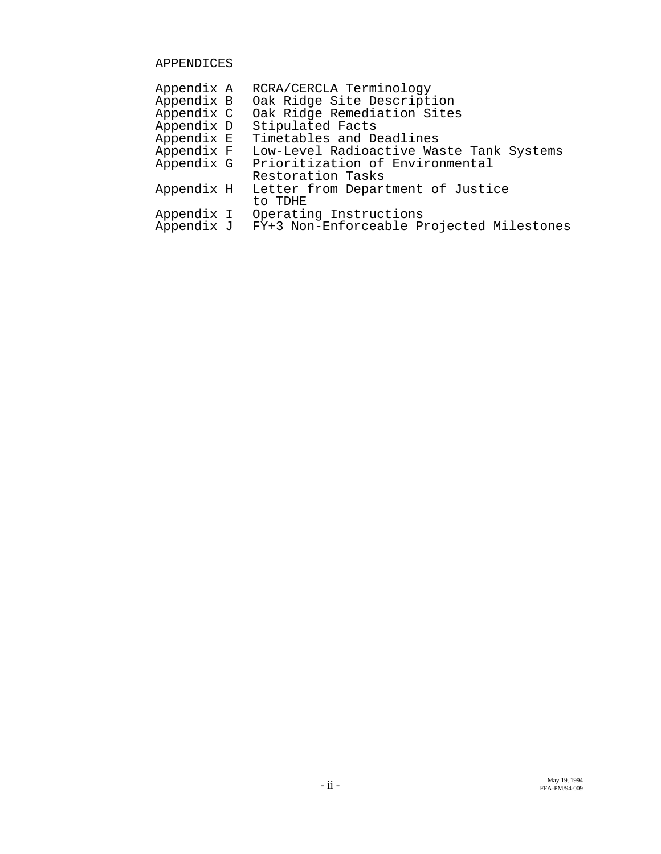## APPENDICES

| Low-Level Radioactive Waste Tank Systems  |
|-------------------------------------------|
|                                           |
|                                           |
|                                           |
|                                           |
|                                           |
| FY+3 Non-Enforceable Projected Milestones |
|                                           |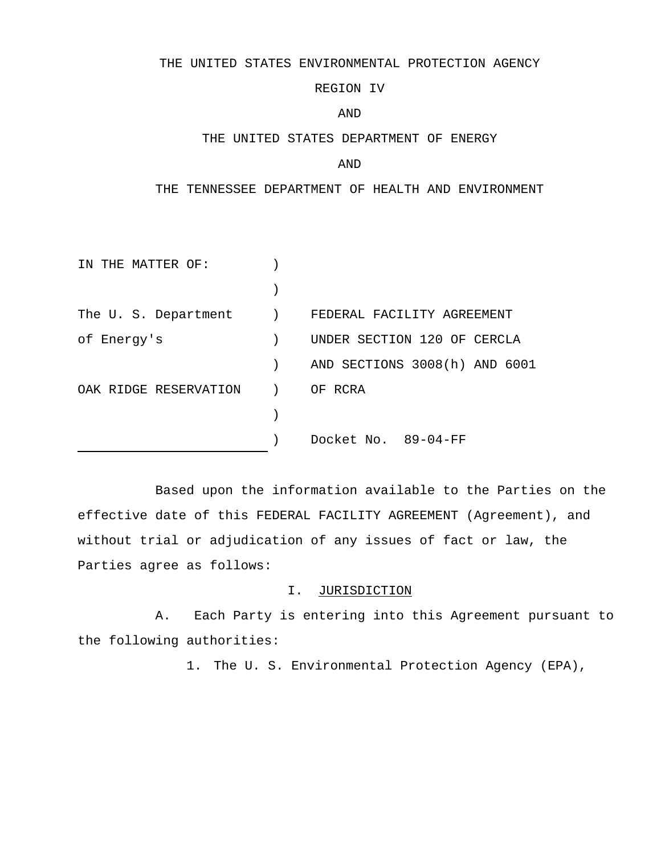#### THE UNITED STATES ENVIRONMENTAL PROTECTION AGENCY

## REGION IV

#### AND

#### THE UNITED STATES DEPARTMENT OF ENERGY

#### AND

### THE TENNESSEE DEPARTMENT OF HEALTH AND ENVIRONMENT

| THE MATTER OF:        |                |                               |
|-----------------------|----------------|-------------------------------|
|                       |                |                               |
| The U. S. Department  | $\overline{a}$ | FEDERAL FACILITY AGREEMENT    |
| of Energy's           |                | UNDER SECTION 120 OF CERCLA   |
|                       |                | AND SECTIONS 3008(h) AND 6001 |
| OAK RIDGE RESERVATION |                | OF RCRA                       |
|                       |                |                               |
|                       |                | Docket No. 89-04-FF           |

Based upon the information available to the Parties on the effective date of this FEDERAL FACILITY AGREEMENT (Agreement), and without trial or adjudication of any issues of fact or law, the Parties agree as follows:

### I. JURISDICTION

A. Each Party is entering into this Agreement pursuant to the following authorities:

1. The U. S. Environmental Protection Agency (EPA),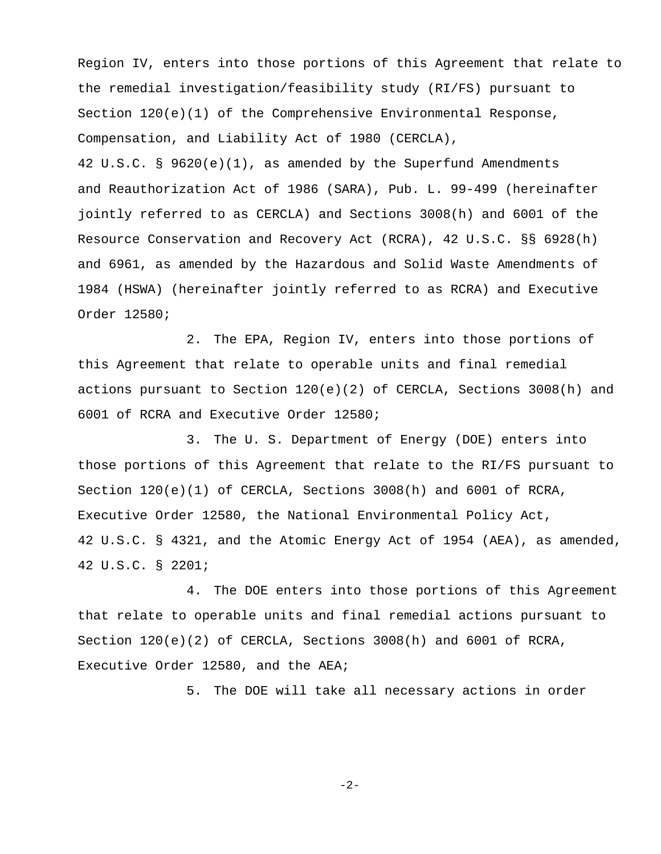Region IV, enters into those portions of this Agreement that relate to the remedial investigation/feasibility study (RI/FS) pursuant to Section  $120(e)(1)$  of the Comprehensive Environmental Response, Compensation, and Liability Act of 1980 (CERCLA),

42 U.S.C. § 9620(e)(1), as amended by the Superfund Amendments and Reauthorization Act of 1986 (SARA), Pub. L. 99-499 (hereinafter jointly referred to as CERCLA) and Sections 3008(h) and 6001 of the Resource Conservation and Recovery Act (RCRA), 42 U.S.C. §§ 6928(h) and 6961, as amended by the Hazardous and Solid Waste Amendments of 1984 (HSWA) (hereinafter jointly referred to as RCRA) and Executive Order 12580;

2. The EPA, Region IV, enters into those portions of this Agreement that relate to operable units and final remedial actions pursuant to Section 120(e)(2) of CERCLA, Sections 3008(h) and 6001 of RCRA and Executive Order 12580;

3. The U. S. Department of Energy (DOE) enters into those portions of this Agreement that relate to the RI/FS pursuant to Section  $120(e)(1)$  of CERCLA, Sections  $3008(h)$  and  $6001$  of RCRA, Executive Order 12580, the National Environmental Policy Act, 42 U.S.C. § 4321, and the Atomic Energy Act of 1954 (AEA), as amended, 42 U.S.C. § 2201;

4. The DOE enters into those portions of this Agreement that relate to operable units and final remedial actions pursuant to Section  $120(e)(2)$  of CERCLA, Sections  $3008(h)$  and  $6001$  of RCRA, Executive Order 12580, and the AEA;

5. The DOE will take all necessary actions in order

 $-2-$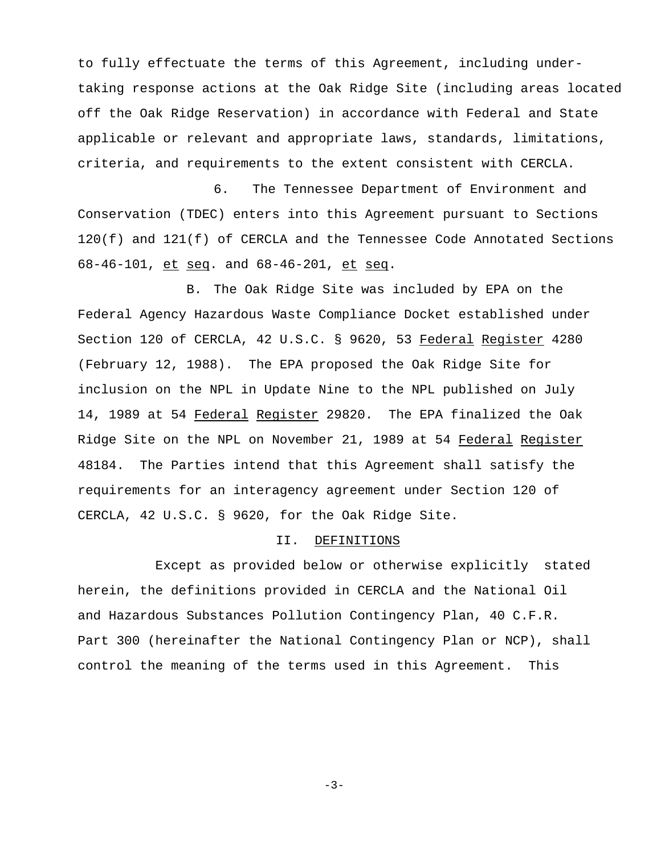to fully effectuate the terms of this Agreement, including undertaking response actions at the Oak Ridge Site (including areas located off the Oak Ridge Reservation) in accordance with Federal and State applicable or relevant and appropriate laws, standards, limitations, criteria, and requirements to the extent consistent with CERCLA.

6. The Tennessee Department of Environment and Conservation (TDEC) enters into this Agreement pursuant to Sections 120(f) and 121(f) of CERCLA and the Tennessee Code Annotated Sections 68-46-101, et seq. and 68-46-201, et seq.

B. The Oak Ridge Site was included by EPA on the Federal Agency Hazardous Waste Compliance Docket established under Section 120 of CERCLA, 42 U.S.C. § 9620, 53 Federal Register 4280 (February 12, 1988). The EPA proposed the Oak Ridge Site for inclusion on the NPL in Update Nine to the NPL published on July 14, 1989 at 54 Federal Register 29820. The EPA finalized the Oak Ridge Site on the NPL on November 21, 1989 at 54 Federal Register 48184. The Parties intend that this Agreement shall satisfy the requirements for an interagency agreement under Section 120 of CERCLA, 42 U.S.C. § 9620, for the Oak Ridge Site.

#### II. DEFINITIONS

Except as provided below or otherwise explicitly stated herein, the definitions provided in CERCLA and the National Oil and Hazardous Substances Pollution Contingency Plan, 40 C.F.R. Part 300 (hereinafter the National Contingency Plan or NCP), shall control the meaning of the terms used in this Agreement. This

 $-3-$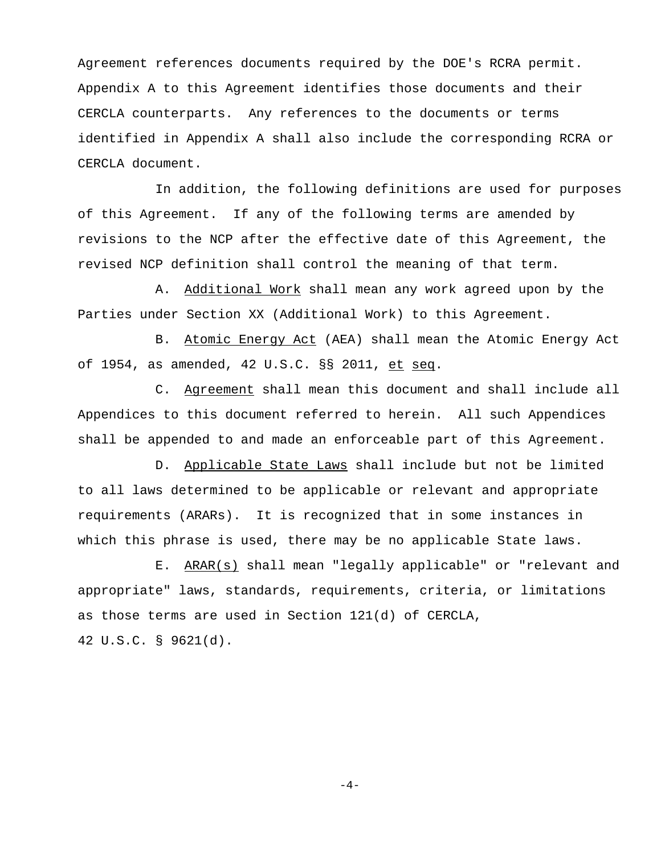Agreement references documents required by the DOE's RCRA permit. Appendix A to this Agreement identifies those documents and their CERCLA counterparts. Any references to the documents or terms identified in Appendix A shall also include the corresponding RCRA or CERCLA document.

In addition, the following definitions are used for purposes of this Agreement. If any of the following terms are amended by revisions to the NCP after the effective date of this Agreement, the revised NCP definition shall control the meaning of that term.

A. Additional Work shall mean any work agreed upon by the Parties under Section XX (Additional Work) to this Agreement.

B. Atomic Energy Act (AEA) shall mean the Atomic Energy Act of 1954, as amended, 42 U.S.C. §§ 2011, et seq.

C. Agreement shall mean this document and shall include all Appendices to this document referred to herein. All such Appendices shall be appended to and made an enforceable part of this Agreement.

D. Applicable State Laws shall include but not be limited to all laws determined to be applicable or relevant and appropriate requirements (ARARs). It is recognized that in some instances in which this phrase is used, there may be no applicable State laws.

E. ARAR(s) shall mean "legally applicable" or "relevant and appropriate" laws, standards, requirements, criteria, or limitations as those terms are used in Section 121(d) of CERCLA, 42 U.S.C. § 9621(d).

 $-4-$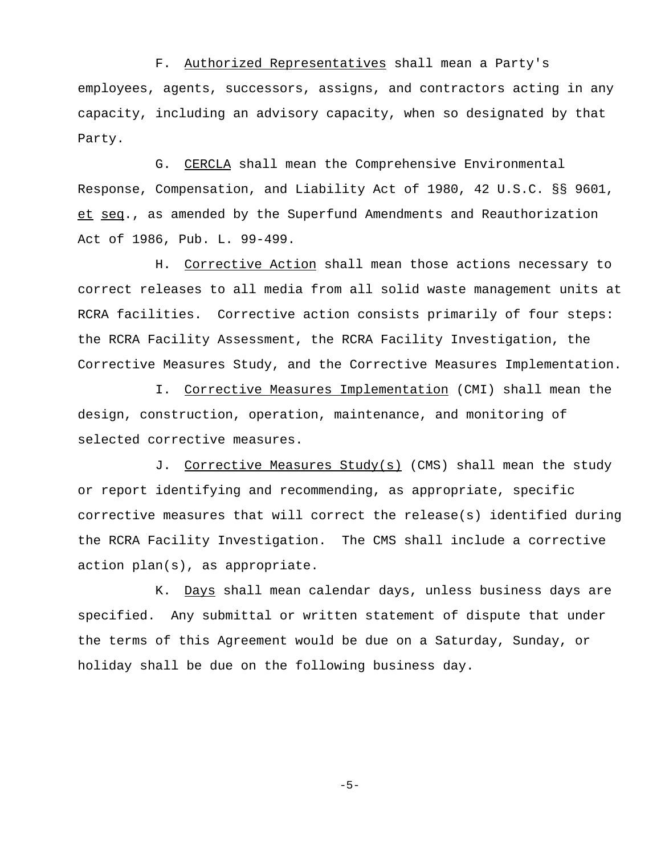F. Authorized Representatives shall mean a Party's employees, agents, successors, assigns, and contractors acting in any capacity, including an advisory capacity, when so designated by that Party.

G. CERCLA shall mean the Comprehensive Environmental Response, Compensation, and Liability Act of 1980, 42 U.S.C. §§ 9601, et seq., as amended by the Superfund Amendments and Reauthorization Act of 1986, Pub. L. 99-499.

H. Corrective Action shall mean those actions necessary to correct releases to all media from all solid waste management units at RCRA facilities. Corrective action consists primarily of four steps: the RCRA Facility Assessment, the RCRA Facility Investigation, the Corrective Measures Study, and the Corrective Measures Implementation.

I. Corrective Measures Implementation (CMI) shall mean the design, construction, operation, maintenance, and monitoring of selected corrective measures.

J. Corrective Measures Study(s) (CMS) shall mean the study or report identifying and recommending, as appropriate, specific corrective measures that will correct the release(s) identified during the RCRA Facility Investigation. The CMS shall include a corrective action plan(s), as appropriate.

K. Days shall mean calendar days, unless business days are specified. Any submittal or written statement of dispute that under the terms of this Agreement would be due on a Saturday, Sunday, or holiday shall be due on the following business day.

 $-5-$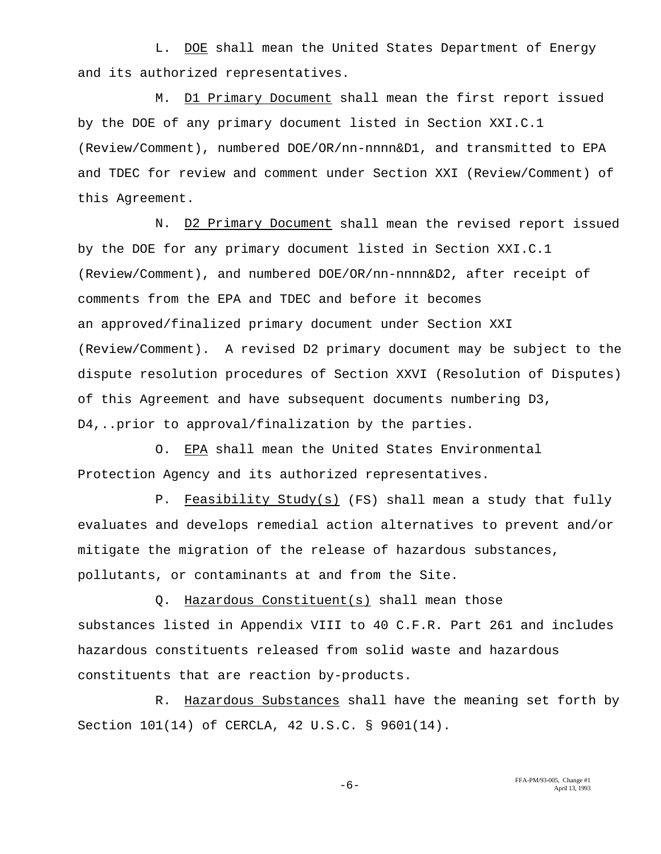L. DOE shall mean the United States Department of Energy and its authorized representatives.

M. D1 Primary Document shall mean the first report issued by the DOE of any primary document listed in Section XXI.C.1 (Review/Comment), numbered DOE/OR/nn-nnnn&D1, and transmitted to EPA and TDEC for review and comment under Section XXI (Review/Comment) of this Agreement.

N. D2 Primary Document shall mean the revised report issued by the DOE for any primary document listed in Section XXI.C.1 (Review/Comment), and numbered DOE/OR/nn-nnnn&D2, after receipt of comments from the EPA and TDEC and before it becomes an approved/finalized primary document under Section XXI (Review/Comment). A revised D2 primary document may be subject to the dispute resolution procedures of Section XXVI (Resolution of Disputes) of this Agreement and have subsequent documents numbering D3, D4,..prior to approval/finalization by the parties.

O. EPA shall mean the United States Environmental Protection Agency and its authorized representatives.

P. Feasibility Study(s) (FS) shall mean a study that fully evaluates and develops remedial action alternatives to prevent and/or mitigate the migration of the release of hazardous substances, pollutants, or contaminants at and from the Site.

Q. Hazardous Constituent(s) shall mean those substances listed in Appendix VIII to 40 C.F.R. Part 261 and includes hazardous constituents released from solid waste and hazardous constituents that are reaction by-products.

R. Hazardous Substances shall have the meaning set forth by Section 101(14) of CERCLA, 42 U.S.C. § 9601(14).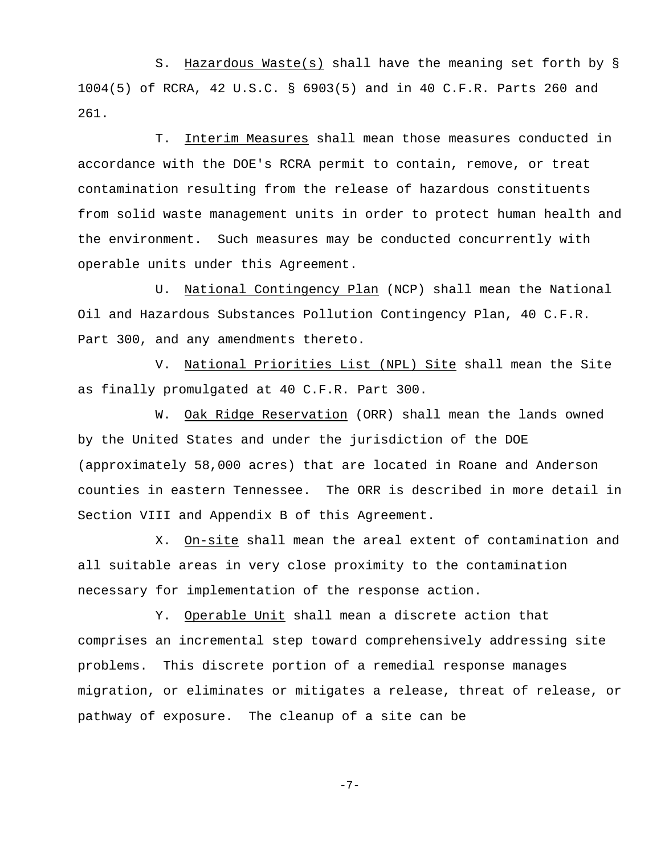S. Hazardous Waste(s) shall have the meaning set forth by § 1004(5) of RCRA, 42 U.S.C. § 6903(5) and in 40 C.F.R. Parts 260 and 261.

T. Interim Measures shall mean those measures conducted in accordance with the DOE's RCRA permit to contain, remove, or treat contamination resulting from the release of hazardous constituents from solid waste management units in order to protect human health and the environment. Such measures may be conducted concurrently with operable units under this Agreement.

U. National Contingency Plan (NCP) shall mean the National Oil and Hazardous Substances Pollution Contingency Plan, 40 C.F.R. Part 300, and any amendments thereto.

V. National Priorities List (NPL) Site shall mean the Site as finally promulgated at 40 C.F.R. Part 300.

W. Oak Ridge Reservation (ORR) shall mean the lands owned by the United States and under the jurisdiction of the DOE (approximately 58,000 acres) that are located in Roane and Anderson counties in eastern Tennessee. The ORR is described in more detail in Section VIII and Appendix B of this Agreement.

X. On-site shall mean the areal extent of contamination and all suitable areas in very close proximity to the contamination necessary for implementation of the response action.

Y. Operable Unit shall mean a discrete action that comprises an incremental step toward comprehensively addressing site problems. This discrete portion of a remedial response manages migration, or eliminates or mitigates a release, threat of release, or pathway of exposure. The cleanup of a site can be

 $-7-$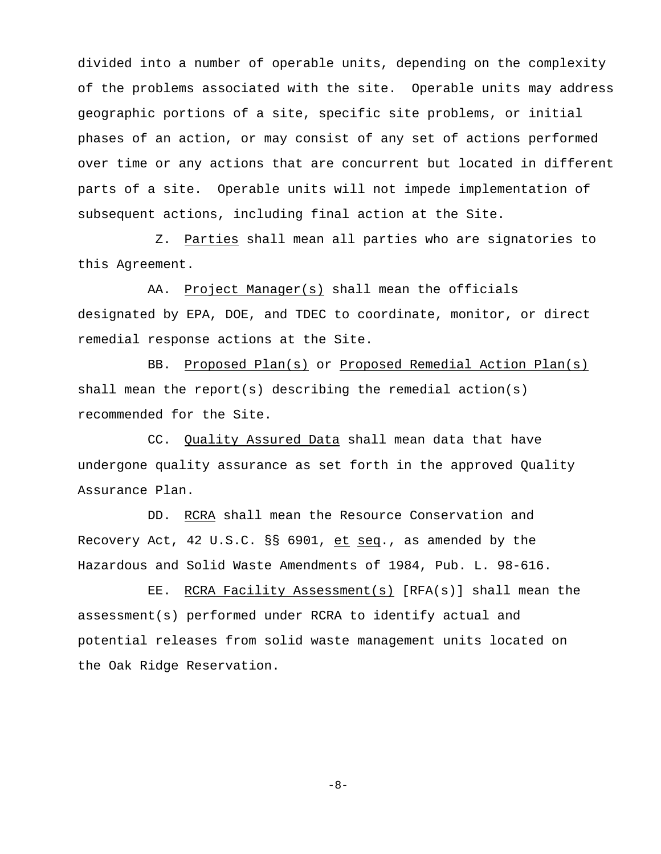divided into a number of operable units, depending on the complexity of the problems associated with the site. Operable units may address geographic portions of a site, specific site problems, or initial phases of an action, or may consist of any set of actions performed over time or any actions that are concurrent but located in different parts of a site. Operable units will not impede implementation of subsequent actions, including final action at the Site.

Z. Parties shall mean all parties who are signatories to this Agreement.

AA. Project Manager(s) shall mean the officials designated by EPA, DOE, and TDEC to coordinate, monitor, or direct remedial response actions at the Site.

BB. Proposed Plan(s) or Proposed Remedial Action Plan(s) shall mean the report(s) describing the remedial action(s) recommended for the Site.

CC. Quality Assured Data shall mean data that have undergone quality assurance as set forth in the approved Quality Assurance Plan.

DD. RCRA shall mean the Resource Conservation and Recovery Act, 42 U.S.C. §§ 6901, et seq., as amended by the Hazardous and Solid Waste Amendments of 1984, Pub. L. 98-616.

EE. RCRA Facility Assessment(s) [RFA(s)] shall mean the assessment(s) performed under RCRA to identify actual and potential releases from solid waste management units located on the Oak Ridge Reservation.

 $-8-$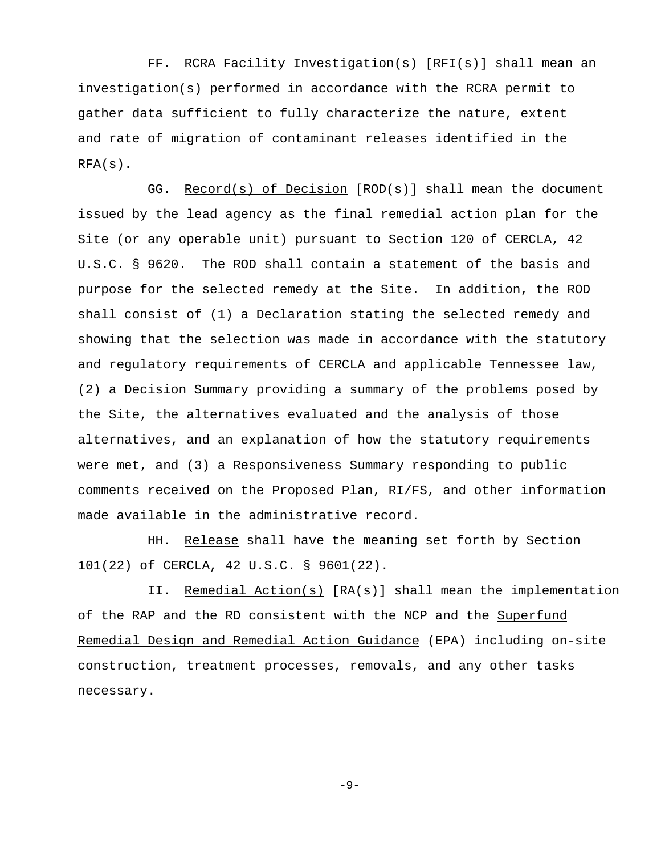FF. RCRA Facility Investigation(s) [RFI(s)] shall mean an investigation(s) performed in accordance with the RCRA permit to gather data sufficient to fully characterize the nature, extent and rate of migration of contaminant releases identified in the  $RFA(s)$ .

GG. Record(s) of Decision [ROD(s)] shall mean the document issued by the lead agency as the final remedial action plan for the Site (or any operable unit) pursuant to Section 120 of CERCLA, 42 U.S.C. § 9620. The ROD shall contain a statement of the basis and purpose for the selected remedy at the Site. In addition, the ROD shall consist of (1) a Declaration stating the selected remedy and showing that the selection was made in accordance with the statutory and regulatory requirements of CERCLA and applicable Tennessee law, (2) a Decision Summary providing a summary of the problems posed by the Site, the alternatives evaluated and the analysis of those alternatives, and an explanation of how the statutory requirements were met, and (3) a Responsiveness Summary responding to public comments received on the Proposed Plan, RI/FS, and other information made available in the administrative record.

HH. Release shall have the meaning set forth by Section 101(22) of CERCLA, 42 U.S.C. § 9601(22).

II. Remedial Action(s) [RA(s)] shall mean the implementation of the RAP and the RD consistent with the NCP and the Superfund Remedial Design and Remedial Action Guidance (EPA) including on-site construction, treatment processes, removals, and any other tasks necessary.

 $-9-$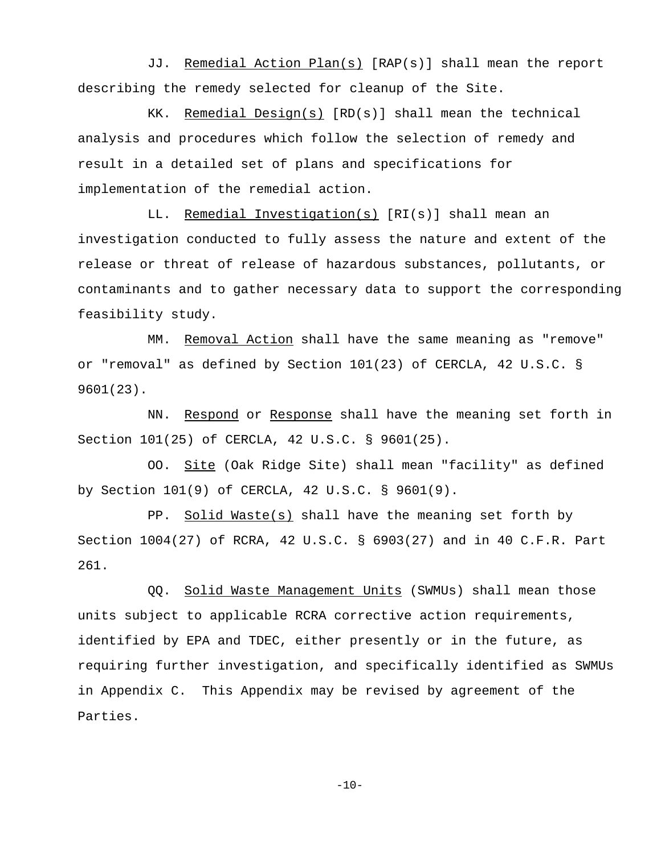JJ. Remedial Action Plan(s) [RAP(s)] shall mean the report describing the remedy selected for cleanup of the Site.

KK. Remedial Design(s) [RD(s)] shall mean the technical analysis and procedures which follow the selection of remedy and result in a detailed set of plans and specifications for implementation of the remedial action.

LL. Remedial Investigation(s) [RI(s)] shall mean an investigation conducted to fully assess the nature and extent of the release or threat of release of hazardous substances, pollutants, or contaminants and to gather necessary data to support the corresponding feasibility study.

MM. Removal Action shall have the same meaning as "remove" or "removal" as defined by Section 101(23) of CERCLA, 42 U.S.C. § 9601(23).

NN. Respond or Response shall have the meaning set forth in Section 101(25) of CERCLA, 42 U.S.C. § 9601(25).

OO. Site (Oak Ridge Site) shall mean "facility" as defined by Section 101(9) of CERCLA, 42 U.S.C. § 9601(9).

PP. Solid Waste(s) shall have the meaning set forth by Section 1004(27) of RCRA, 42 U.S.C. § 6903(27) and in 40 C.F.R. Part 261.

QQ. Solid Waste Management Units (SWMUs) shall mean those units subject to applicable RCRA corrective action requirements, identified by EPA and TDEC, either presently or in the future, as requiring further investigation, and specifically identified as SWMUs in Appendix C. This Appendix may be revised by agreement of the Parties.

 $-10-$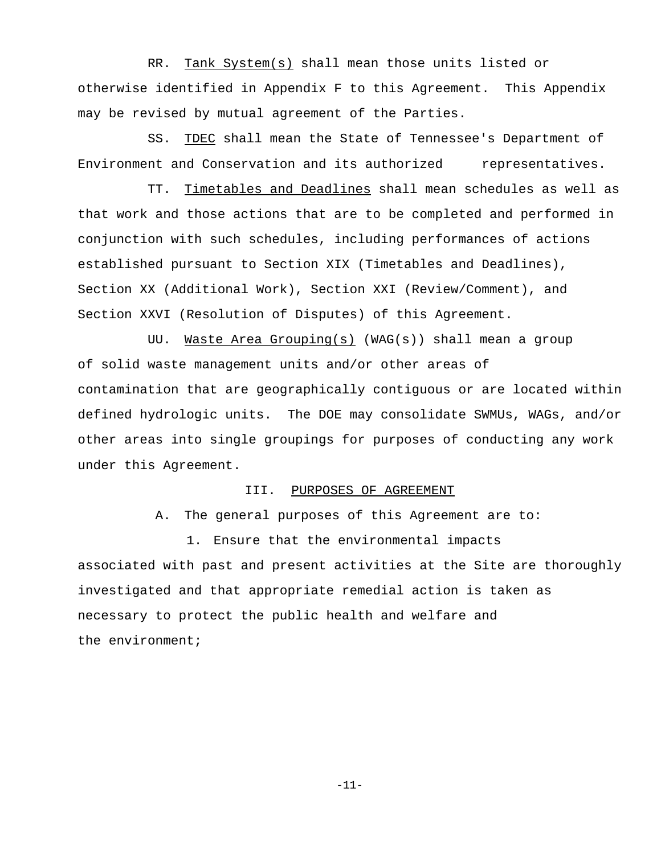RR. Tank System(s) shall mean those units listed or otherwise identified in Appendix F to this Agreement. This Appendix may be revised by mutual agreement of the Parties.

SS. TDEC shall mean the State of Tennessee's Department of Environment and Conservation and its authorized representatives.

TT. Timetables and Deadlines shall mean schedules as well as that work and those actions that are to be completed and performed in conjunction with such schedules, including performances of actions established pursuant to Section XIX (Timetables and Deadlines), Section XX (Additional Work), Section XXI (Review/Comment), and Section XXVI (Resolution of Disputes) of this Agreement.

UU. Waste Area Grouping(s) (WAG(s)) shall mean a group of solid waste management units and/or other areas of contamination that are geographically contiguous or are located within defined hydrologic units. The DOE may consolidate SWMUs, WAGs, and/or other areas into single groupings for purposes of conducting any work under this Agreement.

#### III. PURPOSES OF AGREEMENT

A. The general purposes of this Agreement are to:

1. Ensure that the environmental impacts associated with past and present activities at the Site are thoroughly investigated and that appropriate remedial action is taken as necessary to protect the public health and welfare and the environment;

-11-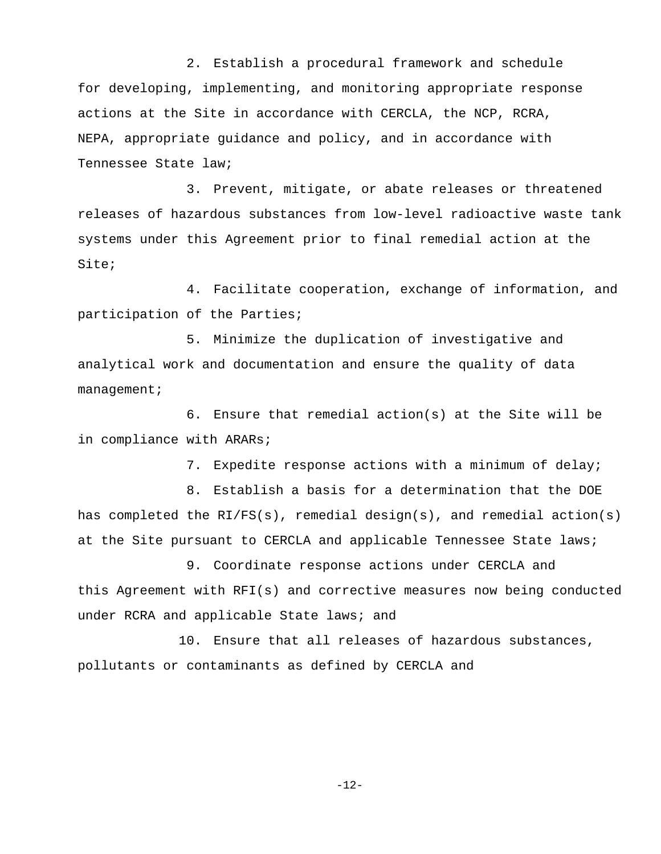2. Establish a procedural framework and schedule for developing, implementing, and monitoring appropriate response actions at the Site in accordance with CERCLA, the NCP, RCRA, NEPA, appropriate guidance and policy, and in accordance with Tennessee State law;

3. Prevent, mitigate, or abate releases or threatened releases of hazardous substances from low-level radioactive waste tank systems under this Agreement prior to final remedial action at the Site;

4. Facilitate cooperation, exchange of information, and participation of the Parties;

5. Minimize the duplication of investigative and analytical work and documentation and ensure the quality of data management;

6. Ensure that remedial action(s) at the Site will be in compliance with ARARs;

7. Expedite response actions with a minimum of delay;

8. Establish a basis for a determination that the DOE has completed the  $RI/FS(s)$ , remedial design(s), and remedial action(s) at the Site pursuant to CERCLA and applicable Tennessee State laws;

9. Coordinate response actions under CERCLA and this Agreement with RFI(s) and corrective measures now being conducted under RCRA and applicable State laws; and

10. Ensure that all releases of hazardous substances, pollutants or contaminants as defined by CERCLA and

-12-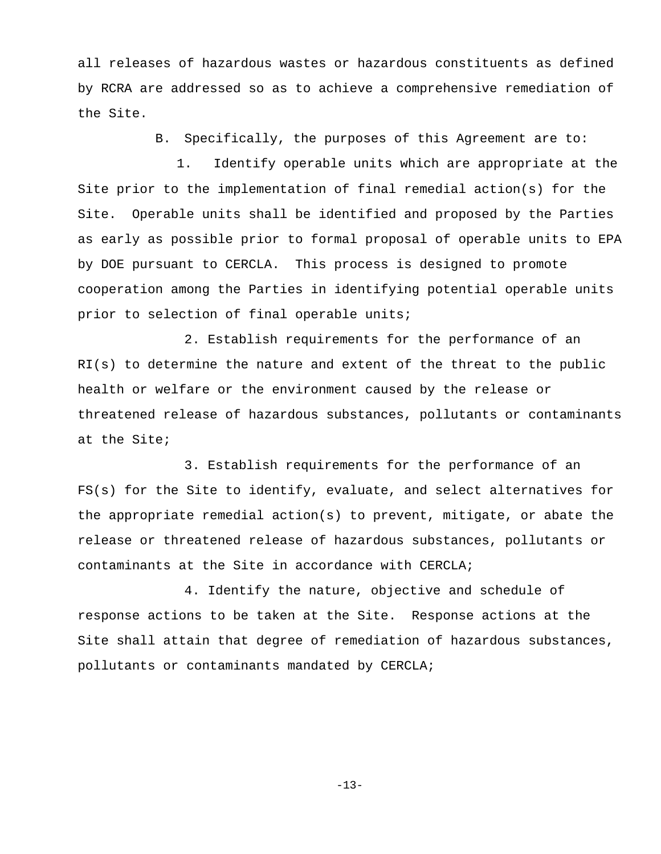all releases of hazardous wastes or hazardous constituents as defined by RCRA are addressed so as to achieve a comprehensive remediation of the Site.

B. Specifically, the purposes of this Agreement are to:

1. Identify operable units which are appropriate at the Site prior to the implementation of final remedial action(s) for the Site. Operable units shall be identified and proposed by the Parties as early as possible prior to formal proposal of operable units to EPA by DOE pursuant to CERCLA. This process is designed to promote cooperation among the Parties in identifying potential operable units prior to selection of final operable units;

2. Establish requirements for the performance of an RI(s) to determine the nature and extent of the threat to the public health or welfare or the environment caused by the release or threatened release of hazardous substances, pollutants or contaminants at the Site;

3. Establish requirements for the performance of an FS(s) for the Site to identify, evaluate, and select alternatives for the appropriate remedial action(s) to prevent, mitigate, or abate the release or threatened release of hazardous substances, pollutants or contaminants at the Site in accordance with CERCLA;

4. Identify the nature, objective and schedule of response actions to be taken at the Site. Response actions at the Site shall attain that degree of remediation of hazardous substances, pollutants or contaminants mandated by CERCLA;

 $-13-$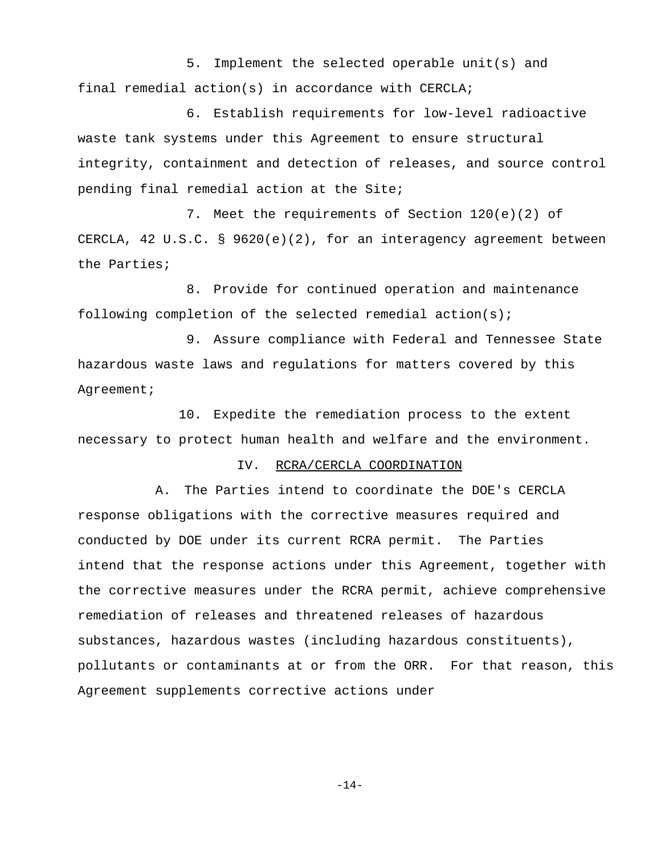5. Implement the selected operable unit(s) and final remedial action(s) in accordance with CERCLA;

6. Establish requirements for low-level radioactive waste tank systems under this Agreement to ensure structural integrity, containment and detection of releases, and source control pending final remedial action at the Site;

7. Meet the requirements of Section 120(e)(2) of CERCLA, 42 U.S.C. § 9620(e)(2), for an interagency agreement between the Parties;

8. Provide for continued operation and maintenance following completion of the selected remedial action(s);

9. Assure compliance with Federal and Tennessee State hazardous waste laws and regulations for matters covered by this Agreement;

10. Expedite the remediation process to the extent necessary to protect human health and welfare and the environment.

#### IV. RCRA/CERCLA COORDINATION

A. The Parties intend to coordinate the DOE's CERCLA response obligations with the corrective measures required and conducted by DOE under its current RCRA permit. The Parties intend that the response actions under this Agreement, together with the corrective measures under the RCRA permit, achieve comprehensive remediation of releases and threatened releases of hazardous substances, hazardous wastes (including hazardous constituents), pollutants or contaminants at or from the ORR. For that reason, this Agreement supplements corrective actions under

 $-14-$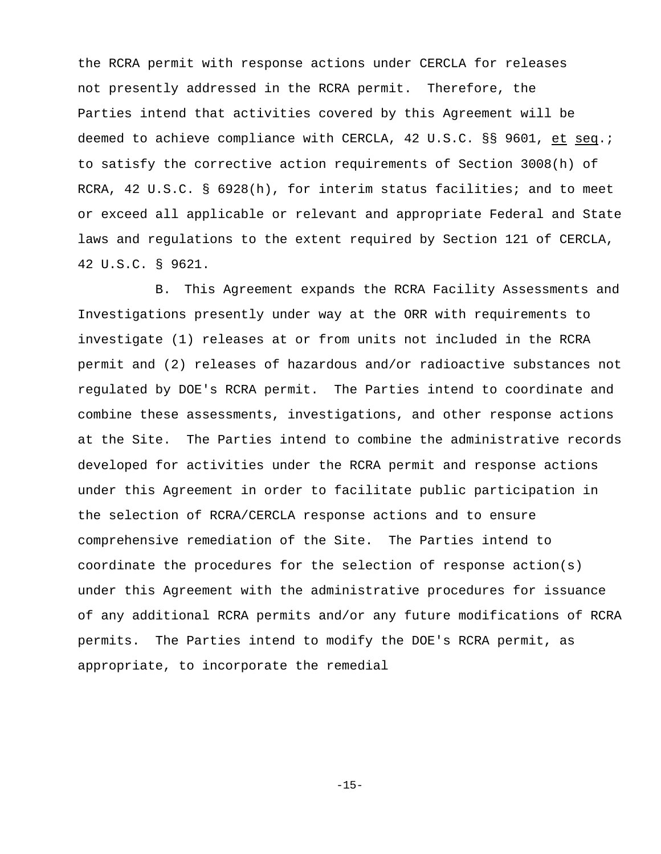the RCRA permit with response actions under CERCLA for releases not presently addressed in the RCRA permit. Therefore, the Parties intend that activities covered by this Agreement will be deemed to achieve compliance with CERCLA, 42 U.S.C. §§ 9601, et seq.; to satisfy the corrective action requirements of Section 3008(h) of RCRA, 42 U.S.C. § 6928(h), for interim status facilities; and to meet or exceed all applicable or relevant and appropriate Federal and State laws and regulations to the extent required by Section 121 of CERCLA, 42 U.S.C. § 9621.

B. This Agreement expands the RCRA Facility Assessments and Investigations presently under way at the ORR with requirements to investigate (1) releases at or from units not included in the RCRA permit and (2) releases of hazardous and/or radioactive substances not regulated by DOE's RCRA permit. The Parties intend to coordinate and combine these assessments, investigations, and other response actions at the Site. The Parties intend to combine the administrative records developed for activities under the RCRA permit and response actions under this Agreement in order to facilitate public participation in the selection of RCRA/CERCLA response actions and to ensure comprehensive remediation of the Site. The Parties intend to coordinate the procedures for the selection of response  $action(s)$ under this Agreement with the administrative procedures for issuance of any additional RCRA permits and/or any future modifications of RCRA permits. The Parties intend to modify the DOE's RCRA permit, as appropriate, to incorporate the remedial

-15-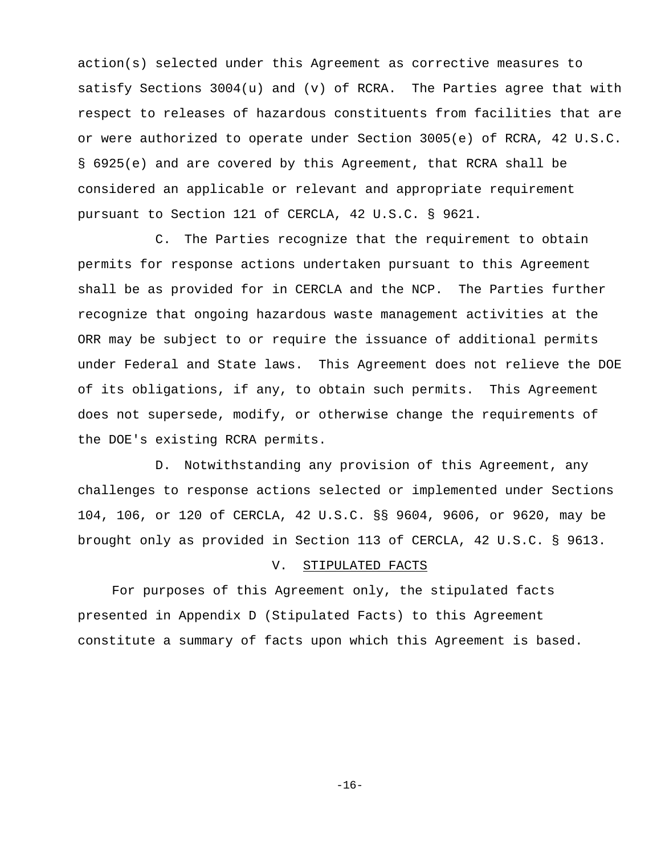action(s) selected under this Agreement as corrective measures to satisfy Sections 3004(u) and (v) of RCRA. The Parties agree that with respect to releases of hazardous constituents from facilities that are or were authorized to operate under Section 3005(e) of RCRA, 42 U.S.C. § 6925(e) and are covered by this Agreement, that RCRA shall be considered an applicable or relevant and appropriate requirement pursuant to Section 121 of CERCLA, 42 U.S.C. § 9621.

C. The Parties recognize that the requirement to obtain permits for response actions undertaken pursuant to this Agreement shall be as provided for in CERCLA and the NCP. The Parties further recognize that ongoing hazardous waste management activities at the ORR may be subject to or require the issuance of additional permits under Federal and State laws. This Agreement does not relieve the DOE of its obligations, if any, to obtain such permits. This Agreement does not supersede, modify, or otherwise change the requirements of the DOE's existing RCRA permits.

D. Notwithstanding any provision of this Agreement, any challenges to response actions selected or implemented under Sections 104, 106, or 120 of CERCLA, 42 U.S.C. §§ 9604, 9606, or 9620, may be brought only as provided in Section 113 of CERCLA, 42 U.S.C. § 9613.

#### V. STIPULATED FACTS

For purposes of this Agreement only, the stipulated facts presented in Appendix D (Stipulated Facts) to this Agreement constitute a summary of facts upon which this Agreement is based.

 $-16-$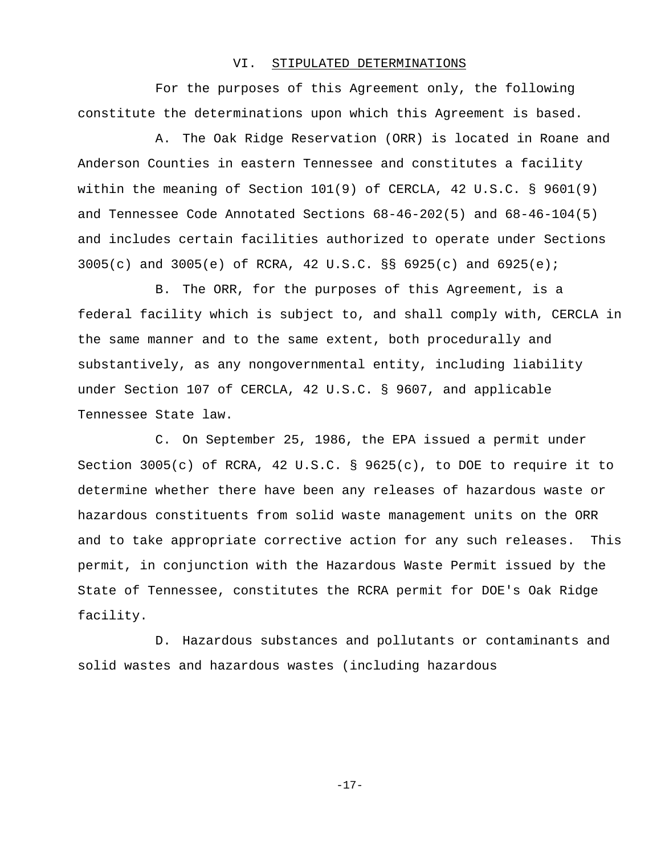#### VI. STIPULATED DETERMINATIONS

For the purposes of this Agreement only, the following constitute the determinations upon which this Agreement is based.

A. The Oak Ridge Reservation (ORR) is located in Roane and Anderson Counties in eastern Tennessee and constitutes a facility within the meaning of Section 101(9) of CERCLA, 42 U.S.C. § 9601(9) and Tennessee Code Annotated Sections 68-46-202(5) and 68-46-104(5) and includes certain facilities authorized to operate under Sections 3005(c) and 3005(e) of RCRA, 42 U.S.C. §§ 6925(c) and 6925(e);

B. The ORR, for the purposes of this Agreement, is a federal facility which is subject to, and shall comply with, CERCLA in the same manner and to the same extent, both procedurally and substantively, as any nongovernmental entity, including liability under Section 107 of CERCLA, 42 U.S.C. § 9607, and applicable Tennessee State law.

C. On September 25, 1986, the EPA issued a permit under Section 3005(c) of RCRA, 42 U.S.C. § 9625(c), to DOE to require it to determine whether there have been any releases of hazardous waste or hazardous constituents from solid waste management units on the ORR and to take appropriate corrective action for any such releases. This permit, in conjunction with the Hazardous Waste Permit issued by the State of Tennessee, constitutes the RCRA permit for DOE's Oak Ridge facility.

D. Hazardous substances and pollutants or contaminants and solid wastes and hazardous wastes (including hazardous

 $-17-$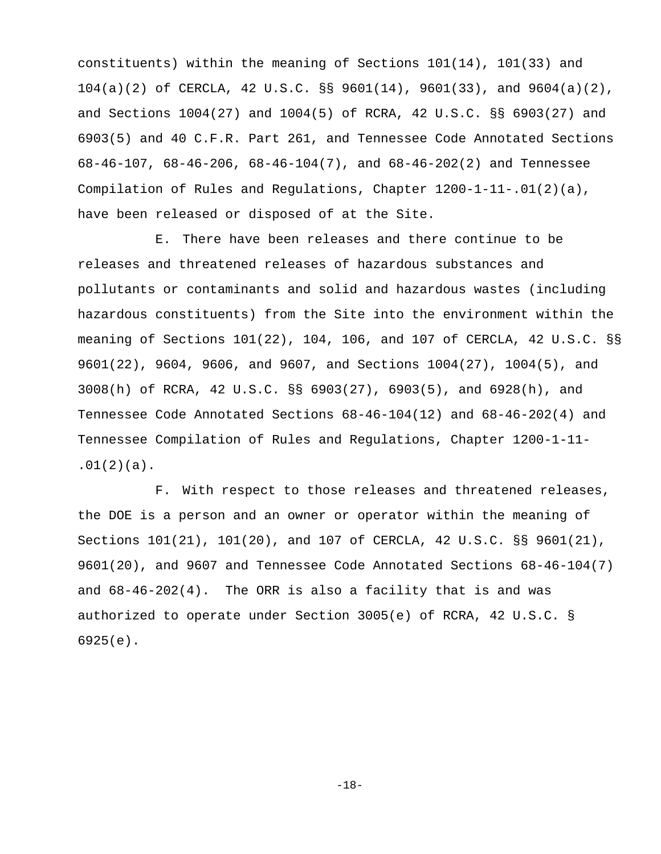constituents) within the meaning of Sections 101(14), 101(33) and 104(a)(2) of CERCLA, 42 U.S.C. §§ 9601(14), 9601(33), and 9604(a)(2), and Sections 1004(27) and 1004(5) of RCRA, 42 U.S.C. §§ 6903(27) and 6903(5) and 40 C.F.R. Part 261, and Tennessee Code Annotated Sections 68-46-107, 68-46-206, 68-46-104(7), and 68-46-202(2) and Tennessee Compilation of Rules and Regulations, Chapter 1200-1-11-.01(2)(a), have been released or disposed of at the Site.

E. There have been releases and there continue to be releases and threatened releases of hazardous substances and pollutants or contaminants and solid and hazardous wastes (including hazardous constituents) from the Site into the environment within the meaning of Sections 101(22), 104, 106, and 107 of CERCLA, 42 U.S.C. §§ 9601(22), 9604, 9606, and 9607, and Sections 1004(27), 1004(5), and 3008(h) of RCRA, 42 U.S.C. §§ 6903(27), 6903(5), and 6928(h), and Tennessee Code Annotated Sections 68-46-104(12) and 68-46-202(4) and Tennessee Compilation of Rules and Regulations, Chapter 1200-1-11-  $.01(2)(a)$ .

F. With respect to those releases and threatened releases, the DOE is a person and an owner or operator within the meaning of Sections 101(21), 101(20), and 107 of CERCLA, 42 U.S.C. §§ 9601(21), 9601(20), and 9607 and Tennessee Code Annotated Sections 68-46-104(7) and  $68-46-202(4)$ . The ORR is also a facility that is and was authorized to operate under Section 3005(e) of RCRA, 42 U.S.C. § 6925(e).

-18-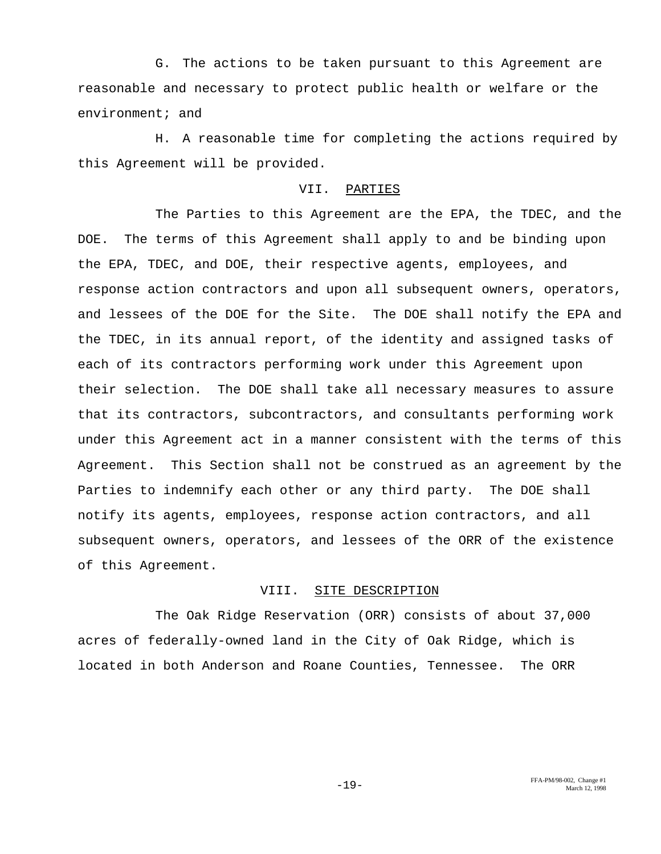G. The actions to be taken pursuant to this Agreement are reasonable and necessary to protect public health or welfare or the environment; and

H. A reasonable time for completing the actions required by this Agreement will be provided.

### VII. PARTIES

The Parties to this Agreement are the EPA, the TDEC, and the DOE. The terms of this Agreement shall apply to and be binding upon the EPA, TDEC, and DOE, their respective agents, employees, and response action contractors and upon all subsequent owners, operators, and lessees of the DOE for the Site. The DOE shall notify the EPA and the TDEC, in its annual report, of the identity and assigned tasks of each of its contractors performing work under this Agreement upon their selection. The DOE shall take all necessary measures to assure that its contractors, subcontractors, and consultants performing work under this Agreement act in a manner consistent with the terms of this Agreement. This Section shall not be construed as an agreement by the Parties to indemnify each other or any third party. The DOE shall notify its agents, employees, response action contractors, and all subsequent owners, operators, and lessees of the ORR of the existence of this Agreement.

#### VIII. SITE DESCRIPTION

The Oak Ridge Reservation (ORR) consists of about 37,000 acres of federally-owned land in the City of Oak Ridge, which is located in both Anderson and Roane Counties, Tennessee. The ORR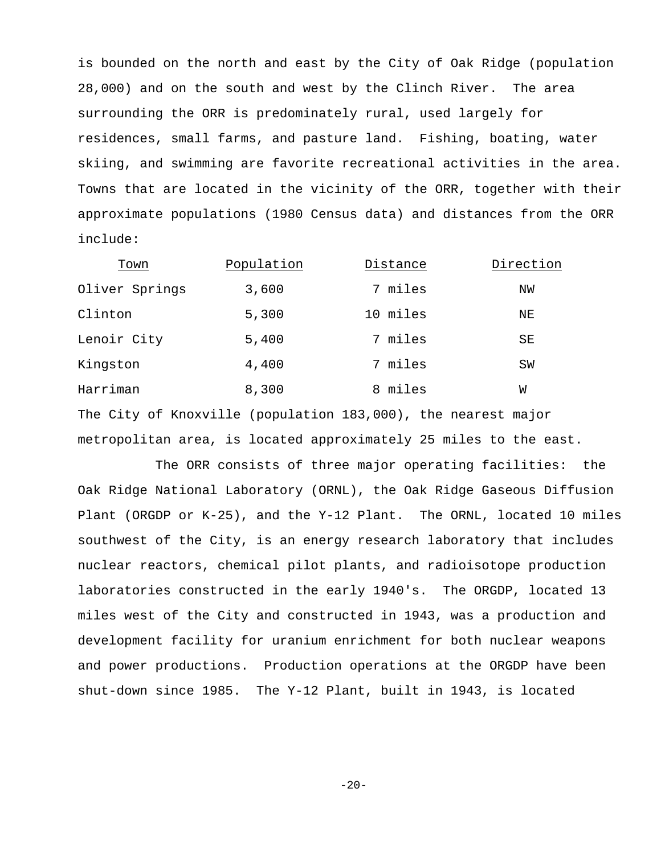is bounded on the north and east by the City of Oak Ridge (population 28,000) and on the south and west by the Clinch River. The area surrounding the ORR is predominately rural, used largely for residences, small farms, and pasture land. Fishing, boating, water skiing, and swimming are favorite recreational activities in the area. Towns that are located in the vicinity of the ORR, together with their approximate populations (1980 Census data) and distances from the ORR include:

| Town           | Population | Distance | Direction |
|----------------|------------|----------|-----------|
| Oliver Springs | 3,600      | 7 miles  | ΝW        |
| Clinton        | 5,300      | 10 miles | ΝE        |
| Lenoir City    | 5,400      | 7 miles  | SE        |
| Kingston       | 4,400      | 7 miles  | SW        |
| Harriman       | 8,300      | 8 miles  | W         |

The City of Knoxville (population 183,000), the nearest major metropolitan area, is located approximately 25 miles to the east.

The ORR consists of three major operating facilities: the Oak Ridge National Laboratory (ORNL), the Oak Ridge Gaseous Diffusion Plant (ORGDP or K-25), and the Y-12 Plant. The ORNL, located 10 miles southwest of the City, is an energy research laboratory that includes nuclear reactors, chemical pilot plants, and radioisotope production laboratories constructed in the early 1940's. The ORGDP, located 13 miles west of the City and constructed in 1943, was a production and development facility for uranium enrichment for both nuclear weapons and power productions. Production operations at the ORGDP have been shut-down since 1985. The Y-12 Plant, built in 1943, is located

 $-20-$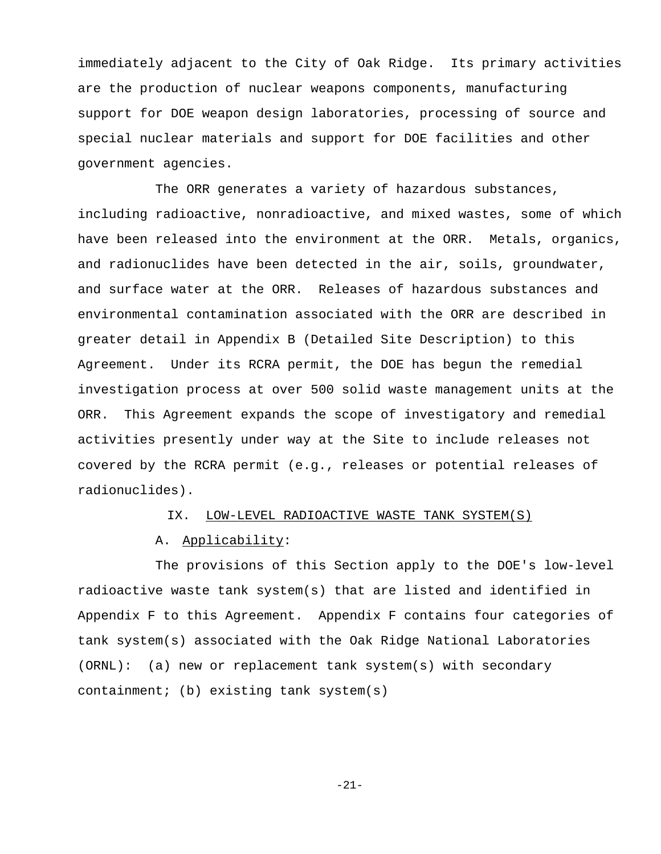immediately adjacent to the City of Oak Ridge. Its primary activities are the production of nuclear weapons components, manufacturing support for DOE weapon design laboratories, processing of source and special nuclear materials and support for DOE facilities and other government agencies.

The ORR generates a variety of hazardous substances, including radioactive, nonradioactive, and mixed wastes, some of which have been released into the environment at the ORR. Metals, organics, and radionuclides have been detected in the air, soils, groundwater, and surface water at the ORR. Releases of hazardous substances and environmental contamination associated with the ORR are described in greater detail in Appendix B (Detailed Site Description) to this Agreement. Under its RCRA permit, the DOE has begun the remedial investigation process at over 500 solid waste management units at the ORR. This Agreement expands the scope of investigatory and remedial activities presently under way at the Site to include releases not covered by the RCRA permit (e.g., releases or potential releases of radionuclides).

#### IX. LOW-LEVEL RADIOACTIVE WASTE TANK SYSTEM(S)

#### A. Applicability:

The provisions of this Section apply to the DOE's low-level radioactive waste tank system(s) that are listed and identified in Appendix F to this Agreement. Appendix F contains four categories of tank system(s) associated with the Oak Ridge National Laboratories (ORNL): (a) new or replacement tank system(s) with secondary containment; (b) existing tank system(s)

-21-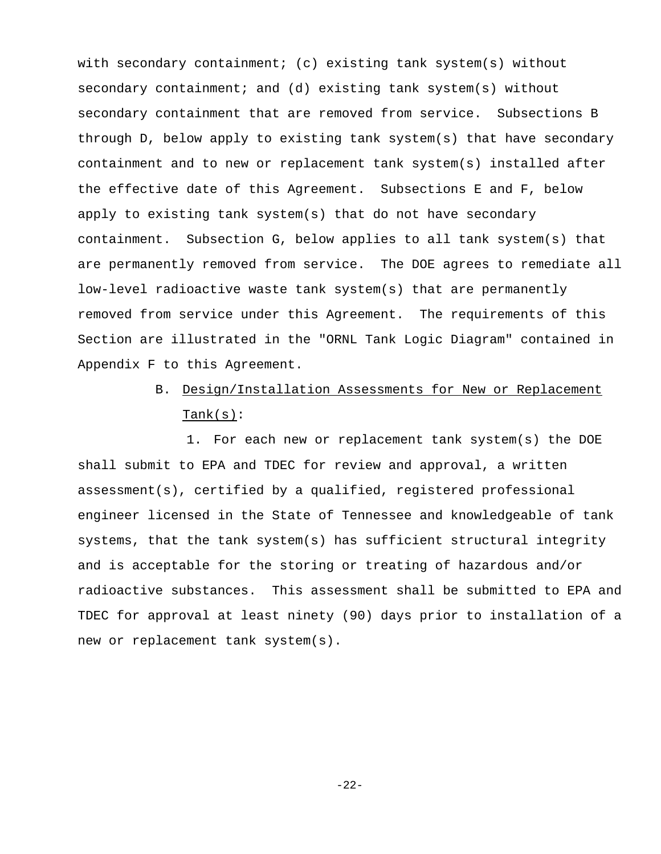with secondary containment; (c) existing tank system(s) without secondary containment; and (d) existing tank system(s) without secondary containment that are removed from service. Subsections B through D, below apply to existing tank system(s) that have secondary containment and to new or replacement tank system(s) installed after the effective date of this Agreement. Subsections E and F, below apply to existing tank system(s) that do not have secondary containment. Subsection G, below applies to all tank system(s) that are permanently removed from service. The DOE agrees to remediate all low-level radioactive waste tank system(s) that are permanently removed from service under this Agreement. The requirements of this Section are illustrated in the "ORNL Tank Logic Diagram" contained in Appendix F to this Agreement.

# B. Design/Installation Assessments for New or Replacement  $Tank(s):$

1. For each new or replacement tank system(s) the DOE shall submit to EPA and TDEC for review and approval, a written assessment(s), certified by a qualified, registered professional engineer licensed in the State of Tennessee and knowledgeable of tank systems, that the tank system(s) has sufficient structural integrity and is acceptable for the storing or treating of hazardous and/or radioactive substances. This assessment shall be submitted to EPA and TDEC for approval at least ninety (90) days prior to installation of a new or replacement tank system(s).

-22-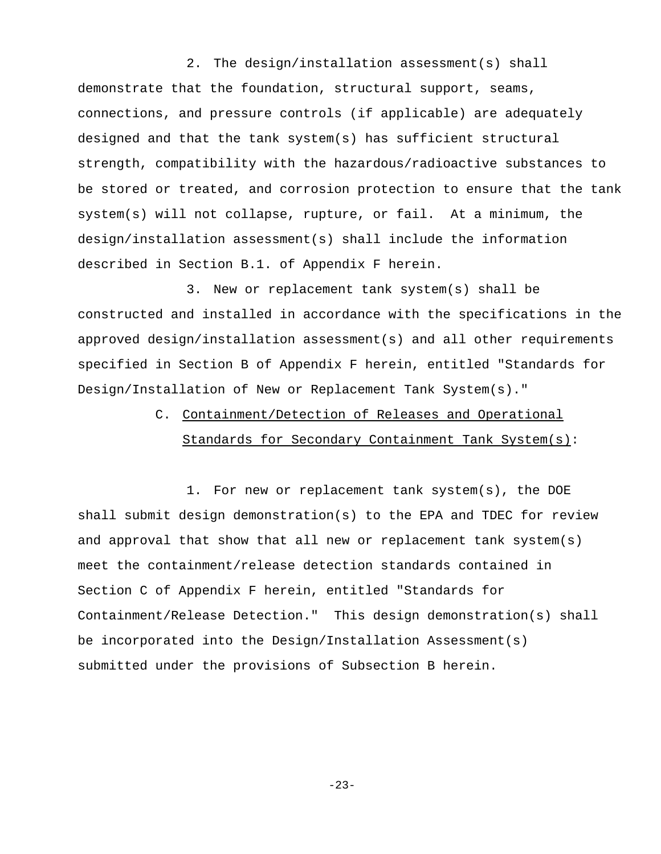2. The design/installation assessment(s) shall demonstrate that the foundation, structural support, seams, connections, and pressure controls (if applicable) are adequately designed and that the tank system(s) has sufficient structural strength, compatibility with the hazardous/radioactive substances to be stored or treated, and corrosion protection to ensure that the tank system(s) will not collapse, rupture, or fail. At a minimum, the design/installation assessment(s) shall include the information described in Section B.1. of Appendix F herein.

3. New or replacement tank system(s) shall be constructed and installed in accordance with the specifications in the approved design/installation assessment(s) and all other requirements specified in Section B of Appendix F herein, entitled "Standards for Design/Installation of New or Replacement Tank System(s)."

# C. Containment/Detection of Releases and Operational Standards for Secondary Containment Tank System(s):

1. For new or replacement tank system(s), the DOE shall submit design demonstration(s) to the EPA and TDEC for review and approval that show that all new or replacement tank system(s) meet the containment/release detection standards contained in Section C of Appendix F herein, entitled "Standards for Containment/Release Detection." This design demonstration(s) shall be incorporated into the Design/Installation Assessment(s) submitted under the provisions of Subsection B herein.

 $-23-$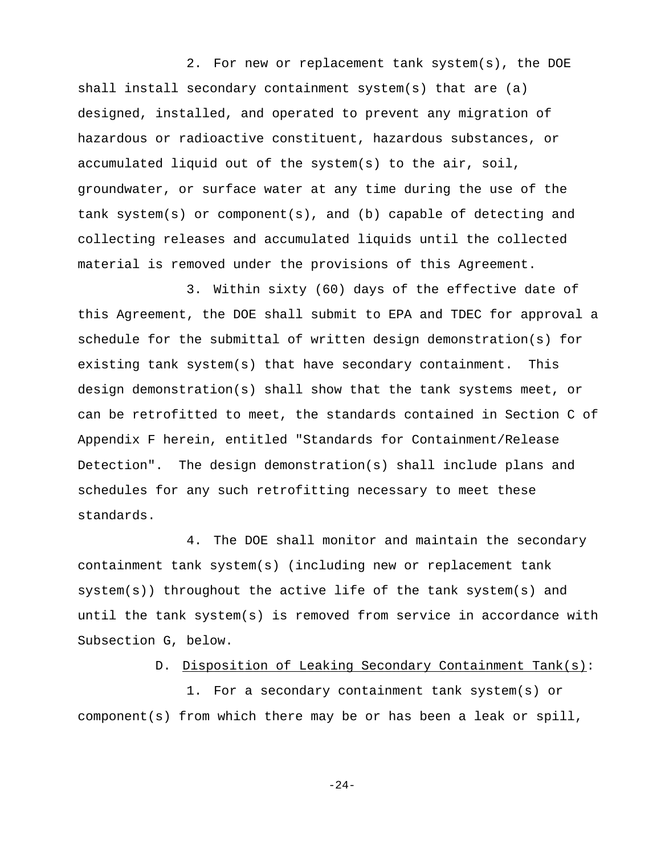2. For new or replacement tank system(s), the DOE shall install secondary containment system(s) that are (a) designed, installed, and operated to prevent any migration of hazardous or radioactive constituent, hazardous substances, or accumulated liquid out of the system(s) to the air, soil, groundwater, or surface water at any time during the use of the tank system(s) or component(s), and (b) capable of detecting and collecting releases and accumulated liquids until the collected material is removed under the provisions of this Agreement.

3. Within sixty (60) days of the effective date of this Agreement, the DOE shall submit to EPA and TDEC for approval a schedule for the submittal of written design demonstration(s) for existing tank system(s) that have secondary containment. This design demonstration(s) shall show that the tank systems meet, or can be retrofitted to meet, the standards contained in Section C of Appendix F herein, entitled "Standards for Containment/Release Detection". The design demonstration(s) shall include plans and schedules for any such retrofitting necessary to meet these standards.

4. The DOE shall monitor and maintain the secondary containment tank system(s) (including new or replacement tank system(s)) throughout the active life of the tank system(s) and until the tank system(s) is removed from service in accordance with Subsection G, below.

#### D. Disposition of Leaking Secondary Containment Tank(s):

1. For a secondary containment tank system(s) or component(s) from which there may be or has been a leak or spill,

 $-24-$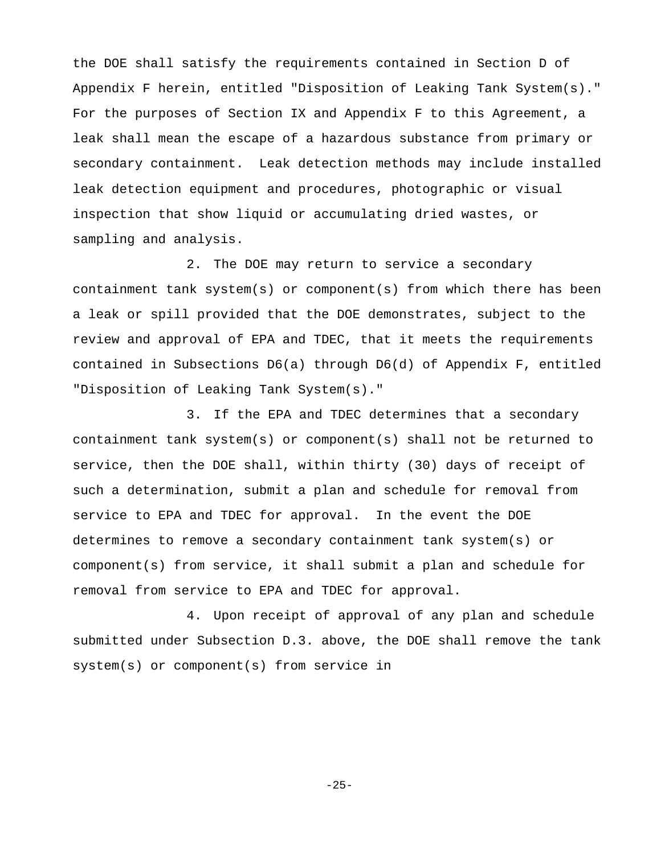the DOE shall satisfy the requirements contained in Section D of Appendix F herein, entitled "Disposition of Leaking Tank System(s)." For the purposes of Section IX and Appendix F to this Agreement, a leak shall mean the escape of a hazardous substance from primary or secondary containment. Leak detection methods may include installed leak detection equipment and procedures, photographic or visual inspection that show liquid or accumulating dried wastes, or sampling and analysis.

2. The DOE may return to service a secondary containment tank system(s) or component(s) from which there has been a leak or spill provided that the DOE demonstrates, subject to the review and approval of EPA and TDEC, that it meets the requirements contained in Subsections D6(a) through D6(d) of Appendix F, entitled "Disposition of Leaking Tank System(s)."

3. If the EPA and TDEC determines that a secondary containment tank system(s) or component(s) shall not be returned to service, then the DOE shall, within thirty (30) days of receipt of such a determination, submit a plan and schedule for removal from service to EPA and TDEC for approval. In the event the DOE determines to remove a secondary containment tank system(s) or component(s) from service, it shall submit a plan and schedule for removal from service to EPA and TDEC for approval.

4. Upon receipt of approval of any plan and schedule submitted under Subsection D.3. above, the DOE shall remove the tank system(s) or component(s) from service in

-25-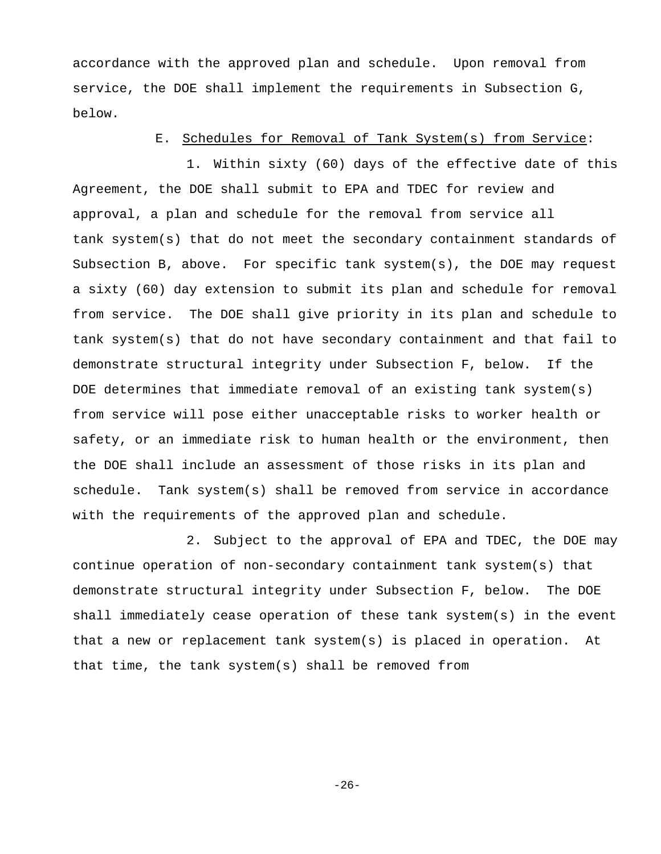accordance with the approved plan and schedule. Upon removal from service, the DOE shall implement the requirements in Subsection G, below.

#### E. Schedules for Removal of Tank System(s) from Service:

1. Within sixty (60) days of the effective date of this Agreement, the DOE shall submit to EPA and TDEC for review and approval, a plan and schedule for the removal from service all tank system(s) that do not meet the secondary containment standards of Subsection B, above. For specific tank system(s), the DOE may request a sixty (60) day extension to submit its plan and schedule for removal from service. The DOE shall give priority in its plan and schedule to tank system(s) that do not have secondary containment and that fail to demonstrate structural integrity under Subsection F, below. If the DOE determines that immediate removal of an existing tank system(s) from service will pose either unacceptable risks to worker health or safety, or an immediate risk to human health or the environment, then the DOE shall include an assessment of those risks in its plan and schedule. Tank system(s) shall be removed from service in accordance with the requirements of the approved plan and schedule.

2. Subject to the approval of EPA and TDEC, the DOE may continue operation of non-secondary containment tank system(s) that demonstrate structural integrity under Subsection F, below. The DOE shall immediately cease operation of these tank system(s) in the event that a new or replacement tank system(s) is placed in operation. At that time, the tank system(s) shall be removed from

-26-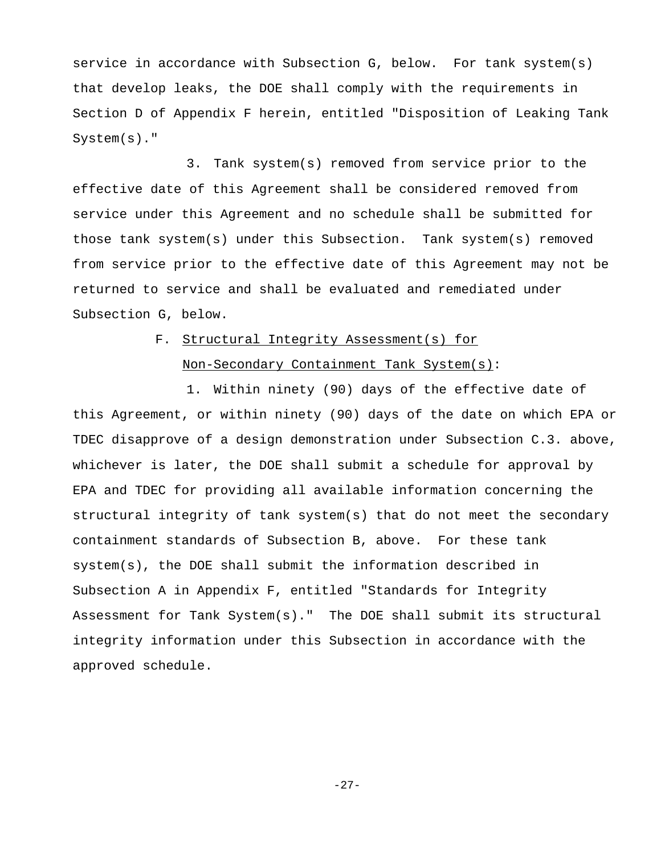service in accordance with Subsection G, below. For tank system(s) that develop leaks, the DOE shall comply with the requirements in Section D of Appendix F herein, entitled "Disposition of Leaking Tank System(s)."

3. Tank system(s) removed from service prior to the effective date of this Agreement shall be considered removed from service under this Agreement and no schedule shall be submitted for those tank system(s) under this Subsection. Tank system(s) removed from service prior to the effective date of this Agreement may not be returned to service and shall be evaluated and remediated under Subsection G, below.

# F. Structural Integrity Assessment(s) for Non-Secondary Containment Tank System(s):

1. Within ninety (90) days of the effective date of this Agreement, or within ninety (90) days of the date on which EPA or TDEC disapprove of a design demonstration under Subsection C.3. above, whichever is later, the DOE shall submit a schedule for approval by EPA and TDEC for providing all available information concerning the structural integrity of tank system(s) that do not meet the secondary containment standards of Subsection B, above. For these tank system(s), the DOE shall submit the information described in Subsection A in Appendix F, entitled "Standards for Integrity Assessment for Tank System(s)." The DOE shall submit its structural integrity information under this Subsection in accordance with the approved schedule.

-27-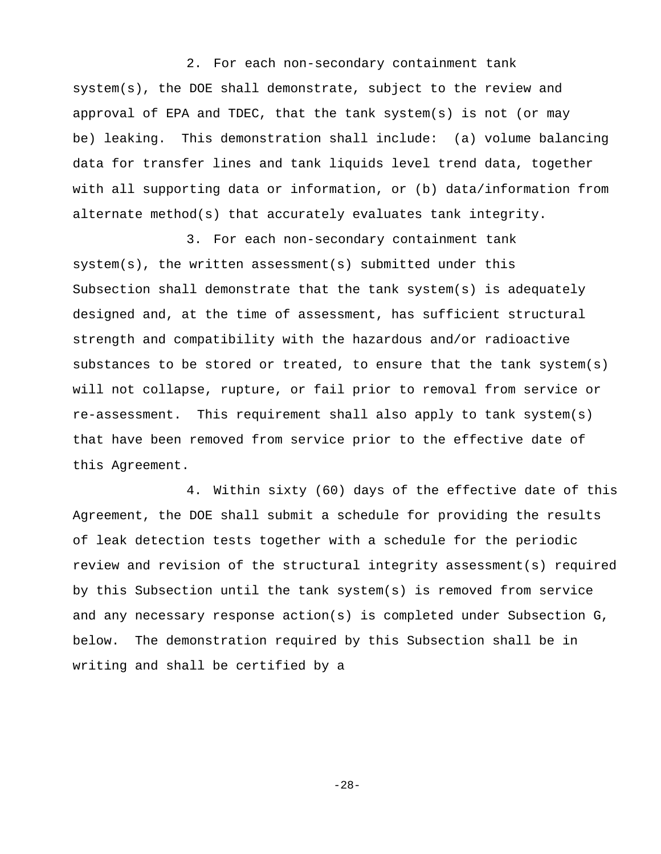2. For each non-secondary containment tank system(s), the DOE shall demonstrate, subject to the review and approval of EPA and TDEC, that the tank system(s) is not (or may be) leaking. This demonstration shall include: (a) volume balancing data for transfer lines and tank liquids level trend data, together with all supporting data or information, or (b) data/information from alternate method(s) that accurately evaluates tank integrity.

3. For each non-secondary containment tank system(s), the written assessment(s) submitted under this Subsection shall demonstrate that the tank system(s) is adequately designed and, at the time of assessment, has sufficient structural strength and compatibility with the hazardous and/or radioactive substances to be stored or treated, to ensure that the tank system(s) will not collapse, rupture, or fail prior to removal from service or re-assessment. This requirement shall also apply to tank system(s) that have been removed from service prior to the effective date of this Agreement.

4. Within sixty (60) days of the effective date of this Agreement, the DOE shall submit a schedule for providing the results of leak detection tests together with a schedule for the periodic review and revision of the structural integrity assessment(s) required by this Subsection until the tank system(s) is removed from service and any necessary response action(s) is completed under Subsection G, below. The demonstration required by this Subsection shall be in writing and shall be certified by a

-28-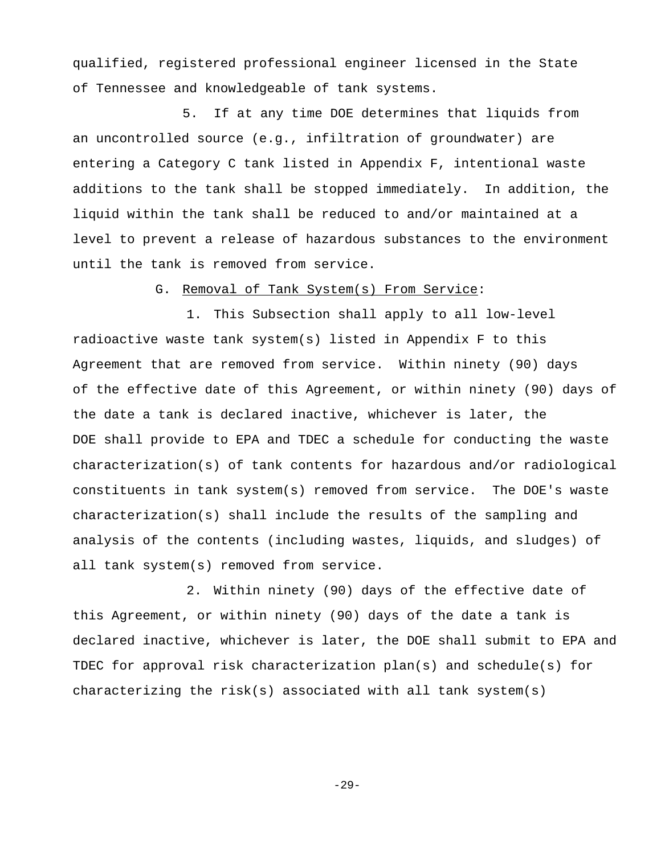qualified, registered professional engineer licensed in the State of Tennessee and knowledgeable of tank systems.

5. If at any time DOE determines that liquids from an uncontrolled source (e.g., infiltration of groundwater) are entering a Category C tank listed in Appendix F, intentional waste additions to the tank shall be stopped immediately. In addition, the liquid within the tank shall be reduced to and/or maintained at a level to prevent a release of hazardous substances to the environment until the tank is removed from service.

G. Removal of Tank System(s) From Service:

1. This Subsection shall apply to all low-level radioactive waste tank system(s) listed in Appendix F to this Agreement that are removed from service. Within ninety (90) days of the effective date of this Agreement, or within ninety (90) days of the date a tank is declared inactive, whichever is later, the DOE shall provide to EPA and TDEC a schedule for conducting the waste characterization(s) of tank contents for hazardous and/or radiological constituents in tank system(s) removed from service. The DOE's waste characterization(s) shall include the results of the sampling and analysis of the contents (including wastes, liquids, and sludges) of all tank system(s) removed from service.

2. Within ninety (90) days of the effective date of this Agreement, or within ninety (90) days of the date a tank is declared inactive, whichever is later, the DOE shall submit to EPA and TDEC for approval risk characterization plan(s) and schedule(s) for characterizing the risk(s) associated with all tank system(s)

 $-29-$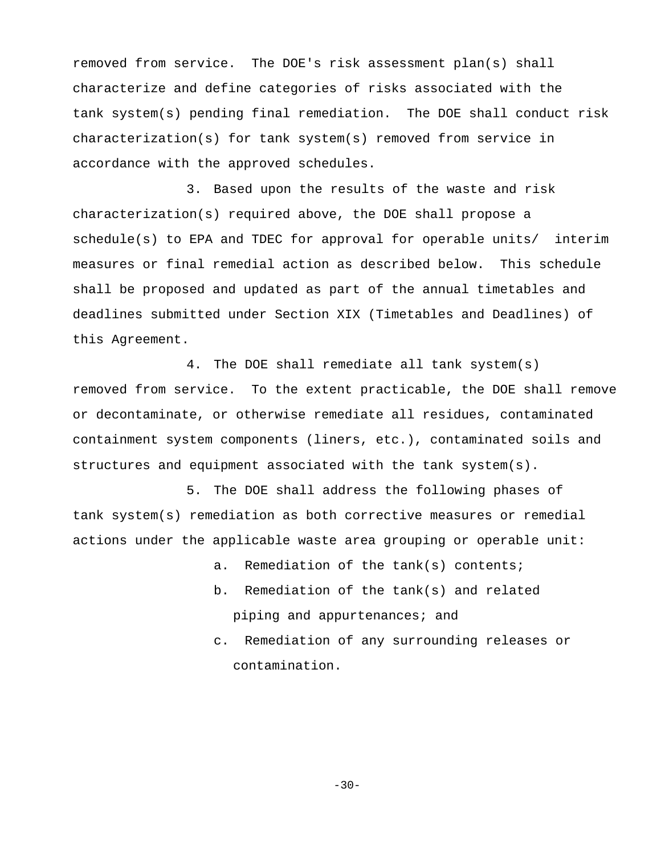removed from service. The DOE's risk assessment plan(s) shall characterize and define categories of risks associated with the tank system(s) pending final remediation. The DOE shall conduct risk characterization(s) for tank system(s) removed from service in accordance with the approved schedules.

3. Based upon the results of the waste and risk characterization(s) required above, the DOE shall propose a schedule(s) to EPA and TDEC for approval for operable units/ interim measures or final remedial action as described below. This schedule shall be proposed and updated as part of the annual timetables and deadlines submitted under Section XIX (Timetables and Deadlines) of this Agreement.

4. The DOE shall remediate all tank system(s) removed from service. To the extent practicable, the DOE shall remove or decontaminate, or otherwise remediate all residues, contaminated containment system components (liners, etc.), contaminated soils and structures and equipment associated with the tank system(s).

5. The DOE shall address the following phases of tank system(s) remediation as both corrective measures or remedial actions under the applicable waste area grouping or operable unit:

a. Remediation of the tank(s) contents;

- b. Remediation of the tank(s) and related piping and appurtenances; and
- c. Remediation of any surrounding releases or contamination.

 $-30-$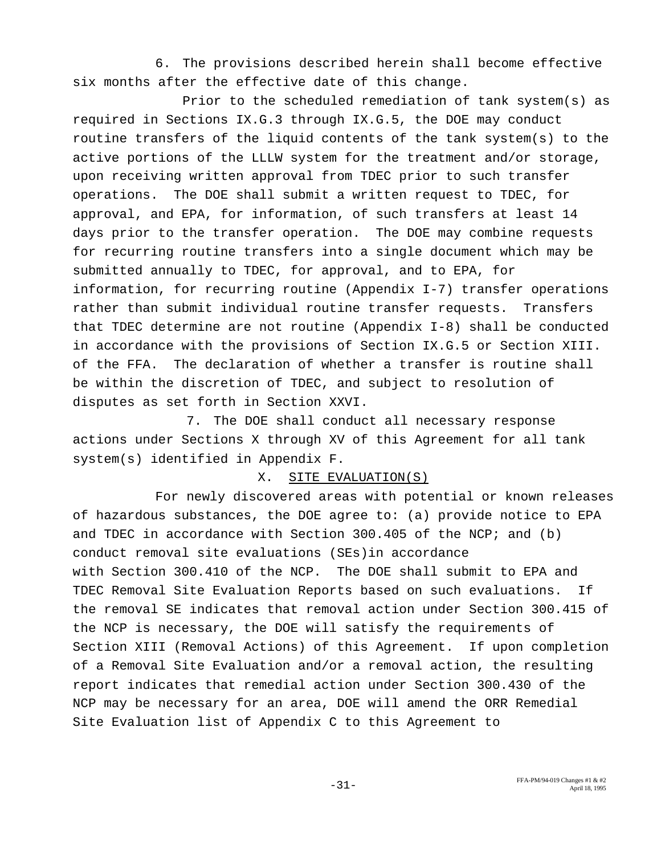6. The provisions described herein shall become effective six months after the effective date of this change.

Prior to the scheduled remediation of tank system(s) as required in Sections IX.G.3 through IX.G.5, the DOE may conduct routine transfers of the liquid contents of the tank system(s) to the active portions of the LLLW system for the treatment and/or storage, upon receiving written approval from TDEC prior to such transfer operations. The DOE shall submit a written request to TDEC, for approval, and EPA, for information, of such transfers at least 14 days prior to the transfer operation. The DOE may combine requests for recurring routine transfers into a single document which may be submitted annually to TDEC, for approval, and to EPA, for information, for recurring routine (Appendix I-7) transfer operations rather than submit individual routine transfer requests. Transfers that TDEC determine are not routine (Appendix I-8) shall be conducted in accordance with the provisions of Section IX.G.5 or Section XIII. of the FFA. The declaration of whether a transfer is routine shall be within the discretion of TDEC, and subject to resolution of disputes as set forth in Section XXVI.

7. The DOE shall conduct all necessary response actions under Sections X through XV of this Agreement for all tank system(s) identified in Appendix F.

#### X. SITE EVALUATION(S)

For newly discovered areas with potential or known releases of hazardous substances, the DOE agree to: (a) provide notice to EPA and TDEC in accordance with Section 300.405 of the NCP; and (b) conduct removal site evaluations (SEs)in accordance with Section 300.410 of the NCP. The DOE shall submit to EPA and TDEC Removal Site Evaluation Reports based on such evaluations. If the removal SE indicates that removal action under Section 300.415 of the NCP is necessary, the DOE will satisfy the requirements of Section XIII (Removal Actions) of this Agreement. If upon completion of a Removal Site Evaluation and/or a removal action, the resulting report indicates that remedial action under Section 300.430 of the NCP may be necessary for an area, DOE will amend the ORR Remedial Site Evaluation list of Appendix C to this Agreement to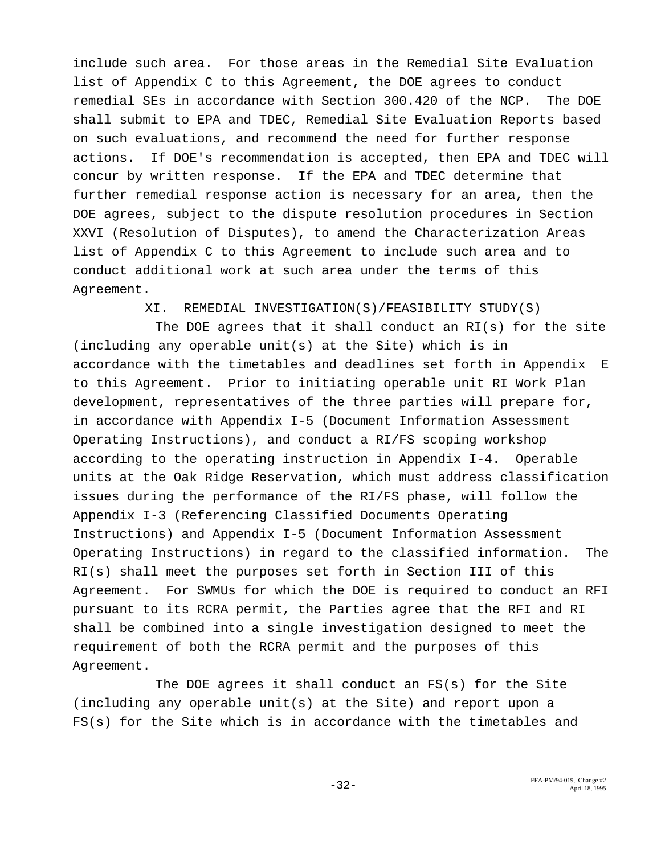include such area. For those areas in the Remedial Site Evaluation list of Appendix C to this Agreement, the DOE agrees to conduct remedial SEs in accordance with Section 300.420 of the NCP. The DOE shall submit to EPA and TDEC, Remedial Site Evaluation Reports based on such evaluations, and recommend the need for further response actions. If DOE's recommendation is accepted, then EPA and TDEC will concur by written response. If the EPA and TDEC determine that further remedial response action is necessary for an area, then the DOE agrees, subject to the dispute resolution procedures in Section XXVI (Resolution of Disputes), to amend the Characterization Areas list of Appendix C to this Agreement to include such area and to conduct additional work at such area under the terms of this Agreement.

## XI. REMEDIAL INVESTIGATION(S)/FEASIBILITY STUDY(S)

The DOE agrees that it shall conduct an RI(s) for the site (including any operable unit(s) at the Site) which is in accordance with the timetables and deadlines set forth in Appendix E to this Agreement. Prior to initiating operable unit RI Work Plan development, representatives of the three parties will prepare for, in accordance with Appendix I-5 (Document Information Assessment Operating Instructions), and conduct a RI/FS scoping workshop according to the operating instruction in Appendix I-4. Operable units at the Oak Ridge Reservation, which must address classification issues during the performance of the RI/FS phase, will follow the Appendix I-3 (Referencing Classified Documents Operating Instructions) and Appendix I-5 (Document Information Assessment Operating Instructions) in regard to the classified information. The RI(s) shall meet the purposes set forth in Section III of this Agreement. For SWMUs for which the DOE is required to conduct an RFI pursuant to its RCRA permit, the Parties agree that the RFI and RI shall be combined into a single investigation designed to meet the requirement of both the RCRA permit and the purposes of this Agreement.

The DOE agrees it shall conduct an FS(s) for the Site (including any operable unit(s) at the Site) and report upon a FS(s) for the Site which is in accordance with the timetables and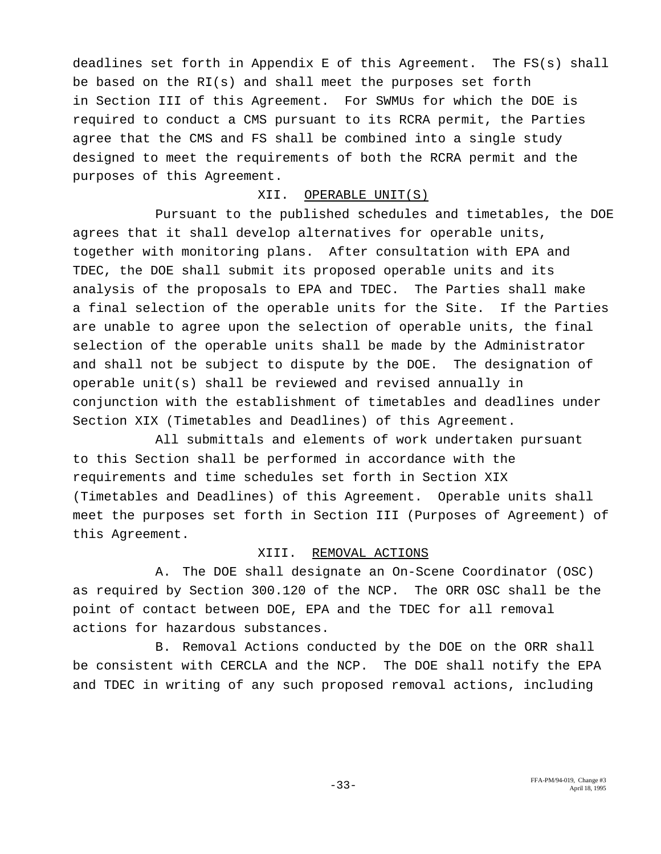deadlines set forth in Appendix E of this Agreement. The FS(s) shall be based on the RI(s) and shall meet the purposes set forth in Section III of this Agreement. For SWMUs for which the DOE is required to conduct a CMS pursuant to its RCRA permit, the Parties agree that the CMS and FS shall be combined into a single study designed to meet the requirements of both the RCRA permit and the purposes of this Agreement.

## XII. OPERABLE UNIT(S)

Pursuant to the published schedules and timetables, the DOE agrees that it shall develop alternatives for operable units, together with monitoring plans. After consultation with EPA and TDEC, the DOE shall submit its proposed operable units and its analysis of the proposals to EPA and TDEC. The Parties shall make a final selection of the operable units for the Site. If the Parties are unable to agree upon the selection of operable units, the final selection of the operable units shall be made by the Administrator and shall not be subject to dispute by the DOE. The designation of operable unit(s) shall be reviewed and revised annually in conjunction with the establishment of timetables and deadlines under Section XIX (Timetables and Deadlines) of this Agreement.

All submittals and elements of work undertaken pursuant to this Section shall be performed in accordance with the requirements and time schedules set forth in Section XIX (Timetables and Deadlines) of this Agreement. Operable units shall meet the purposes set forth in Section III (Purposes of Agreement) of this Agreement.

### XIII. REMOVAL ACTIONS

A. The DOE shall designate an On-Scene Coordinator (OSC) as required by Section 300.120 of the NCP. The ORR OSC shall be the point of contact between DOE, EPA and the TDEC for all removal actions for hazardous substances.

B. Removal Actions conducted by the DOE on the ORR shall be consistent with CERCLA and the NCP. The DOE shall notify the EPA and TDEC in writing of any such proposed removal actions, including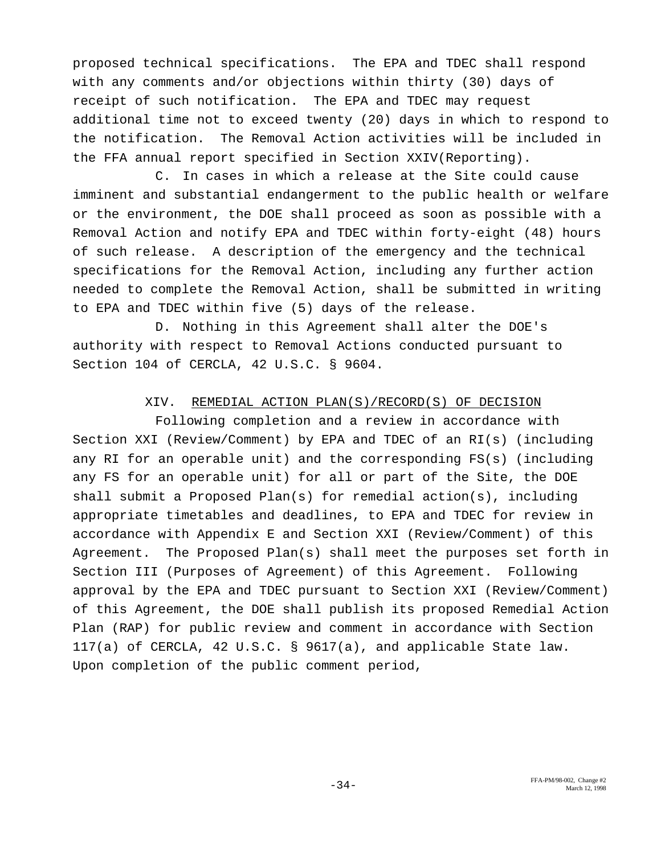proposed technical specifications. The EPA and TDEC shall respond with any comments and/or objections within thirty (30) days of receipt of such notification. The EPA and TDEC may request additional time not to exceed twenty (20) days in which to respond to the notification. The Removal Action activities will be included in the FFA annual report specified in Section XXIV(Reporting).

C. In cases in which a release at the Site could cause imminent and substantial endangerment to the public health or welfare or the environment, the DOE shall proceed as soon as possible with a Removal Action and notify EPA and TDEC within forty-eight (48) hours of such release. A description of the emergency and the technical specifications for the Removal Action, including any further action needed to complete the Removal Action, shall be submitted in writing to EPA and TDEC within five (5) days of the release.

D. Nothing in this Agreement shall alter the DOE's authority with respect to Removal Actions conducted pursuant to Section 104 of CERCLA, 42 U.S.C. § 9604.

## XIV. REMEDIAL ACTION PLAN(S)/RECORD(S) OF DECISION

Following completion and a review in accordance with Section XXI (Review/Comment) by EPA and TDEC of an RI(s) (including any RI for an operable unit) and the corresponding FS(s) (including any FS for an operable unit) for all or part of the Site, the DOE shall submit a Proposed Plan(s) for remedial action(s), including appropriate timetables and deadlines, to EPA and TDEC for review in accordance with Appendix E and Section XXI (Review/Comment) of this Agreement. The Proposed Plan(s) shall meet the purposes set forth in Section III (Purposes of Agreement) of this Agreement. Following approval by the EPA and TDEC pursuant to Section XXI (Review/Comment) of this Agreement, the DOE shall publish its proposed Remedial Action Plan (RAP) for public review and comment in accordance with Section 117(a) of CERCLA, 42 U.S.C. § 9617(a), and applicable State law. Upon completion of the public comment period,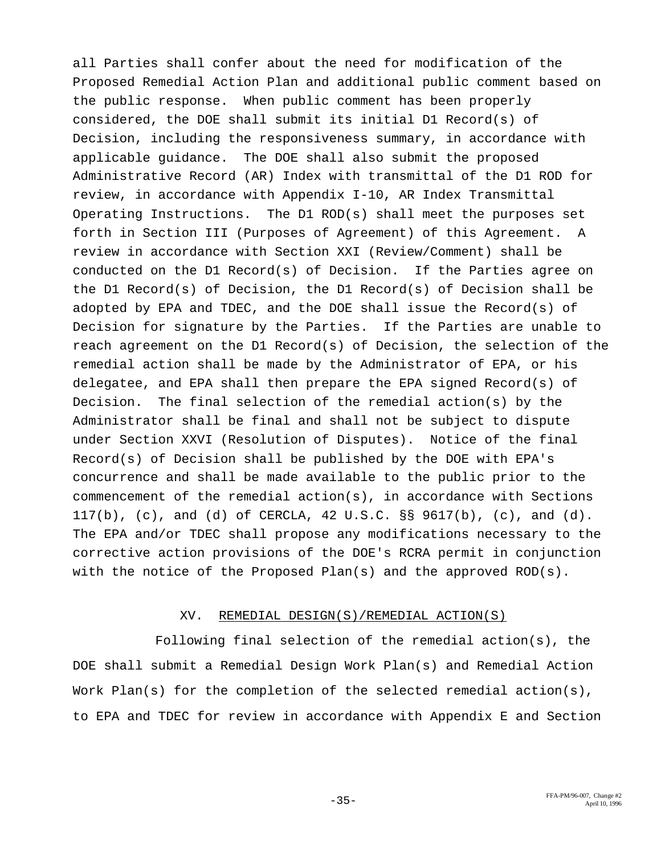all Parties shall confer about the need for modification of the Proposed Remedial Action Plan and additional public comment based on the public response. When public comment has been properly considered, the DOE shall submit its initial D1 Record(s) of Decision, including the responsiveness summary, in accordance with applicable guidance. The DOE shall also submit the proposed Administrative Record (AR) Index with transmittal of the D1 ROD for review, in accordance with Appendix I-10, AR Index Transmittal Operating Instructions. The D1 ROD(s) shall meet the purposes set forth in Section III (Purposes of Agreement) of this Agreement. A review in accordance with Section XXI (Review/Comment) shall be conducted on the D1 Record(s) of Decision. If the Parties agree on the D1 Record(s) of Decision, the D1 Record(s) of Decision shall be adopted by EPA and TDEC, and the DOE shall issue the Record(s) of Decision for signature by the Parties. If the Parties are unable to reach agreement on the D1 Record(s) of Decision, the selection of the remedial action shall be made by the Administrator of EPA, or his delegatee, and EPA shall then prepare the EPA signed Record(s) of Decision. The final selection of the remedial action(s) by the Administrator shall be final and shall not be subject to dispute under Section XXVI (Resolution of Disputes). Notice of the final Record(s) of Decision shall be published by the DOE with EPA's concurrence and shall be made available to the public prior to the commencement of the remedial action(s), in accordance with Sections 117(b), (c), and (d) of CERCLA, 42 U.S.C. §§ 9617(b), (c), and (d). The EPA and/or TDEC shall propose any modifications necessary to the corrective action provisions of the DOE's RCRA permit in conjunction with the notice of the Proposed Plan(s) and the approved ROD(s).

## XV. REMEDIAL DESIGN(S)/REMEDIAL ACTION(S)

Following final selection of the remedial action(s), the DOE shall submit a Remedial Design Work Plan(s) and Remedial Action Work Plan(s) for the completion of the selected remedial action(s), to EPA and TDEC for review in accordance with Appendix E and Section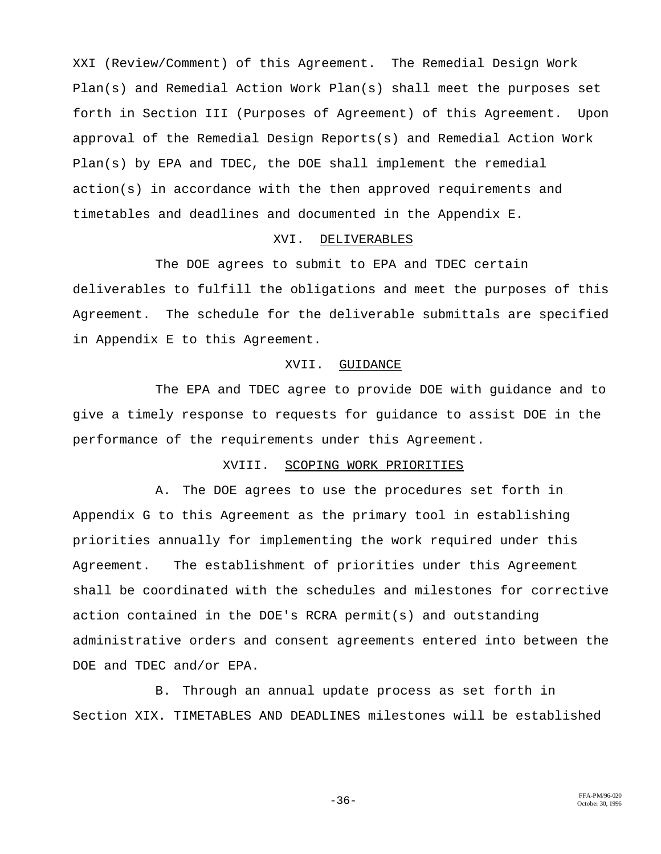XXI (Review/Comment) of this Agreement. The Remedial Design Work Plan(s) and Remedial Action Work Plan(s) shall meet the purposes set forth in Section III (Purposes of Agreement) of this Agreement. Upon approval of the Remedial Design Reports(s) and Remedial Action Work Plan(s) by EPA and TDEC, the DOE shall implement the remedial action(s) in accordance with the then approved requirements and timetables and deadlines and documented in the Appendix E.

#### XVI. DELIVERABLES

The DOE agrees to submit to EPA and TDEC certain deliverables to fulfill the obligations and meet the purposes of this Agreement. The schedule for the deliverable submittals are specified in Appendix E to this Agreement.

#### XVII. GUIDANCE

The EPA and TDEC agree to provide DOE with guidance and to give a timely response to requests for guidance to assist DOE in the performance of the requirements under this Agreement.

## XVIII. SCOPING WORK PRIORITIES

A. The DOE agrees to use the procedures set forth in Appendix G to this Agreement as the primary tool in establishing priorities annually for implementing the work required under this Agreement. The establishment of priorities under this Agreement shall be coordinated with the schedules and milestones for corrective action contained in the DOE's RCRA permit(s) and outstanding administrative orders and consent agreements entered into between the DOE and TDEC and/or EPA.

B. Through an annual update process as set forth in Section XIX. TIMETABLES AND DEADLINES milestones will be established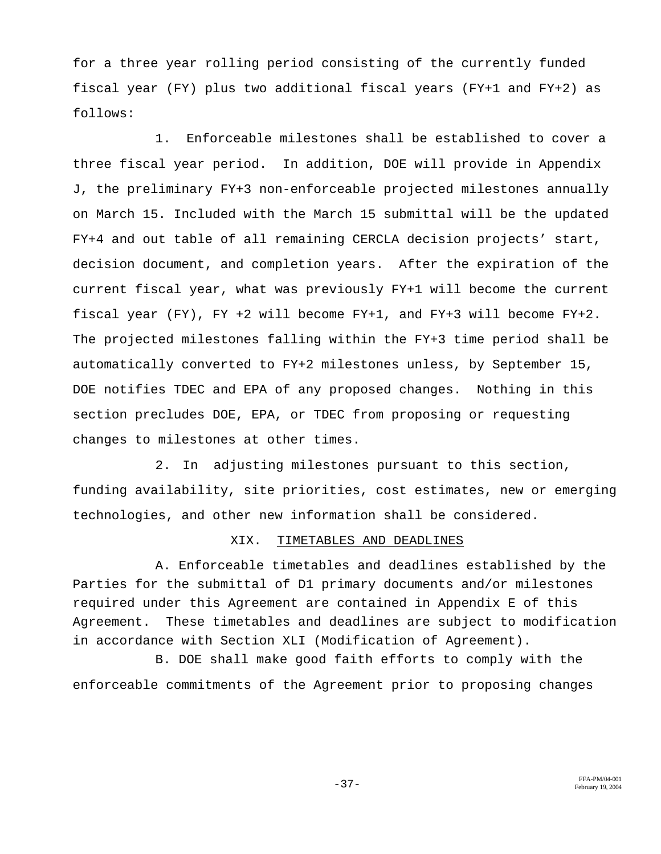for a three year rolling period consisting of the currently funded fiscal year (FY) plus two additional fiscal years (FY+1 and FY+2) as follows:

1. Enforceable milestones shall be established to cover a three fiscal year period. In addition, DOE will provide in Appendix J, the preliminary FY+3 non-enforceable projected milestones annually on March 15. Included with the March 15 submittal will be the updated FY+4 and out table of all remaining CERCLA decision projects' start, decision document, and completion years. After the expiration of the current fiscal year, what was previously FY+1 will become the current fiscal year (FY), FY +2 will become FY+1, and FY+3 will become FY+2. The projected milestones falling within the FY+3 time period shall be automatically converted to FY+2 milestones unless, by September 15, DOE notifies TDEC and EPA of any proposed changes. Nothing in this section precludes DOE, EPA, or TDEC from proposing or requesting changes to milestones at other times.

2. In adjusting milestones pursuant to this section, funding availability, site priorities, cost estimates, new or emerging technologies, and other new information shall be considered.

### XIX. TIMETABLES AND DEADLINES

A. Enforceable timetables and deadlines established by the Parties for the submittal of D1 primary documents and/or milestones required under this Agreement are contained in Appendix E of this Agreement. These timetables and deadlines are subject to modification in accordance with Section XLI (Modification of Agreement).

B. DOE shall make good faith efforts to comply with the enforceable commitments of the Agreement prior to proposing changes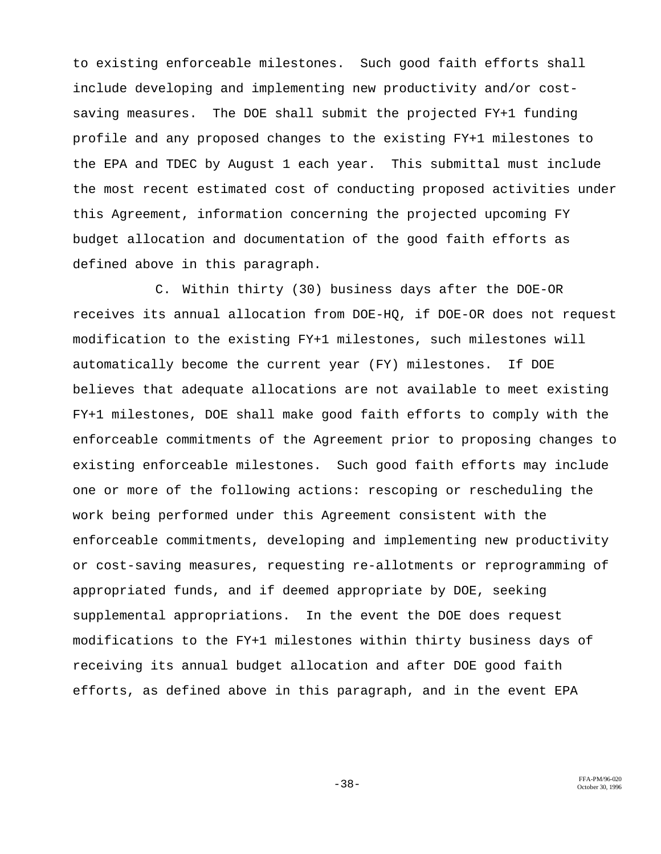to existing enforceable milestones. Such good faith efforts shall include developing and implementing new productivity and/or costsaving measures. The DOE shall submit the projected FY+1 funding profile and any proposed changes to the existing FY+1 milestones to the EPA and TDEC by August 1 each year. This submittal must include the most recent estimated cost of conducting proposed activities under this Agreement, information concerning the projected upcoming FY budget allocation and documentation of the good faith efforts as defined above in this paragraph.

C. Within thirty (30) business days after the DOE-OR receives its annual allocation from DOE-HQ, if DOE-OR does not request modification to the existing FY+1 milestones, such milestones will automatically become the current year (FY) milestones. If DOE believes that adequate allocations are not available to meet existing FY+1 milestones, DOE shall make good faith efforts to comply with the enforceable commitments of the Agreement prior to proposing changes to existing enforceable milestones. Such good faith efforts may include one or more of the following actions: rescoping or rescheduling the work being performed under this Agreement consistent with the enforceable commitments, developing and implementing new productivity or cost-saving measures, requesting re-allotments or reprogramming of appropriated funds, and if deemed appropriate by DOE, seeking supplemental appropriations. In the event the DOE does request modifications to the FY+1 milestones within thirty business days of receiving its annual budget allocation and after DOE good faith efforts, as defined above in this paragraph, and in the event EPA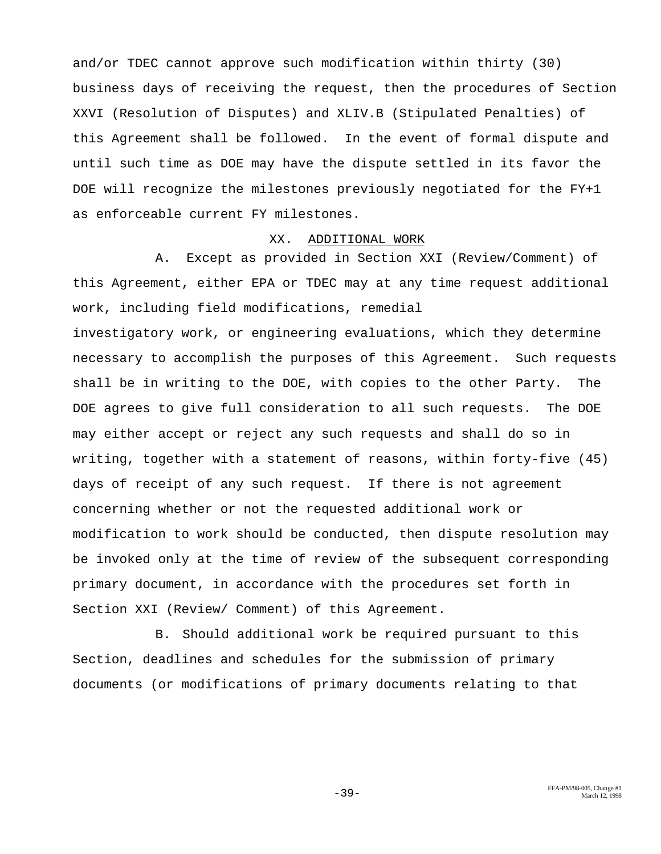and/or TDEC cannot approve such modification within thirty (30) business days of receiving the request, then the procedures of Section XXVI (Resolution of Disputes) and XLIV.B (Stipulated Penalties) of this Agreement shall be followed. In the event of formal dispute and until such time as DOE may have the dispute settled in its favor the DOE will recognize the milestones previously negotiated for the FY+1 as enforceable current FY milestones.

#### XX. ADDITIONAL WORK

A. Except as provided in Section XXI (Review/Comment) of this Agreement, either EPA or TDEC may at any time request additional work, including field modifications, remedial

investigatory work, or engineering evaluations, which they determine necessary to accomplish the purposes of this Agreement. Such requests shall be in writing to the DOE, with copies to the other Party. The DOE agrees to give full consideration to all such requests. The DOE may either accept or reject any such requests and shall do so in writing, together with a statement of reasons, within forty-five (45) days of receipt of any such request. If there is not agreement concerning whether or not the requested additional work or modification to work should be conducted, then dispute resolution may be invoked only at the time of review of the subsequent corresponding primary document, in accordance with the procedures set forth in Section XXI (Review/ Comment) of this Agreement.

B. Should additional work be required pursuant to this Section, deadlines and schedules for the submission of primary documents (or modifications of primary documents relating to that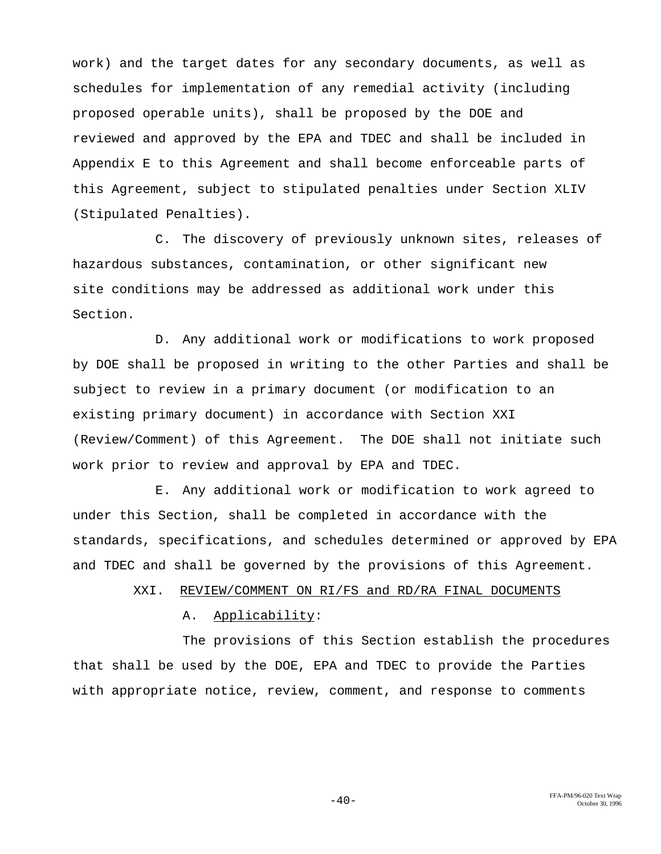work) and the target dates for any secondary documents, as well as schedules for implementation of any remedial activity (including proposed operable units), shall be proposed by the DOE and reviewed and approved by the EPA and TDEC and shall be included in Appendix E to this Agreement and shall become enforceable parts of this Agreement, subject to stipulated penalties under Section XLIV (Stipulated Penalties).

C. The discovery of previously unknown sites, releases of hazardous substances, contamination, or other significant new site conditions may be addressed as additional work under this Section.

D. Any additional work or modifications to work proposed by DOE shall be proposed in writing to the other Parties and shall be subject to review in a primary document (or modification to an existing primary document) in accordance with Section XXI (Review/Comment) of this Agreement. The DOE shall not initiate such work prior to review and approval by EPA and TDEC.

E. Any additional work or modification to work agreed to under this Section, shall be completed in accordance with the standards, specifications, and schedules determined or approved by EPA and TDEC and shall be governed by the provisions of this Agreement.

XXI. REVIEW/COMMENT ON RI/FS and RD/RA FINAL DOCUMENTS

## A. Applicability:

The provisions of this Section establish the procedures that shall be used by the DOE, EPA and TDEC to provide the Parties with appropriate notice, review, comment, and response to comments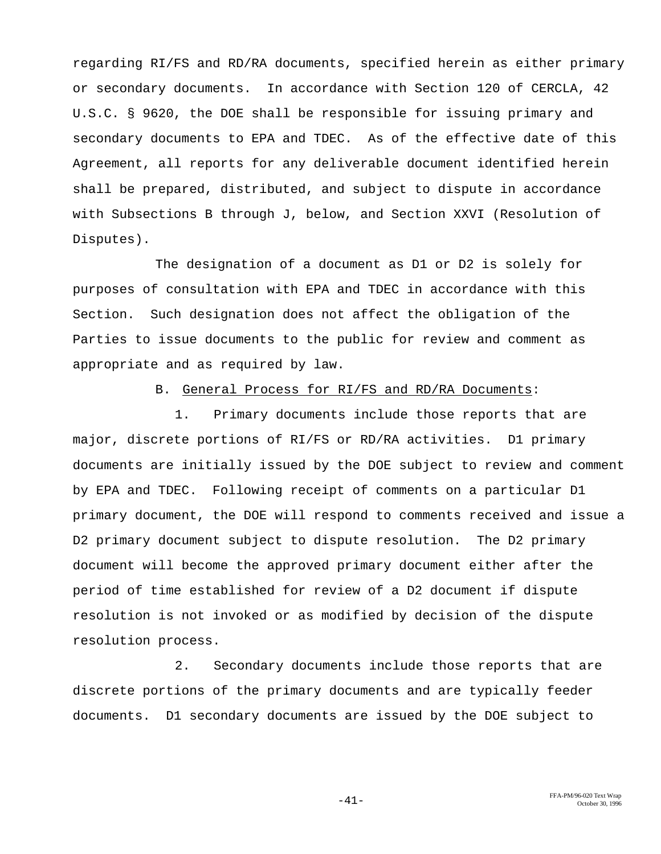regarding RI/FS and RD/RA documents, specified herein as either primary or secondary documents. In accordance with Section 120 of CERCLA, 42 U.S.C. § 9620, the DOE shall be responsible for issuing primary and secondary documents to EPA and TDEC. As of the effective date of this Agreement, all reports for any deliverable document identified herein shall be prepared, distributed, and subject to dispute in accordance with Subsections B through J, below, and Section XXVI (Resolution of Disputes).

The designation of a document as D1 or D2 is solely for purposes of consultation with EPA and TDEC in accordance with this Section. Such designation does not affect the obligation of the Parties to issue documents to the public for review and comment as appropriate and as required by law.

## B. General Process for RI/FS and RD/RA Documents:

1. Primary documents include those reports that are major, discrete portions of RI/FS or RD/RA activities. D1 primary documents are initially issued by the DOE subject to review and comment by EPA and TDEC. Following receipt of comments on a particular D1 primary document, the DOE will respond to comments received and issue a D2 primary document subject to dispute resolution. The D2 primary document will become the approved primary document either after the period of time established for review of a D2 document if dispute resolution is not invoked or as modified by decision of the dispute resolution process.

2. Secondary documents include those reports that are discrete portions of the primary documents and are typically feeder documents. D1 secondary documents are issued by the DOE subject to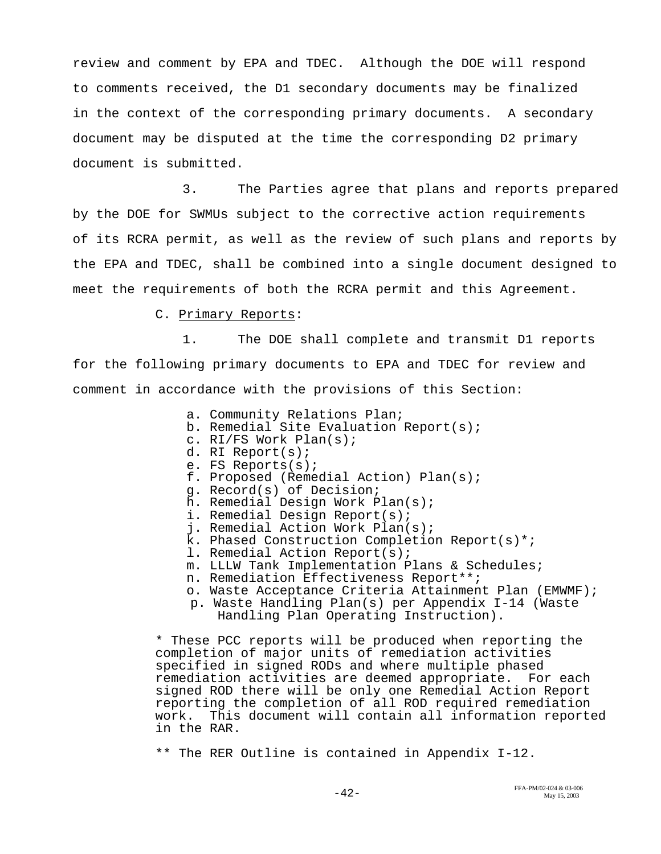review and comment by EPA and TDEC. Although the DOE will respond to comments received, the D1 secondary documents may be finalized in the context of the corresponding primary documents. A secondary document may be disputed at the time the corresponding D2 primary document is submitted.

3. The Parties agree that plans and reports prepared by the DOE for SWMUs subject to the corrective action requirements of its RCRA permit, as well as the review of such plans and reports by the EPA and TDEC, shall be combined into a single document designed to meet the requirements of both the RCRA permit and this Agreement.

C. Primary Reports:

1. The DOE shall complete and transmit D1 reports for the following primary documents to EPA and TDEC for review and comment in accordance with the provisions of this Section:

- a. Community Relations Plan;
- b. Remedial Site Evaluation Report(s);
- c. RI/FS Work Plan(s);
- d. RI Report(s);
- e. FS Reports(s);
- f. Proposed (Remedial Action) Plan(s);
- g. Record(s) of Decision;
- h. Remedial Design Work Plan(s);
- i. Remedial Design Report(s);
- j. Remedial Action Work Plan(s);
- k. Phased Construction Completion Report(s)\*;
- l. Remedial Action Report(s);
- m. LLLW Tank Implementation Plans & Schedules;
- n. Remediation Effectiveness Report\*\*;
- o. Waste Acceptance Criteria Attainment Plan (EMWMF);
- p. Waste Handling Plan(s) per Appendix I-14 (Waste Handling Plan Operating Instruction).

\* These PCC reports will be produced when reporting the completion of major units of remediation activities specified in signed RODs and where multiple phased remediation activities are deemed appropriate. For each signed ROD there will be only one Remedial Action Report reporting the completion of all ROD required remediation work. This document will contain all information reported in the RAR.

\*\* The RER Outline is contained in Appendix I-12.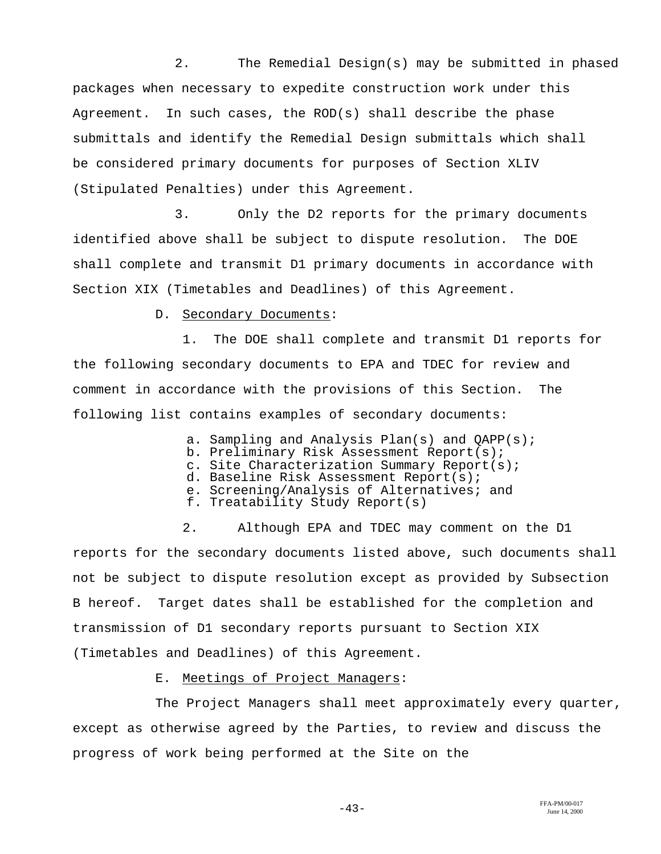2. The Remedial Design(s) may be submitted in phased packages when necessary to expedite construction work under this Agreement. In such cases, the ROD(s) shall describe the phase submittals and identify the Remedial Design submittals which shall be considered primary documents for purposes of Section XLIV (Stipulated Penalties) under this Agreement.

3. Only the D2 reports for the primary documents identified above shall be subject to dispute resolution. The DOE shall complete and transmit D1 primary documents in accordance with Section XIX (Timetables and Deadlines) of this Agreement.

D. Secondary Documents:

1. The DOE shall complete and transmit D1 reports for the following secondary documents to EPA and TDEC for review and comment in accordance with the provisions of this Section. The following list contains examples of secondary documents:

a. Sampling and Analysis Plan(s) and QAPP(s);

- b. Preliminary Risk Assessment Report(s);
- c. Site Characterization Summary Report(s);
- d. Baseline Risk Assessment Report(s);
- e. Screening/Analysis of Alternatives; and
- f. Treatability Study Report(s)

2. Although EPA and TDEC may comment on the D1 reports for the secondary documents listed above, such documents shall not be subject to dispute resolution except as provided by Subsection B hereof. Target dates shall be established for the completion and transmission of D1 secondary reports pursuant to Section XIX (Timetables and Deadlines) of this Agreement.

E. Meetings of Project Managers:

The Project Managers shall meet approximately every quarter, except as otherwise agreed by the Parties, to review and discuss the progress of work being performed at the Site on the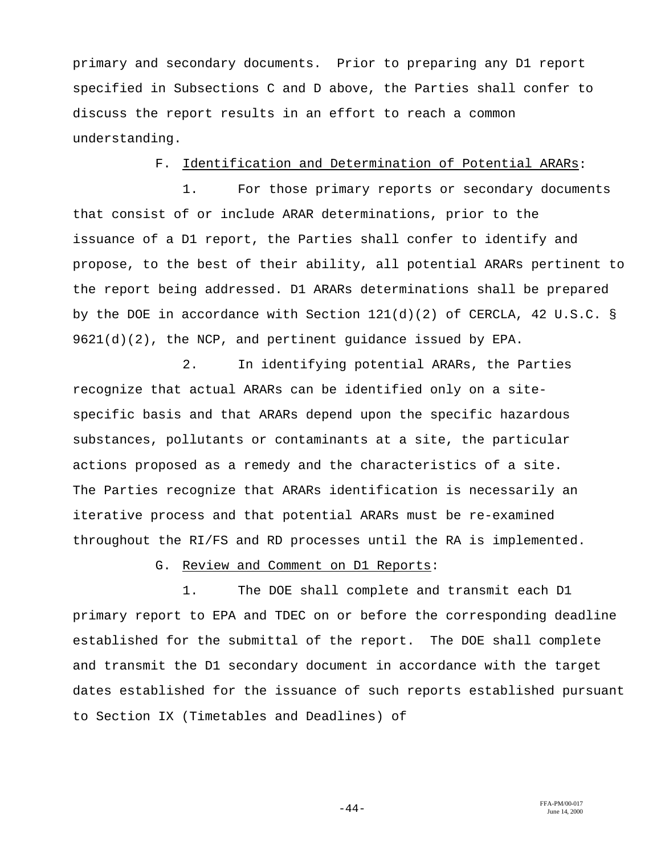primary and secondary documents. Prior to preparing any D1 report specified in Subsections C and D above, the Parties shall confer to discuss the report results in an effort to reach a common understanding.

## F. Identification and Determination of Potential ARARs:

1. For those primary reports or secondary documents that consist of or include ARAR determinations, prior to the issuance of a D1 report, the Parties shall confer to identify and propose, to the best of their ability, all potential ARARs pertinent to the report being addressed. D1 ARARs determinations shall be prepared by the DOE in accordance with Section 121(d)(2) of CERCLA, 42 U.S.C. §  $9621(d)(2)$ , the NCP, and pertinent quidance issued by EPA.

2. In identifying potential ARARs, the Parties recognize that actual ARARs can be identified only on a sitespecific basis and that ARARs depend upon the specific hazardous substances, pollutants or contaminants at a site, the particular actions proposed as a remedy and the characteristics of a site. The Parties recognize that ARARs identification is necessarily an iterative process and that potential ARARs must be re-examined throughout the RI/FS and RD processes until the RA is implemented.

G. Review and Comment on D1 Reports:

1. The DOE shall complete and transmit each D1 primary report to EPA and TDEC on or before the corresponding deadline established for the submittal of the report. The DOE shall complete and transmit the D1 secondary document in accordance with the target dates established for the issuance of such reports established pursuant to Section IX (Timetables and Deadlines) of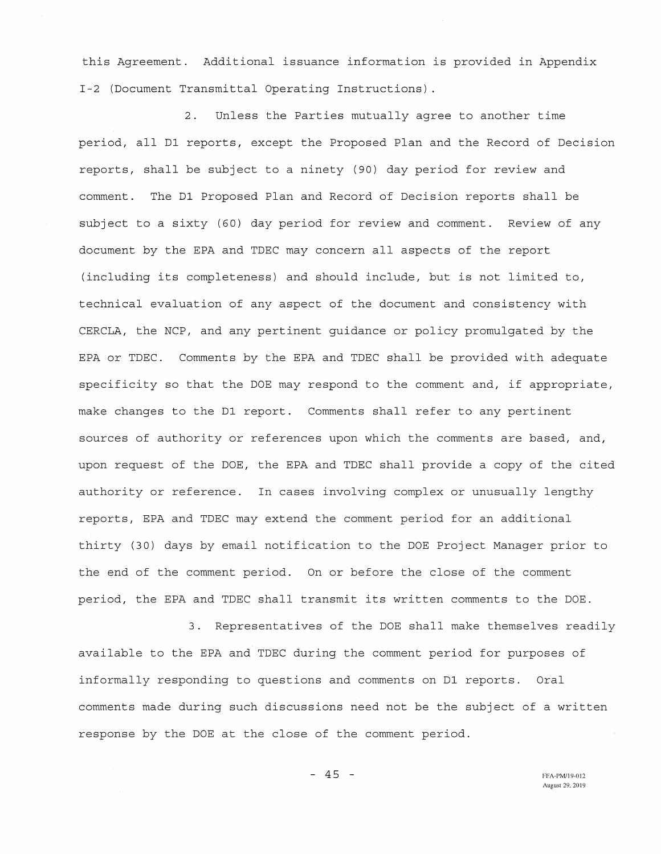this Agreement. Additional issuance information is provided in Appendix I-2 (Document Transmittal Operating Instructions).

2. Unless the Parties mutually agree to another time period, all D1 reports, except the Proposed Plan and the Record of Decision reports, shall be subject to a ninety (90) day period for review and comment. The D1 Proposed Plan and Record of Decision reports shall be subject to a sixty (60) day period for review and comment. Review of any document by the EPA and TDEC may concern all aspects of the report (including its completeness) and should include, but is not limited to, technical evaluation of any aspect of the document and consistency with CERCLA, the NCP, and any pertinent guidance or policy promulgated by the EPA or TDEC. Comments by the EPA and TDEC shall be provided with adequate specificity so that the DOE may respond to the comment and, if appropriate, make changes to the D1 report. Comments shall refer to any pertinent sources of authority or references upon which the comments are based, and, upon request of the DOE, the EPA and TDEC shall provide a copy of the cited authority or reference. In cases involving complex or unusually lengthy reports, EPA and TDEC may extend the comment period for an additional thirty (30) days by email notification to the DOE Project Manager prior to the end of the comment period. On or before the close of the comment period, the EPA and TDEC shall transmit its written comments to the DOE.

3. Representatives of the DOE shall make themselves readily available to the EPA and TDEC during the comment period for purposes of informally responding to questions and comments on D1 reports. Oral comments made during such discussions need not be the subject of a written response by the DOE at the close of the comment period.

 $-45 -$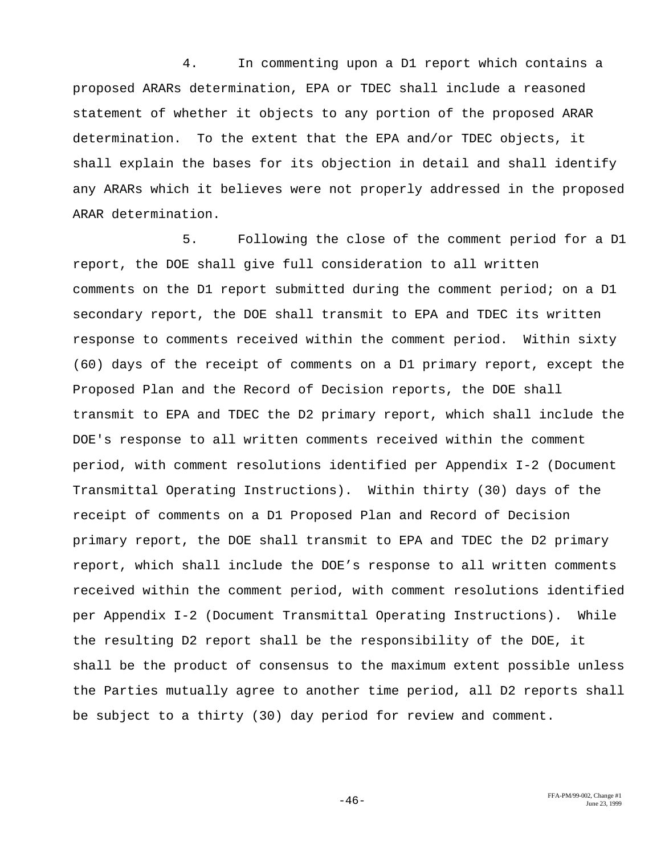4. In commenting upon a D1 report which contains a proposed ARARs determination, EPA or TDEC shall include a reasoned statement of whether it objects to any portion of the proposed ARAR determination. To the extent that the EPA and/or TDEC objects, it shall explain the bases for its objection in detail and shall identify any ARARs which it believes were not properly addressed in the proposed ARAR determination.

5. Following the close of the comment period for a D1 report, the DOE shall give full consideration to all written comments on the D1 report submitted during the comment period; on a D1 secondary report, the DOE shall transmit to EPA and TDEC its written response to comments received within the comment period. Within sixty (60) days of the receipt of comments on a D1 primary report, except the Proposed Plan and the Record of Decision reports, the DOE shall transmit to EPA and TDEC the D2 primary report, which shall include the DOE's response to all written comments received within the comment period, with comment resolutions identified per Appendix I-2 (Document Transmittal Operating Instructions). Within thirty (30) days of the receipt of comments on a D1 Proposed Plan and Record of Decision primary report, the DOE shall transmit to EPA and TDEC the D2 primary report, which shall include the DOE's response to all written comments received within the comment period, with comment resolutions identified per Appendix I-2 (Document Transmittal Operating Instructions). While the resulting D2 report shall be the responsibility of the DOE, it shall be the product of consensus to the maximum extent possible unless the Parties mutually agree to another time period, all D2 reports shall be subject to a thirty (30) day period for review and comment.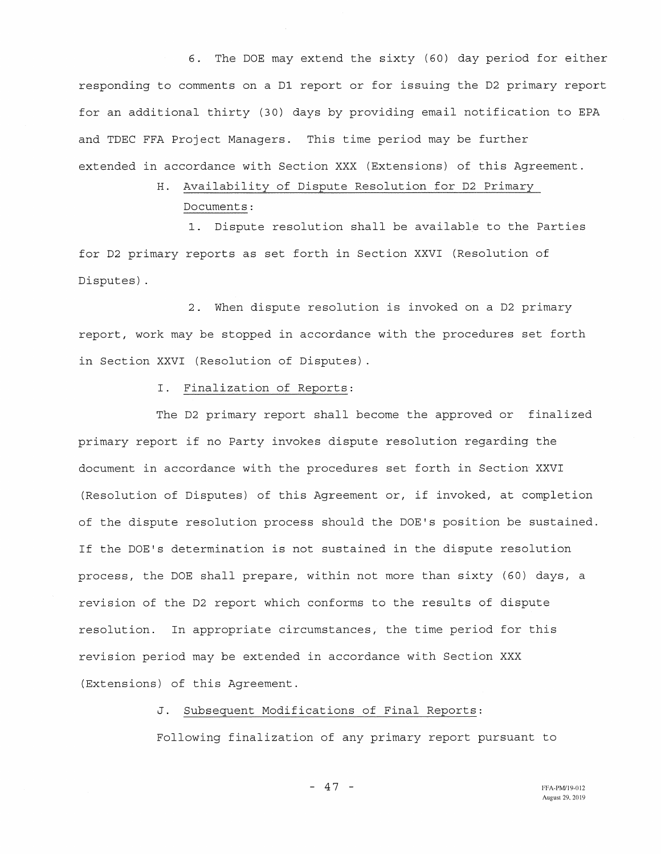6. The DOE may extend the sixty (60) day period for either responding to comments on a D1 report or for issuing the D2 primary report for an additional thirty (30) days by providing email notification to EPA and TDEC FFA Project Managers. This time period may be further extended in accordance with Section XXX (Extensions) of this Agreement.

# H. Availability of Dispute Resolution for D2 Primary Documents:

1. Dispute resolution shall be available to the Parties for D2 primary reports as set forth in Section XXVI (Resolution of Disputes).

2. When dispute resolution is invoked on a D2 primary report, work may be stopped in accordance with the procedures set forth in Section XXVI (Resolution of Disputes).

I. Finalization of Reports:

The D2 primary report shall become the approved or finalized primary report if no Party invokes dispute resolution regarding the document in accordance with the procedures set forth in Section XXVI (Resolution of Disputes) of this Agreement or, if invoked, at completion of the dispute resolution process should the DOE's position be sustained. If the DOE's determination is not sustained in the dispute resolution process, the DOE shall prepare, within not more than sixty (60) days, a revision of the D2 report which conforms to the results of dispute resolution. In appropriate circumstances, the time period for this revision period may be extended in accordance with Section XXX (Extensions) of this Agreement.

J. Subsequent Modifications of Final Reports:

Following finalization of any primary report pursuant to

 $-47 -$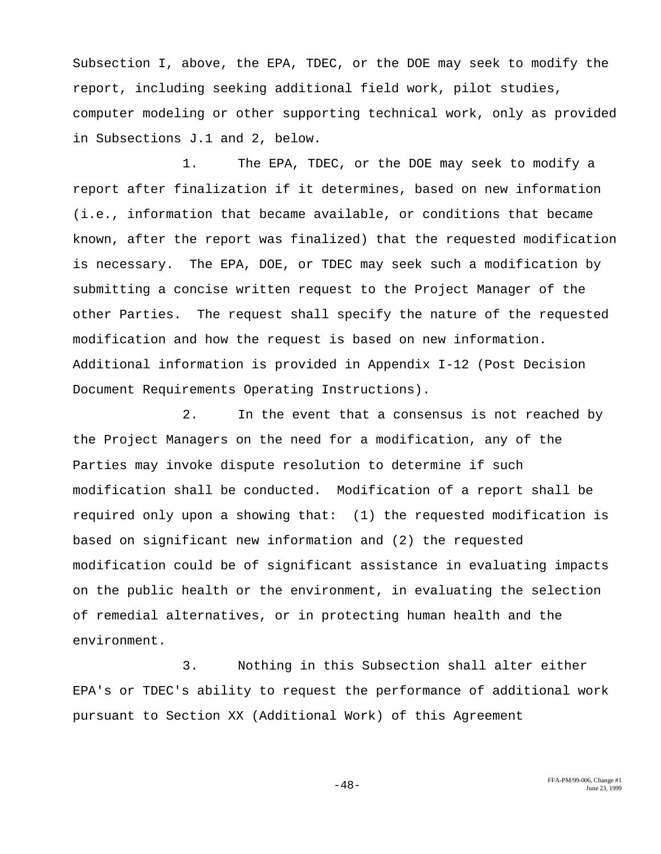Subsection I, above, the EPA, TDEC, or the DOE may seek to modify the report, including seeking additional field work, pilot studies, computer modeling or other supporting technical work, only as provided in Subsections J.1 and 2, below.

1. The EPA, TDEC, or the DOE may seek to modify a report after finalization if it determines, based on new information (i.e., information that became available, or conditions that became known, after the report was finalized) that the requested modification is necessary. The EPA, DOE, or TDEC may seek such a modification by submitting a concise written request to the Project Manager of the other Parties. The request shall specify the nature of the requested modification and how the request is based on new information. Additional information is provided in Appendix I-12 (Post Decision Document Requirements Operating Instructions).

2. In the event that a consensus is not reached by the Project Managers on the need for a modification, any of the Parties may invoke dispute resolution to determine if such modification shall be conducted. Modification of a report shall be required only upon a showing that: (1) the requested modification is based on significant new information and (2) the requested modification could be of significant assistance in evaluating impacts on the public health or the environment, in evaluating the selection of remedial alternatives, or in protecting human health and the environment.

3. Nothing in this Subsection shall alter either EPA's or TDEC's ability to request the performance of additional work pursuant to Section XX (Additional Work) of this Agreement

FFA-PM/99-006, Change #1  $-48-$  June 23, 1999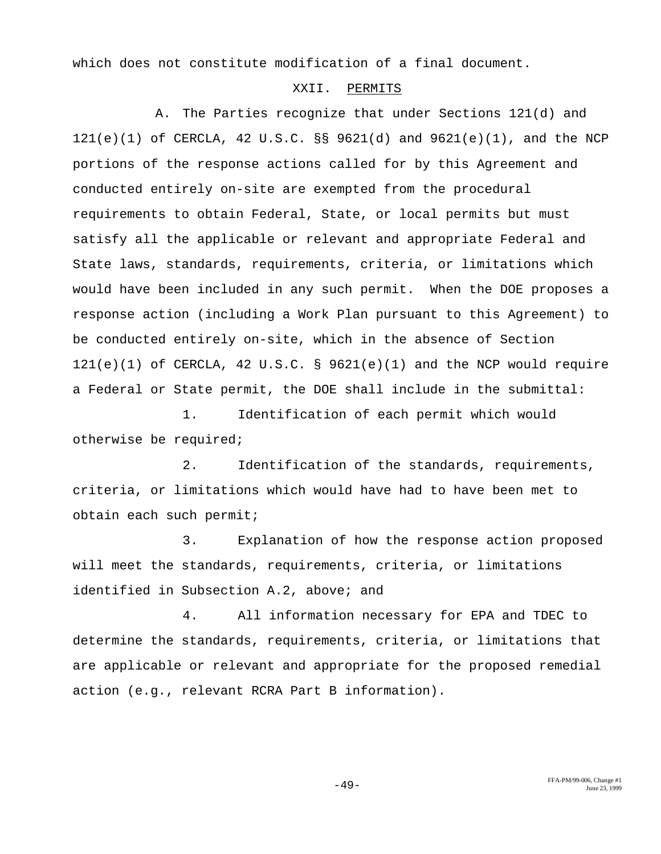which does not constitute modification of a final document.

## XXII. PERMITS

A. The Parties recognize that under Sections 121(d) and 121(e)(1) of CERCLA, 42 U.S.C. §§ 9621(d) and 9621(e)(1), and the NCP portions of the response actions called for by this Agreement and conducted entirely on-site are exempted from the procedural requirements to obtain Federal, State, or local permits but must satisfy all the applicable or relevant and appropriate Federal and State laws, standards, requirements, criteria, or limitations which would have been included in any such permit. When the DOE proposes a response action (including a Work Plan pursuant to this Agreement) to be conducted entirely on-site, which in the absence of Section  $121(e)(1)$  of CERCLA, 42 U.S.C. § 9621(e)(1) and the NCP would require a Federal or State permit, the DOE shall include in the submittal:

1. Identification of each permit which would otherwise be required;

2. Identification of the standards, requirements, criteria, or limitations which would have had to have been met to obtain each such permit;

3. Explanation of how the response action proposed will meet the standards, requirements, criteria, or limitations identified in Subsection A.2, above; and

4. All information necessary for EPA and TDEC to determine the standards, requirements, criteria, or limitations that are applicable or relevant and appropriate for the proposed remedial action (e.g., relevant RCRA Part B information).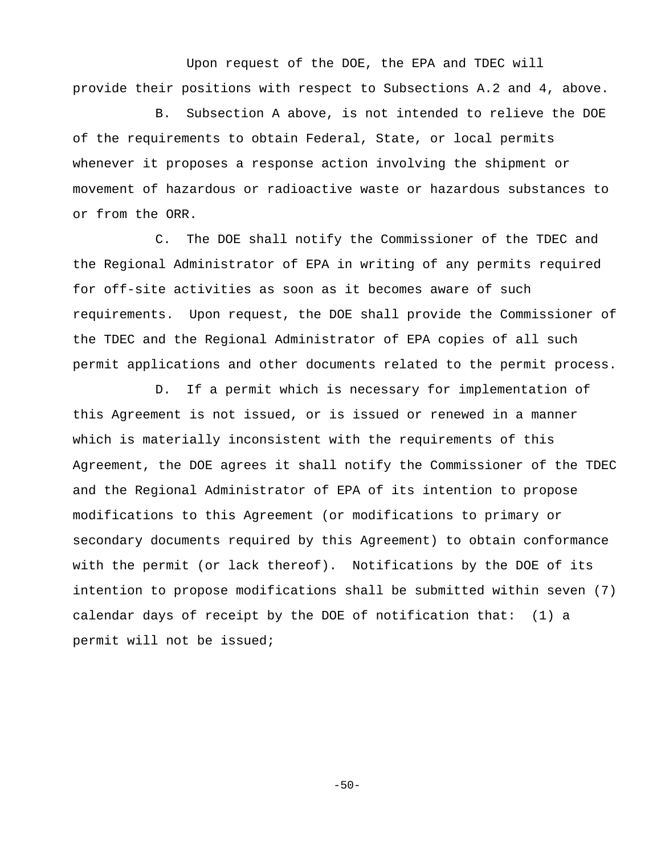Upon request of the DOE, the EPA and TDEC will provide their positions with respect to Subsections A.2 and 4, above.

B. Subsection A above, is not intended to relieve the DOE of the requirements to obtain Federal, State, or local permits whenever it proposes a response action involving the shipment or movement of hazardous or radioactive waste or hazardous substances to or from the ORR.

C. The DOE shall notify the Commissioner of the TDEC and the Regional Administrator of EPA in writing of any permits required for off-site activities as soon as it becomes aware of such requirements. Upon request, the DOE shall provide the Commissioner of the TDEC and the Regional Administrator of EPA copies of all such permit applications and other documents related to the permit process.

D. If a permit which is necessary for implementation of this Agreement is not issued, or is issued or renewed in a manner which is materially inconsistent with the requirements of this Agreement, the DOE agrees it shall notify the Commissioner of the TDEC and the Regional Administrator of EPA of its intention to propose modifications to this Agreement (or modifications to primary or secondary documents required by this Agreement) to obtain conformance with the permit (or lack thereof). Notifications by the DOE of its intention to propose modifications shall be submitted within seven (7) calendar days of receipt by the DOE of notification that: (1) a permit will not be issued;

 $-50-$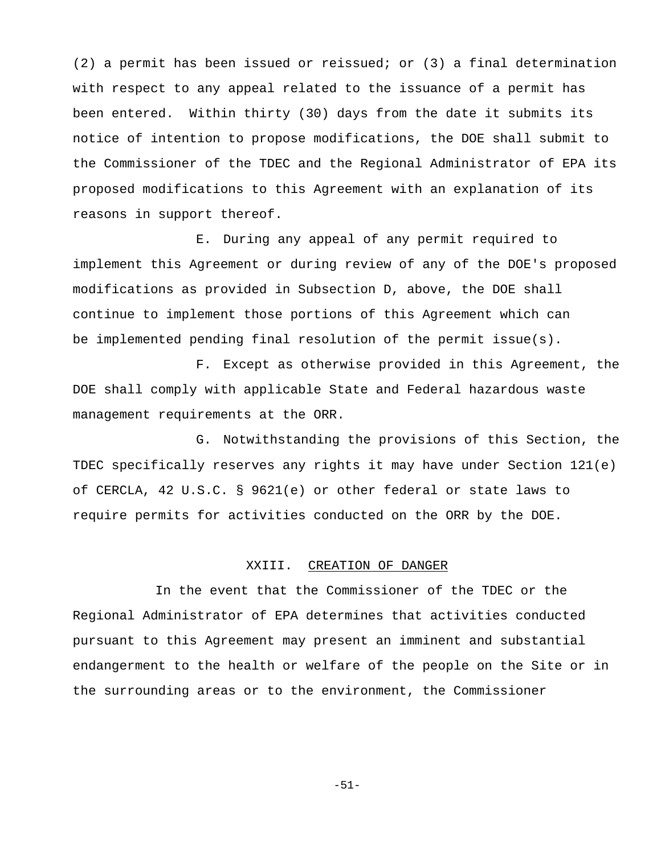(2) a permit has been issued or reissued; or (3) a final determination with respect to any appeal related to the issuance of a permit has been entered. Within thirty (30) days from the date it submits its notice of intention to propose modifications, the DOE shall submit to the Commissioner of the TDEC and the Regional Administrator of EPA its proposed modifications to this Agreement with an explanation of its reasons in support thereof.

E. During any appeal of any permit required to implement this Agreement or during review of any of the DOE's proposed modifications as provided in Subsection D, above, the DOE shall continue to implement those portions of this Agreement which can be implemented pending final resolution of the permit issue(s).

F. Except as otherwise provided in this Agreement, the DOE shall comply with applicable State and Federal hazardous waste management requirements at the ORR.

G. Notwithstanding the provisions of this Section, the TDEC specifically reserves any rights it may have under Section 121(e) of CERCLA, 42 U.S.C. § 9621(e) or other federal or state laws to require permits for activities conducted on the ORR by the DOE.

#### XXIII. CREATION OF DANGER

In the event that the Commissioner of the TDEC or the Regional Administrator of EPA determines that activities conducted pursuant to this Agreement may present an imminent and substantial endangerment to the health or welfare of the people on the Site or in the surrounding areas or to the environment, the Commissioner

-51-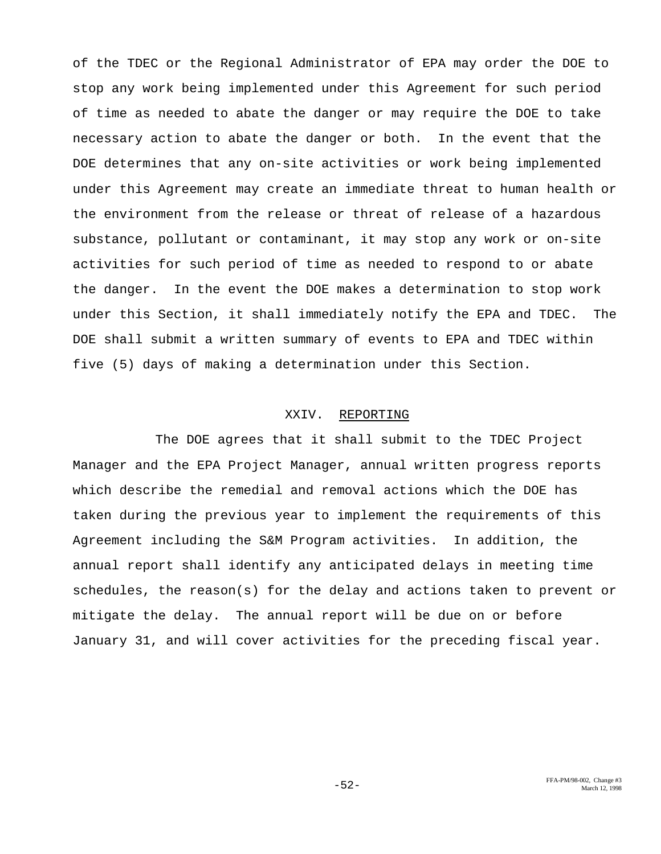of the TDEC or the Regional Administrator of EPA may order the DOE to stop any work being implemented under this Agreement for such period of time as needed to abate the danger or may require the DOE to take necessary action to abate the danger or both. In the event that the DOE determines that any on-site activities or work being implemented under this Agreement may create an immediate threat to human health or the environment from the release or threat of release of a hazardous substance, pollutant or contaminant, it may stop any work or on-site activities for such period of time as needed to respond to or abate the danger. In the event the DOE makes a determination to stop work under this Section, it shall immediately notify the EPA and TDEC. The DOE shall submit a written summary of events to EPA and TDEC within five (5) days of making a determination under this Section.

## XXIV. REPORTING

The DOE agrees that it shall submit to the TDEC Project Manager and the EPA Project Manager, annual written progress reports which describe the remedial and removal actions which the DOE has taken during the previous year to implement the requirements of this Agreement including the S&M Program activities. In addition, the annual report shall identify any anticipated delays in meeting time schedules, the reason(s) for the delay and actions taken to prevent or mitigate the delay. The annual report will be due on or before January 31, and will cover activities for the preceding fiscal year.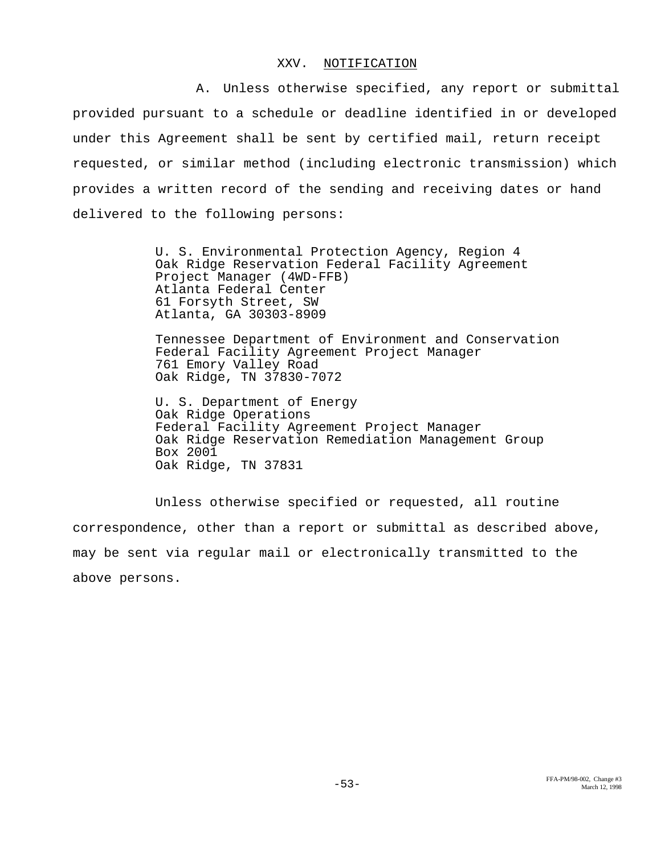#### XXV. NOTIFICATION

A. Unless otherwise specified, any report or submittal provided pursuant to a schedule or deadline identified in or developed under this Agreement shall be sent by certified mail, return receipt requested, or similar method (including electronic transmission) which provides a written record of the sending and receiving dates or hand delivered to the following persons:

> U. S. Environmental Protection Agency, Region 4 Oak Ridge Reservation Federal Facility Agreement Project Manager (4WD-FFB) Atlanta Federal Center 61 Forsyth Street, SW Atlanta, GA 30303-8909

Tennessee Department of Environment and Conservation Federal Facility Agreement Project Manager 761 Emory Valley Road Oak Ridge, TN 37830-7072

U. S. Department of Energy Oak Ridge Operations Federal Facility Agreement Project Manager Oak Ridge Reservation Remediation Management Group Box 2001 Oak Ridge, TN 37831

Unless otherwise specified or requested, all routine correspondence, other than a report or submittal as described above, may be sent via regular mail or electronically transmitted to the above persons.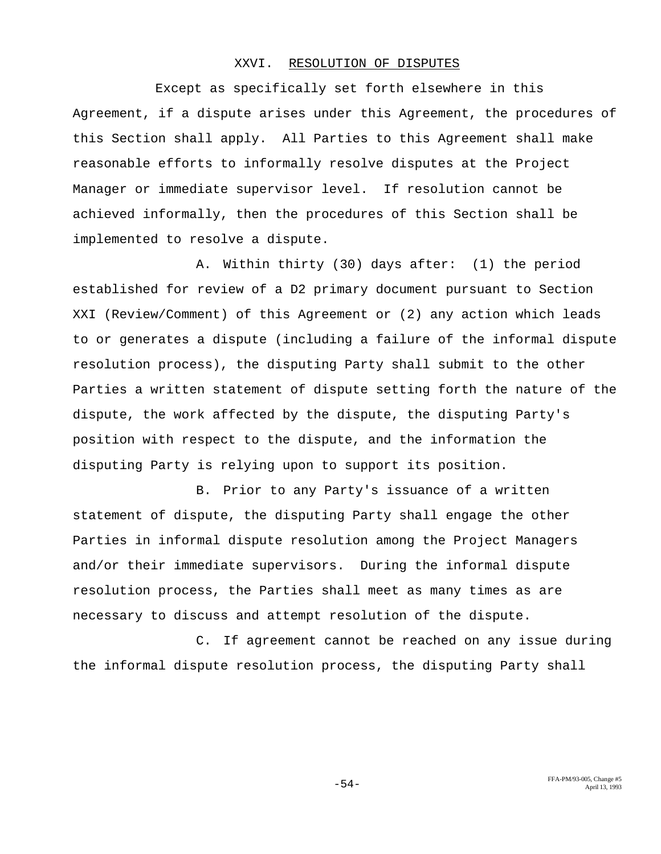#### XXVI. RESOLUTION OF DISPUTES

Except as specifically set forth elsewhere in this Agreement, if a dispute arises under this Agreement, the procedures of this Section shall apply. All Parties to this Agreement shall make reasonable efforts to informally resolve disputes at the Project Manager or immediate supervisor level. If resolution cannot be achieved informally, then the procedures of this Section shall be implemented to resolve a dispute.

A. Within thirty (30) days after: (1) the period established for review of a D2 primary document pursuant to Section XXI (Review/Comment) of this Agreement or (2) any action which leads to or generates a dispute (including a failure of the informal dispute resolution process), the disputing Party shall submit to the other Parties a written statement of dispute setting forth the nature of the dispute, the work affected by the dispute, the disputing Party's position with respect to the dispute, and the information the disputing Party is relying upon to support its position.

B. Prior to any Party's issuance of a written statement of dispute, the disputing Party shall engage the other Parties in informal dispute resolution among the Project Managers and/or their immediate supervisors. During the informal dispute resolution process, the Parties shall meet as many times as are necessary to discuss and attempt resolution of the dispute.

C. If agreement cannot be reached on any issue during the informal dispute resolution process, the disputing Party shall

FFA-PM/93-005, Change #5 -54- April 13, 1993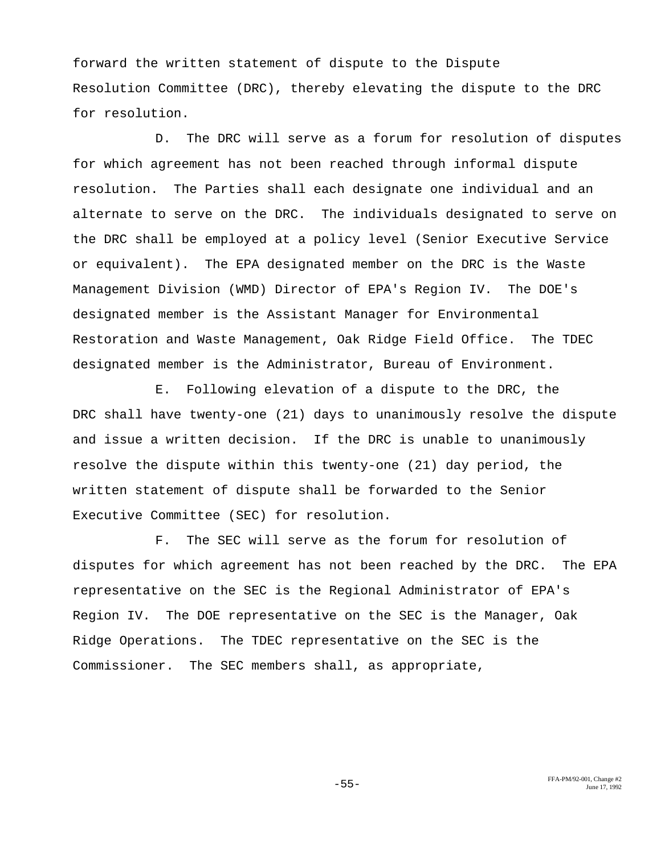forward the written statement of dispute to the Dispute Resolution Committee (DRC), thereby elevating the dispute to the DRC for resolution.

D. The DRC will serve as a forum for resolution of disputes for which agreement has not been reached through informal dispute resolution. The Parties shall each designate one individual and an alternate to serve on the DRC. The individuals designated to serve on the DRC shall be employed at a policy level (Senior Executive Service or equivalent). The EPA designated member on the DRC is the Waste Management Division (WMD) Director of EPA's Region IV. The DOE's designated member is the Assistant Manager for Environmental Restoration and Waste Management, Oak Ridge Field Office. The TDEC designated member is the Administrator, Bureau of Environment.

E. Following elevation of a dispute to the DRC, the DRC shall have twenty-one (21) days to unanimously resolve the dispute and issue a written decision. If the DRC is unable to unanimously resolve the dispute within this twenty-one (21) day period, the written statement of dispute shall be forwarded to the Senior Executive Committee (SEC) for resolution.

F. The SEC will serve as the forum for resolution of disputes for which agreement has not been reached by the DRC. The EPA representative on the SEC is the Regional Administrator of EPA's Region IV. The DOE representative on the SEC is the Manager, Oak Ridge Operations. The TDEC representative on the SEC is the Commissioner. The SEC members shall, as appropriate,

FFA-PM/92-001, Change #2<br>Iune 17, 1992<br>June 17, 1992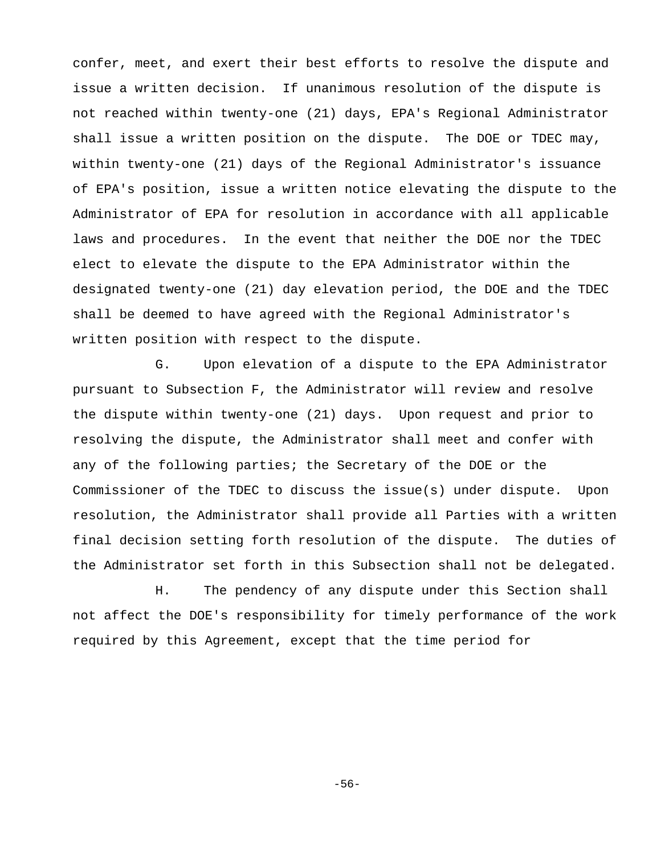confer, meet, and exert their best efforts to resolve the dispute and issue a written decision. If unanimous resolution of the dispute is not reached within twenty-one (21) days, EPA's Regional Administrator shall issue a written position on the dispute. The DOE or TDEC may, within twenty-one (21) days of the Regional Administrator's issuance of EPA's position, issue a written notice elevating the dispute to the Administrator of EPA for resolution in accordance with all applicable laws and procedures. In the event that neither the DOE nor the TDEC elect to elevate the dispute to the EPA Administrator within the designated twenty-one (21) day elevation period, the DOE and the TDEC shall be deemed to have agreed with the Regional Administrator's written position with respect to the dispute.

G. Upon elevation of a dispute to the EPA Administrator pursuant to Subsection F, the Administrator will review and resolve the dispute within twenty-one (21) days. Upon request and prior to resolving the dispute, the Administrator shall meet and confer with any of the following parties; the Secretary of the DOE or the Commissioner of the TDEC to discuss the issue(s) under dispute. Upon resolution, the Administrator shall provide all Parties with a written final decision setting forth resolution of the dispute. The duties of the Administrator set forth in this Subsection shall not be delegated.

H. The pendency of any dispute under this Section shall not affect the DOE's responsibility for timely performance of the work required by this Agreement, except that the time period for

-56-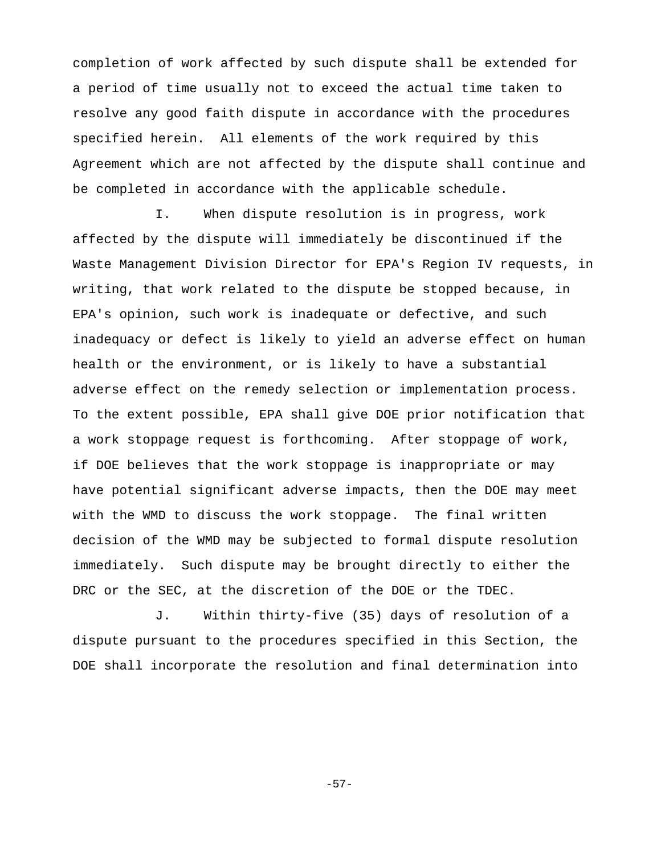completion of work affected by such dispute shall be extended for a period of time usually not to exceed the actual time taken to resolve any good faith dispute in accordance with the procedures specified herein. All elements of the work required by this Agreement which are not affected by the dispute shall continue and be completed in accordance with the applicable schedule.

I. When dispute resolution is in progress, work affected by the dispute will immediately be discontinued if the Waste Management Division Director for EPA's Region IV requests, in writing, that work related to the dispute be stopped because, in EPA's opinion, such work is inadequate or defective, and such inadequacy or defect is likely to yield an adverse effect on human health or the environment, or is likely to have a substantial adverse effect on the remedy selection or implementation process. To the extent possible, EPA shall give DOE prior notification that a work stoppage request is forthcoming. After stoppage of work, if DOE believes that the work stoppage is inappropriate or may have potential significant adverse impacts, then the DOE may meet with the WMD to discuss the work stoppage. The final written decision of the WMD may be subjected to formal dispute resolution immediately. Such dispute may be brought directly to either the DRC or the SEC, at the discretion of the DOE or the TDEC.

J. Within thirty-five (35) days of resolution of a dispute pursuant to the procedures specified in this Section, the DOE shall incorporate the resolution and final determination into

-57-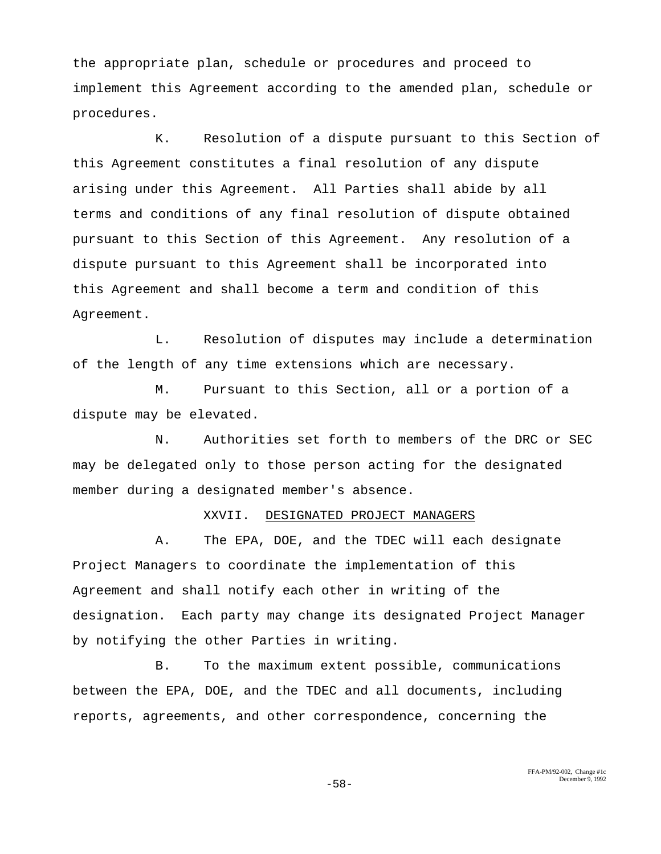the appropriate plan, schedule or procedures and proceed to implement this Agreement according to the amended plan, schedule or procedures.

K. Resolution of a dispute pursuant to this Section of this Agreement constitutes a final resolution of any dispute arising under this Agreement. All Parties shall abide by all terms and conditions of any final resolution of dispute obtained pursuant to this Section of this Agreement. Any resolution of a dispute pursuant to this Agreement shall be incorporated into this Agreement and shall become a term and condition of this Agreement.

L. Resolution of disputes may include a determination of the length of any time extensions which are necessary.

M. Pursuant to this Section, all or a portion of a dispute may be elevated.

N. Authorities set forth to members of the DRC or SEC may be delegated only to those person acting for the designated member during a designated member's absence.

#### XXVII. DESIGNATED PROJECT MANAGERS

A. The EPA, DOE, and the TDEC will each designate Project Managers to coordinate the implementation of this Agreement and shall notify each other in writing of the designation. Each party may change its designated Project Manager by notifying the other Parties in writing.

B. To the maximum extent possible, communications between the EPA, DOE, and the TDEC and all documents, including reports, agreements, and other correspondence, concerning the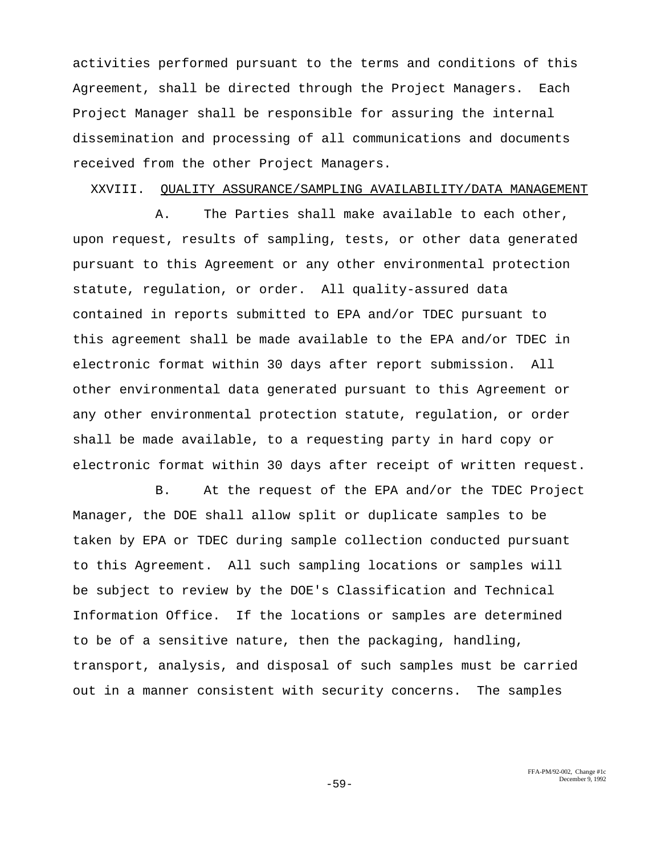activities performed pursuant to the terms and conditions of this Agreement, shall be directed through the Project Managers. Each Project Manager shall be responsible for assuring the internal dissemination and processing of all communications and documents received from the other Project Managers.

## XXVIII. QUALITY ASSURANCE/SAMPLING AVAILABILITY/DATA MANAGEMENT

A. The Parties shall make available to each other, upon request, results of sampling, tests, or other data generated pursuant to this Agreement or any other environmental protection statute, regulation, or order. All quality-assured data contained in reports submitted to EPA and/or TDEC pursuant to this agreement shall be made available to the EPA and/or TDEC in electronic format within 30 days after report submission. All other environmental data generated pursuant to this Agreement or any other environmental protection statute, regulation, or order shall be made available, to a requesting party in hard copy or electronic format within 30 days after receipt of written request.

B. At the request of the EPA and/or the TDEC Project Manager, the DOE shall allow split or duplicate samples to be taken by EPA or TDEC during sample collection conducted pursuant to this Agreement. All such sampling locations or samples will be subject to review by the DOE's Classification and Technical Information Office. If the locations or samples are determined to be of a sensitive nature, then the packaging, handling, transport, analysis, and disposal of such samples must be carried out in a manner consistent with security concerns. The samples

> FFA-PM/92-002, Change #1c **December 9, 1992** December 9, 1992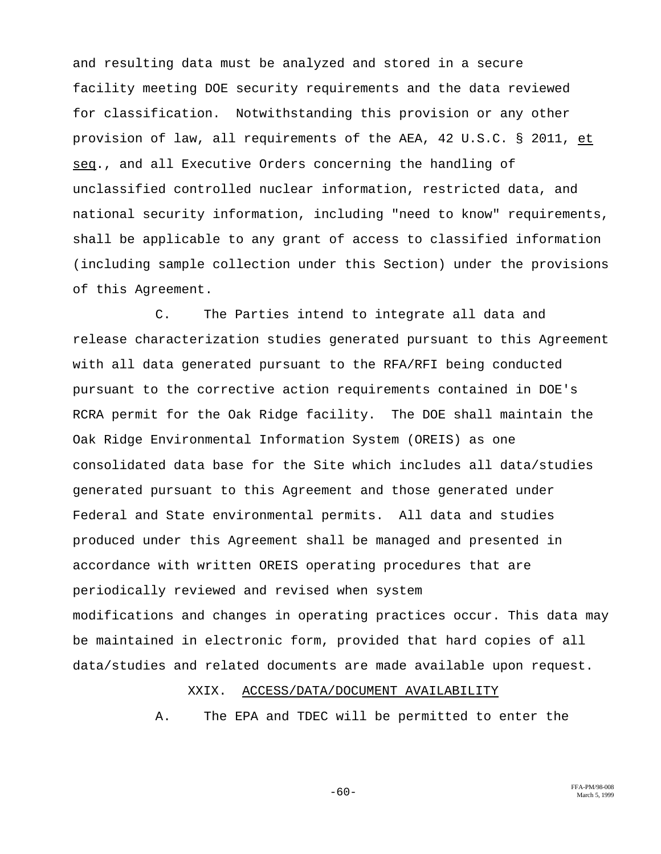and resulting data must be analyzed and stored in a secure facility meeting DOE security requirements and the data reviewed for classification. Notwithstanding this provision or any other provision of law, all requirements of the AEA, 42 U.S.C. § 2011, et seq., and all Executive Orders concerning the handling of unclassified controlled nuclear information, restricted data, and national security information, including "need to know" requirements, shall be applicable to any grant of access to classified information (including sample collection under this Section) under the provisions of this Agreement.

C. The Parties intend to integrate all data and release characterization studies generated pursuant to this Agreement with all data generated pursuant to the RFA/RFI being conducted pursuant to the corrective action requirements contained in DOE's RCRA permit for the Oak Ridge facility. The DOE shall maintain the Oak Ridge Environmental Information System (OREIS) as one consolidated data base for the Site which includes all data/studies generated pursuant to this Agreement and those generated under Federal and State environmental permits. All data and studies produced under this Agreement shall be managed and presented in accordance with written OREIS operating procedures that are periodically reviewed and revised when system modifications and changes in operating practices occur. This data may be maintained in electronic form, provided that hard copies of all data/studies and related documents are made available upon request.

## XXIX. ACCESS/DATA/DOCUMENT AVAILABILITY

A. The EPA and TDEC will be permitted to enter the

 $-60-$  FFA-PM/98-008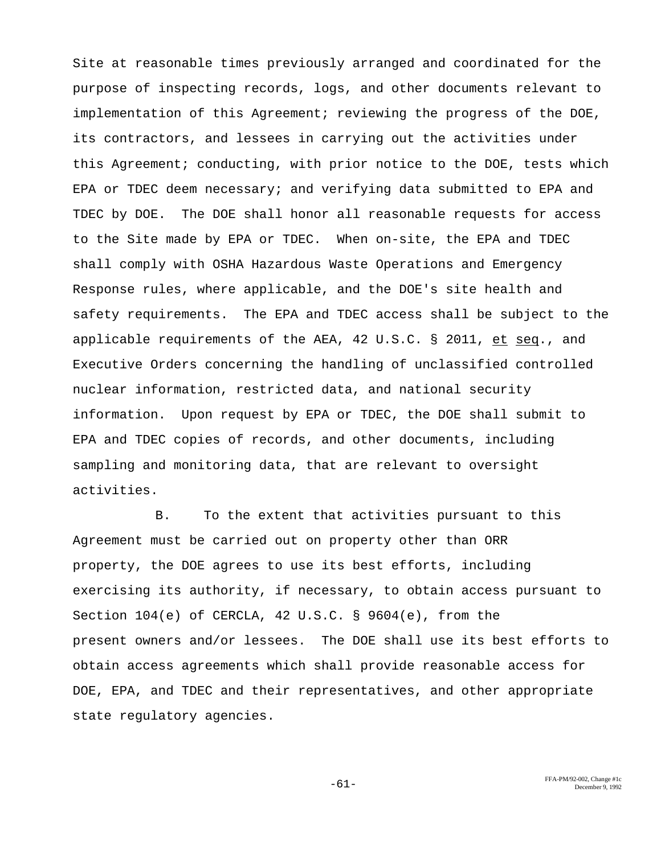Site at reasonable times previously arranged and coordinated for the purpose of inspecting records, logs, and other documents relevant to implementation of this Agreement; reviewing the progress of the DOE, its contractors, and lessees in carrying out the activities under this Agreement; conducting, with prior notice to the DOE, tests which EPA or TDEC deem necessary; and verifying data submitted to EPA and TDEC by DOE. The DOE shall honor all reasonable requests for access to the Site made by EPA or TDEC. When on-site, the EPA and TDEC shall comply with OSHA Hazardous Waste Operations and Emergency Response rules, where applicable, and the DOE's site health and safety requirements. The EPA and TDEC access shall be subject to the applicable requirements of the AEA, 42 U.S.C. § 2011, et seq., and Executive Orders concerning the handling of unclassified controlled nuclear information, restricted data, and national security information. Upon request by EPA or TDEC, the DOE shall submit to EPA and TDEC copies of records, and other documents, including sampling and monitoring data, that are relevant to oversight activities.

B. To the extent that activities pursuant to this Agreement must be carried out on property other than ORR property, the DOE agrees to use its best efforts, including exercising its authority, if necessary, to obtain access pursuant to Section 104(e) of CERCLA, 42 U.S.C. § 9604(e), from the present owners and/or lessees. The DOE shall use its best efforts to obtain access agreements which shall provide reasonable access for DOE, EPA, and TDEC and their representatives, and other appropriate state regulatory agencies.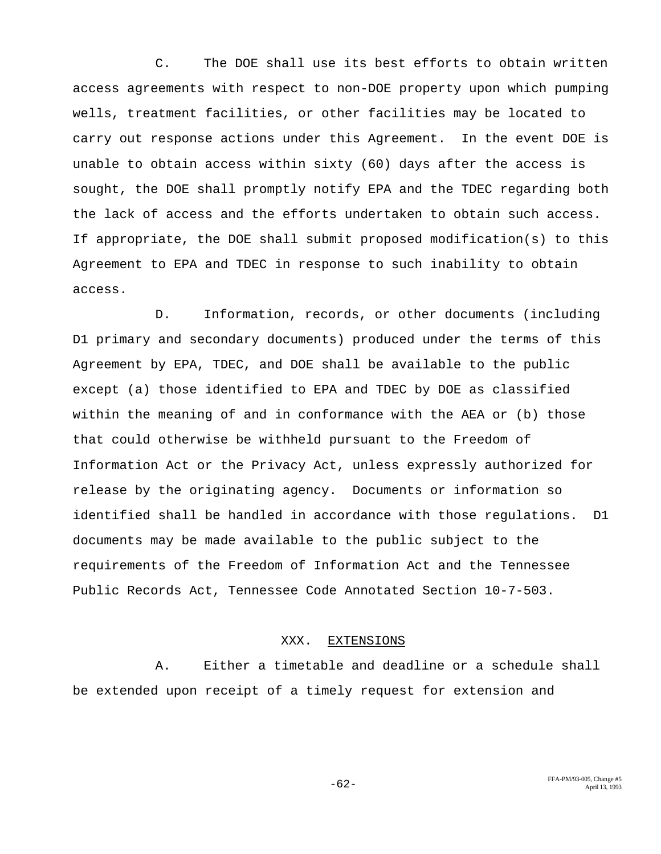C. The DOE shall use its best efforts to obtain written access agreements with respect to non-DOE property upon which pumping wells, treatment facilities, or other facilities may be located to carry out response actions under this Agreement. In the event DOE is unable to obtain access within sixty (60) days after the access is sought, the DOE shall promptly notify EPA and the TDEC regarding both the lack of access and the efforts undertaken to obtain such access. If appropriate, the DOE shall submit proposed modification(s) to this Agreement to EPA and TDEC in response to such inability to obtain access.

D. Information, records, or other documents (including D1 primary and secondary documents) produced under the terms of this Agreement by EPA, TDEC, and DOE shall be available to the public except (a) those identified to EPA and TDEC by DOE as classified within the meaning of and in conformance with the AEA or (b) those that could otherwise be withheld pursuant to the Freedom of Information Act or the Privacy Act, unless expressly authorized for release by the originating agency. Documents or information so identified shall be handled in accordance with those regulations. D1 documents may be made available to the public subject to the requirements of the Freedom of Information Act and the Tennessee Public Records Act, Tennessee Code Annotated Section 10-7-503.

## XXX. EXTENSIONS

A. Either a timetable and deadline or a schedule shall be extended upon receipt of a timely request for extension and

FFA-PM/93-005, Change #5<br>April 13, 1993 - April 13, 1993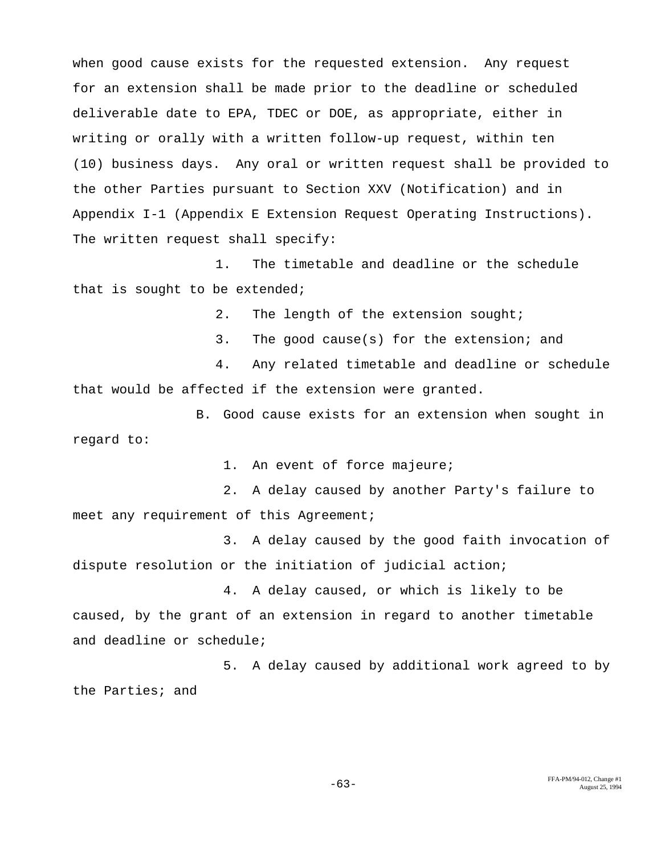when good cause exists for the requested extension. Any request for an extension shall be made prior to the deadline or scheduled deliverable date to EPA, TDEC or DOE, as appropriate, either in writing or orally with a written follow-up request, within ten (10) business days. Any oral or written request shall be provided to the other Parties pursuant to Section XXV (Notification) and in Appendix I-1 (Appendix E Extension Request Operating Instructions). The written request shall specify:

1. The timetable and deadline or the schedule that is sought to be extended;

2. The length of the extension sought;

3. The good cause(s) for the extension; and

4. Any related timetable and deadline or schedule that would be affected if the extension were granted.

B. Good cause exists for an extension when sought in regard to:

1. An event of force majeure;

2. A delay caused by another Party's failure to meet any requirement of this Agreement;

3. A delay caused by the good faith invocation of dispute resolution or the initiation of judicial action;

4. A delay caused, or which is likely to be caused, by the grant of an extension in regard to another timetable and deadline or schedule;

5. A delay caused by additional work agreed to by the Parties; and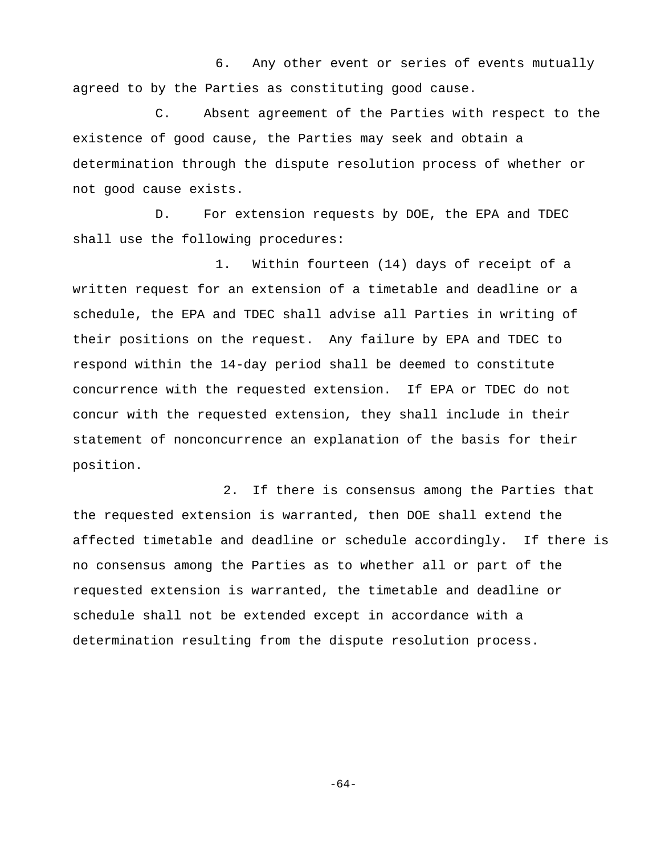6. Any other event or series of events mutually agreed to by the Parties as constituting good cause.

C. Absent agreement of the Parties with respect to the existence of good cause, the Parties may seek and obtain a determination through the dispute resolution process of whether or not good cause exists.

D. For extension requests by DOE, the EPA and TDEC shall use the following procedures:

1. Within fourteen (14) days of receipt of a written request for an extension of a timetable and deadline or a schedule, the EPA and TDEC shall advise all Parties in writing of their positions on the request. Any failure by EPA and TDEC to respond within the 14-day period shall be deemed to constitute concurrence with the requested extension. If EPA or TDEC do not concur with the requested extension, they shall include in their statement of nonconcurrence an explanation of the basis for their position.

2. If there is consensus among the Parties that the requested extension is warranted, then DOE shall extend the affected timetable and deadline or schedule accordingly. If there is no consensus among the Parties as to whether all or part of the requested extension is warranted, the timetable and deadline or schedule shall not be extended except in accordance with a determination resulting from the dispute resolution process.

-64-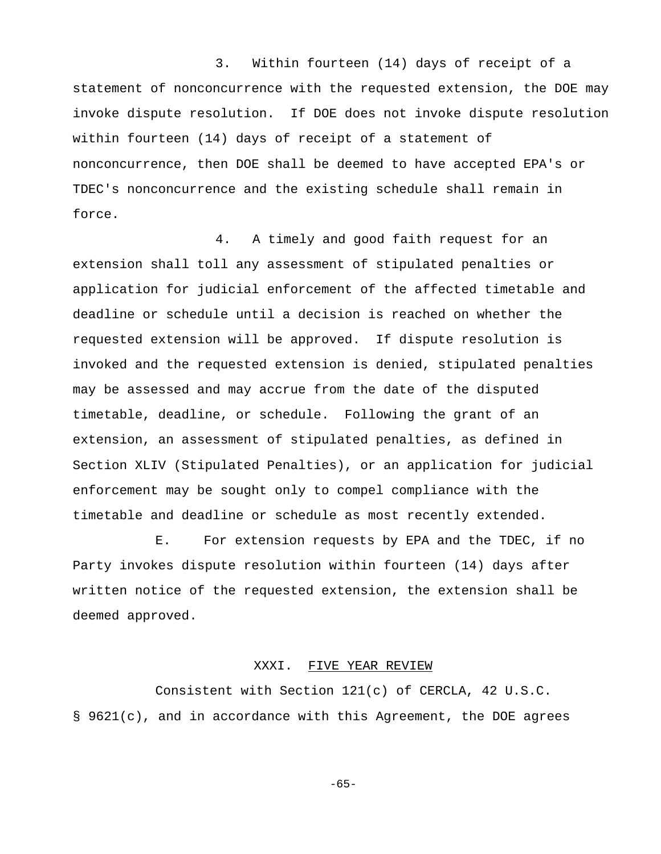3. Within fourteen (14) days of receipt of a statement of nonconcurrence with the requested extension, the DOE may invoke dispute resolution. If DOE does not invoke dispute resolution within fourteen (14) days of receipt of a statement of nonconcurrence, then DOE shall be deemed to have accepted EPA's or TDEC's nonconcurrence and the existing schedule shall remain in force.

4. A timely and good faith request for an extension shall toll any assessment of stipulated penalties or application for judicial enforcement of the affected timetable and deadline or schedule until a decision is reached on whether the requested extension will be approved. If dispute resolution is invoked and the requested extension is denied, stipulated penalties may be assessed and may accrue from the date of the disputed timetable, deadline, or schedule. Following the grant of an extension, an assessment of stipulated penalties, as defined in Section XLIV (Stipulated Penalties), or an application for judicial enforcement may be sought only to compel compliance with the timetable and deadline or schedule as most recently extended.

E. For extension requests by EPA and the TDEC, if no Party invokes dispute resolution within fourteen (14) days after written notice of the requested extension, the extension shall be deemed approved.

#### XXXI. FIVE YEAR REVIEW

Consistent with Section 121(c) of CERCLA, 42 U.S.C. § 9621(c), and in accordance with this Agreement, the DOE agrees

-65-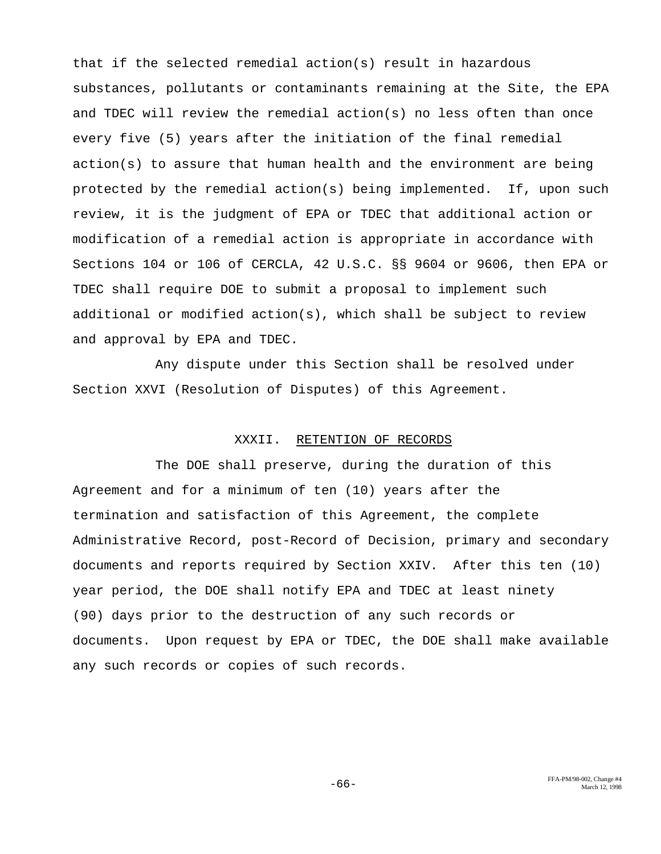that if the selected remedial action(s) result in hazardous substances, pollutants or contaminants remaining at the Site, the EPA and TDEC will review the remedial action(s) no less often than once every five (5) years after the initiation of the final remedial action(s) to assure that human health and the environment are being protected by the remedial action(s) being implemented. If, upon such review, it is the judgment of EPA or TDEC that additional action or modification of a remedial action is appropriate in accordance with Sections 104 or 106 of CERCLA, 42 U.S.C. §§ 9604 or 9606, then EPA or TDEC shall require DOE to submit a proposal to implement such additional or modified action(s), which shall be subject to review and approval by EPA and TDEC.

Any dispute under this Section shall be resolved under Section XXVI (Resolution of Disputes) of this Agreement.

#### XXXII. RETENTION OF RECORDS

The DOE shall preserve, during the duration of this Agreement and for a minimum of ten (10) years after the termination and satisfaction of this Agreement, the complete Administrative Record, post-Record of Decision, primary and secondary documents and reports required by Section XXIV. After this ten (10) year period, the DOE shall notify EPA and TDEC at least ninety (90) days prior to the destruction of any such records or documents. Upon request by EPA or TDEC, the DOE shall make available any such records or copies of such records.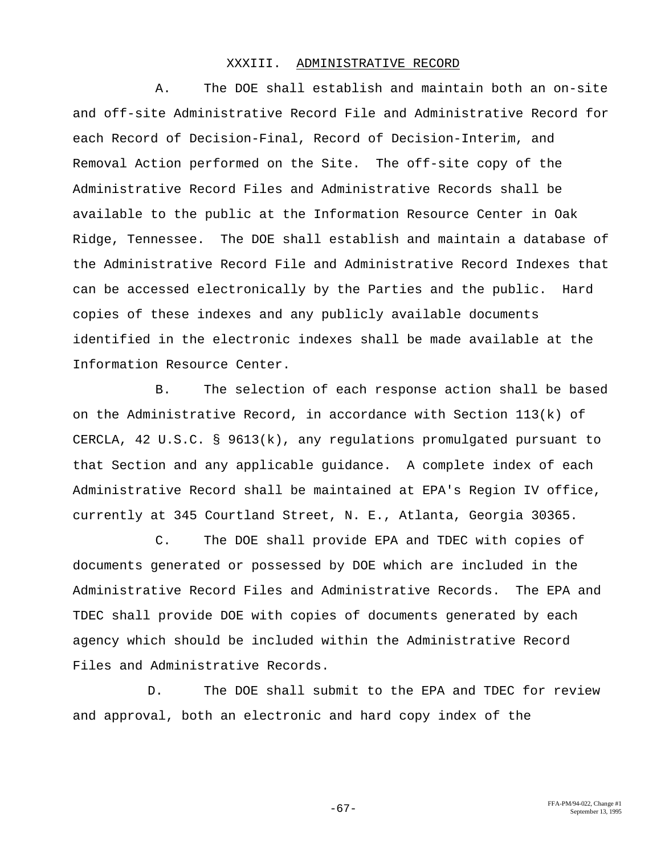#### XXXIII. ADMINISTRATIVE RECORD

A. The DOE shall establish and maintain both an on-site and off-site Administrative Record File and Administrative Record for each Record of Decision-Final, Record of Decision-Interim, and Removal Action performed on the Site. The off-site copy of the Administrative Record Files and Administrative Records shall be available to the public at the Information Resource Center in Oak Ridge, Tennessee. The DOE shall establish and maintain a database of the Administrative Record File and Administrative Record Indexes that can be accessed electronically by the Parties and the public. Hard copies of these indexes and any publicly available documents identified in the electronic indexes shall be made available at the Information Resource Center.

B. The selection of each response action shall be based on the Administrative Record, in accordance with Section 113(k) of CERCLA, 42 U.S.C. § 9613(k), any regulations promulgated pursuant to that Section and any applicable guidance. A complete index of each Administrative Record shall be maintained at EPA's Region IV office, currently at 345 Courtland Street, N. E., Atlanta, Georgia 30365.

C. The DOE shall provide EPA and TDEC with copies of documents generated or possessed by DOE which are included in the Administrative Record Files and Administrative Records. The EPA and TDEC shall provide DOE with copies of documents generated by each agency which should be included within the Administrative Record Files and Administrative Records.

D. The DOE shall submit to the EPA and TDEC for review and approval, both an electronic and hard copy index of the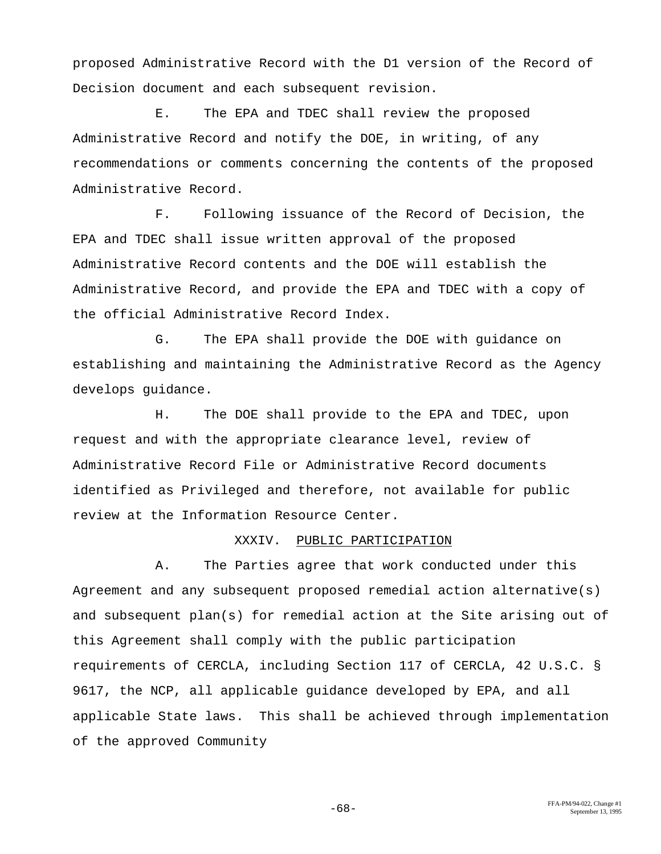proposed Administrative Record with the D1 version of the Record of Decision document and each subsequent revision.

E. The EPA and TDEC shall review the proposed Administrative Record and notify the DOE, in writing, of any recommendations or comments concerning the contents of the proposed Administrative Record.

F. Following issuance of the Record of Decision, the EPA and TDEC shall issue written approval of the proposed Administrative Record contents and the DOE will establish the Administrative Record, and provide the EPA and TDEC with a copy of the official Administrative Record Index.

G. The EPA shall provide the DOE with guidance on establishing and maintaining the Administrative Record as the Agency develops guidance.

H. The DOE shall provide to the EPA and TDEC, upon request and with the appropriate clearance level, review of Administrative Record File or Administrative Record documents identified as Privileged and therefore, not available for public review at the Information Resource Center.

# XXXIV. PUBLIC PARTICIPATION

A. The Parties agree that work conducted under this Agreement and any subsequent proposed remedial action alternative(s) and subsequent plan(s) for remedial action at the Site arising out of this Agreement shall comply with the public participation requirements of CERCLA, including Section 117 of CERCLA, 42 U.S.C. § 9617, the NCP, all applicable guidance developed by EPA, and all applicable State laws. This shall be achieved through implementation of the approved Community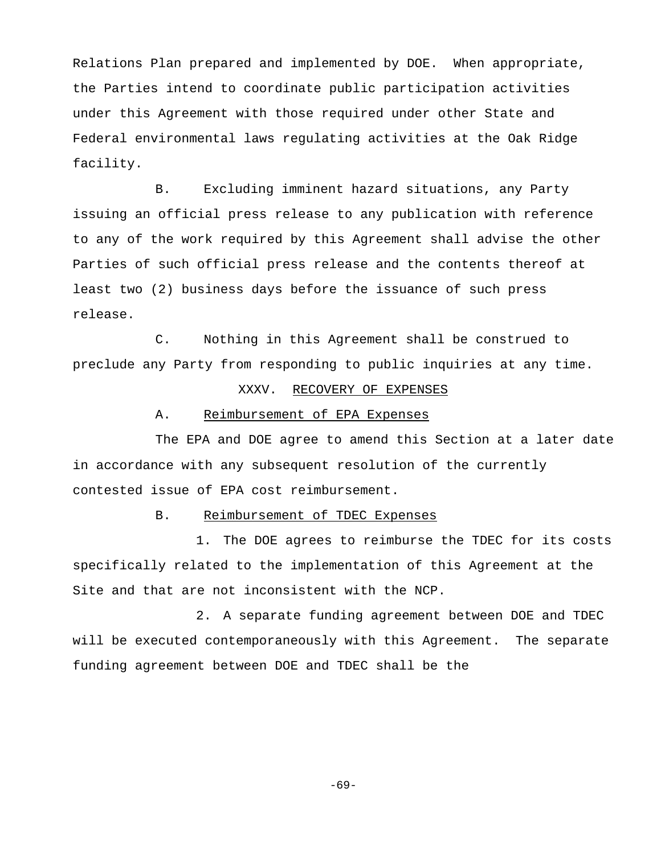Relations Plan prepared and implemented by DOE. When appropriate, the Parties intend to coordinate public participation activities under this Agreement with those required under other State and Federal environmental laws regulating activities at the Oak Ridge facility.

B. Excluding imminent hazard situations, any Party issuing an official press release to any publication with reference to any of the work required by this Agreement shall advise the other Parties of such official press release and the contents thereof at least two (2) business days before the issuance of such press release.

C. Nothing in this Agreement shall be construed to preclude any Party from responding to public inquiries at any time.

## XXXV. RECOVERY OF EXPENSES

#### A. Reimbursement of EPA Expenses

The EPA and DOE agree to amend this Section at a later date in accordance with any subsequent resolution of the currently contested issue of EPA cost reimbursement.

## B. Reimbursement of TDEC Expenses

1. The DOE agrees to reimburse the TDEC for its costs specifically related to the implementation of this Agreement at the Site and that are not inconsistent with the NCP.

2. A separate funding agreement between DOE and TDEC will be executed contemporaneously with this Agreement. The separate funding agreement between DOE and TDEC shall be the

-69-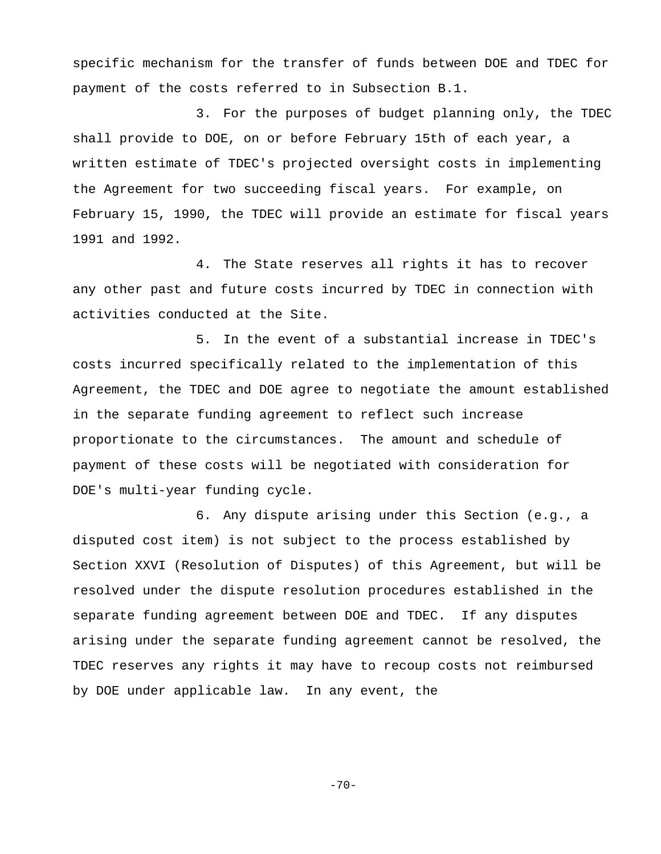specific mechanism for the transfer of funds between DOE and TDEC for payment of the costs referred to in Subsection B.1.

3. For the purposes of budget planning only, the TDEC shall provide to DOE, on or before February 15th of each year, a written estimate of TDEC's projected oversight costs in implementing the Agreement for two succeeding fiscal years. For example, on February 15, 1990, the TDEC will provide an estimate for fiscal years 1991 and 1992.

4. The State reserves all rights it has to recover any other past and future costs incurred by TDEC in connection with activities conducted at the Site.

5. In the event of a substantial increase in TDEC's costs incurred specifically related to the implementation of this Agreement, the TDEC and DOE agree to negotiate the amount established in the separate funding agreement to reflect such increase proportionate to the circumstances. The amount and schedule of payment of these costs will be negotiated with consideration for DOE's multi-year funding cycle.

6. Any dispute arising under this Section (e.g., a disputed cost item) is not subject to the process established by Section XXVI (Resolution of Disputes) of this Agreement, but will be resolved under the dispute resolution procedures established in the separate funding agreement between DOE and TDEC. If any disputes arising under the separate funding agreement cannot be resolved, the TDEC reserves any rights it may have to recoup costs not reimbursed by DOE under applicable law. In any event, the

 $-70-$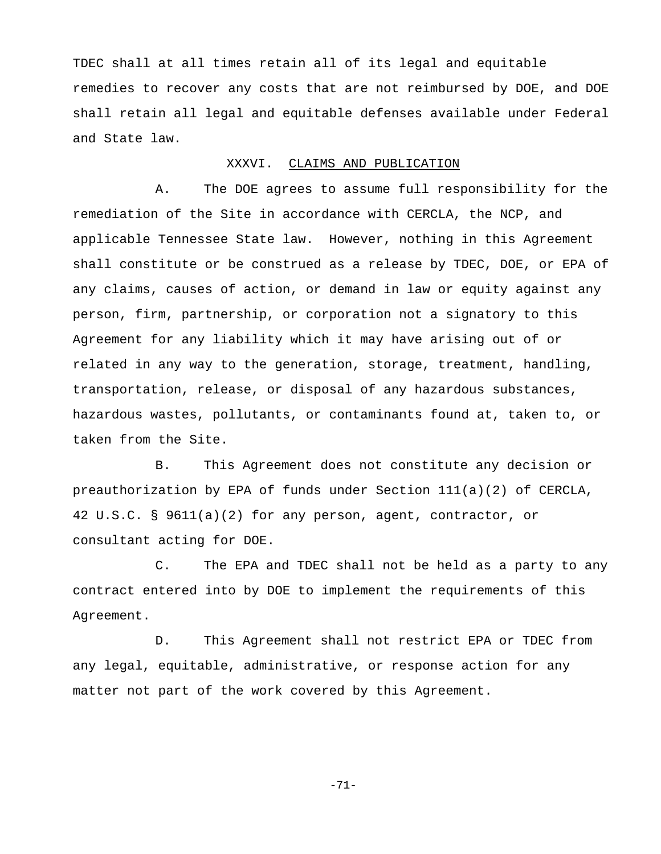TDEC shall at all times retain all of its legal and equitable remedies to recover any costs that are not reimbursed by DOE, and DOE shall retain all legal and equitable defenses available under Federal and State law.

## XXXVI. CLAIMS AND PUBLICATION

A. The DOE agrees to assume full responsibility for the remediation of the Site in accordance with CERCLA, the NCP, and applicable Tennessee State law. However, nothing in this Agreement shall constitute or be construed as a release by TDEC, DOE, or EPA of any claims, causes of action, or demand in law or equity against any person, firm, partnership, or corporation not a signatory to this Agreement for any liability which it may have arising out of or related in any way to the generation, storage, treatment, handling, transportation, release, or disposal of any hazardous substances, hazardous wastes, pollutants, or contaminants found at, taken to, or taken from the Site.

B. This Agreement does not constitute any decision or preauthorization by EPA of funds under Section 111(a)(2) of CERCLA, 42 U.S.C. § 9611(a)(2) for any person, agent, contractor, or consultant acting for DOE.

C. The EPA and TDEC shall not be held as a party to any contract entered into by DOE to implement the requirements of this Agreement.

D. This Agreement shall not restrict EPA or TDEC from any legal, equitable, administrative, or response action for any matter not part of the work covered by this Agreement.

-71-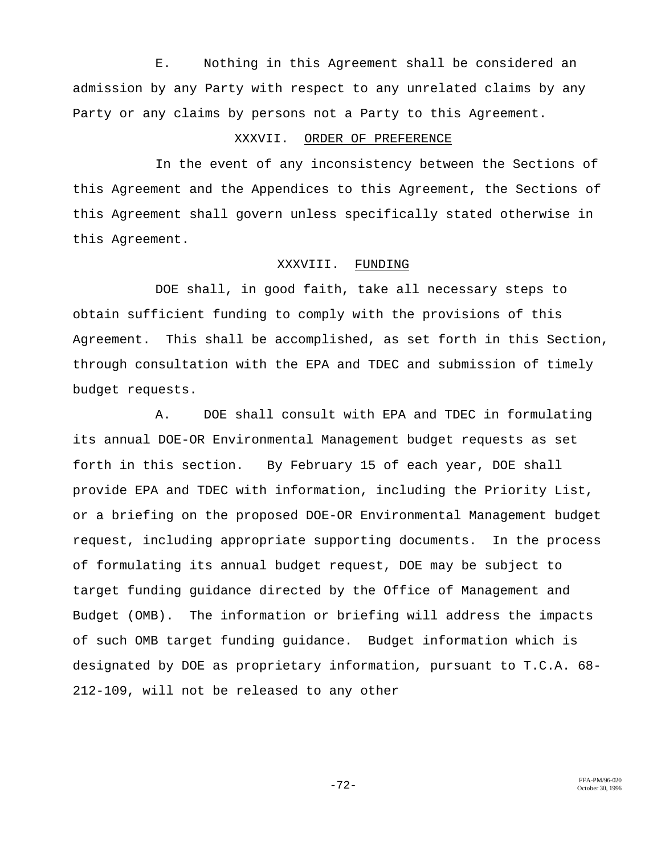E. Nothing in this Agreement shall be considered an admission by any Party with respect to any unrelated claims by any Party or any claims by persons not a Party to this Agreement.

# XXXVII. ORDER OF PREFERENCE

In the event of any inconsistency between the Sections of this Agreement and the Appendices to this Agreement, the Sections of this Agreement shall govern unless specifically stated otherwise in this Agreement.

## XXXVIII. FUNDING

DOE shall, in good faith, take all necessary steps to obtain sufficient funding to comply with the provisions of this Agreement. This shall be accomplished, as set forth in this Section, through consultation with the EPA and TDEC and submission of timely budget requests.

A. DOE shall consult with EPA and TDEC in formulating its annual DOE-OR Environmental Management budget requests as set forth in this section. By February 15 of each year, DOE shall provide EPA and TDEC with information, including the Priority List, or a briefing on the proposed DOE-OR Environmental Management budget request, including appropriate supporting documents. In the process of formulating its annual budget request, DOE may be subject to target funding guidance directed by the Office of Management and Budget (OMB). The information or briefing will address the impacts of such OMB target funding guidance. Budget information which is designated by DOE as proprietary information, pursuant to T.C.A. 68- 212-109, will not be released to any other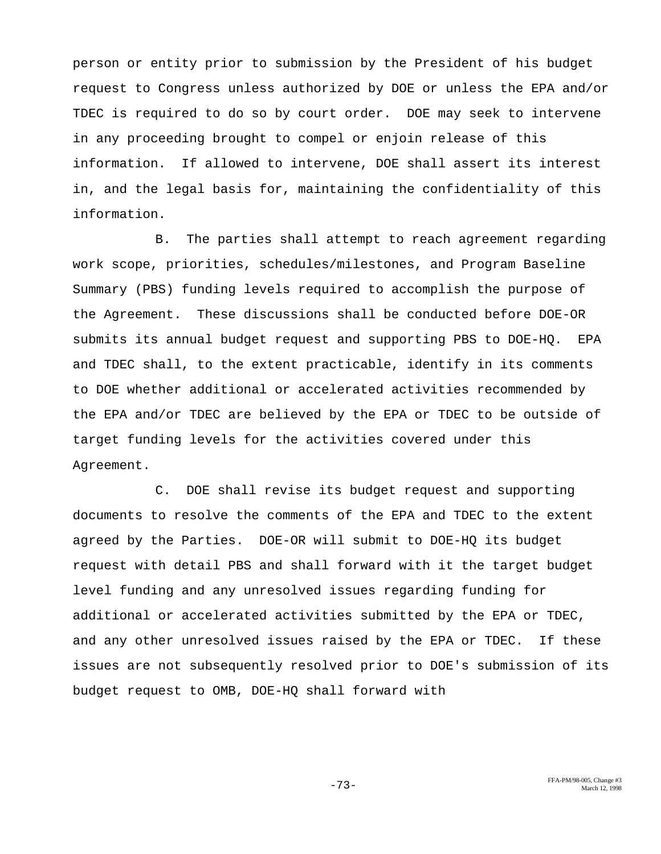person or entity prior to submission by the President of his budget request to Congress unless authorized by DOE or unless the EPA and/or TDEC is required to do so by court order. DOE may seek to intervene in any proceeding brought to compel or enjoin release of this information. If allowed to intervene, DOE shall assert its interest in, and the legal basis for, maintaining the confidentiality of this information.

B. The parties shall attempt to reach agreement regarding work scope, priorities, schedules/milestones, and Program Baseline Summary (PBS) funding levels required to accomplish the purpose of the Agreement. These discussions shall be conducted before DOE-OR submits its annual budget request and supporting PBS to DOE-HQ. EPA and TDEC shall, to the extent practicable, identify in its comments to DOE whether additional or accelerated activities recommended by the EPA and/or TDEC are believed by the EPA or TDEC to be outside of target funding levels for the activities covered under this Agreement.

C. DOE shall revise its budget request and supporting documents to resolve the comments of the EPA and TDEC to the extent agreed by the Parties. DOE-OR will submit to DOE-HQ its budget request with detail PBS and shall forward with it the target budget level funding and any unresolved issues regarding funding for additional or accelerated activities submitted by the EPA or TDEC, and any other unresolved issues raised by the EPA or TDEC. If these issues are not subsequently resolved prior to DOE's submission of its budget request to OMB, DOE-HQ shall forward with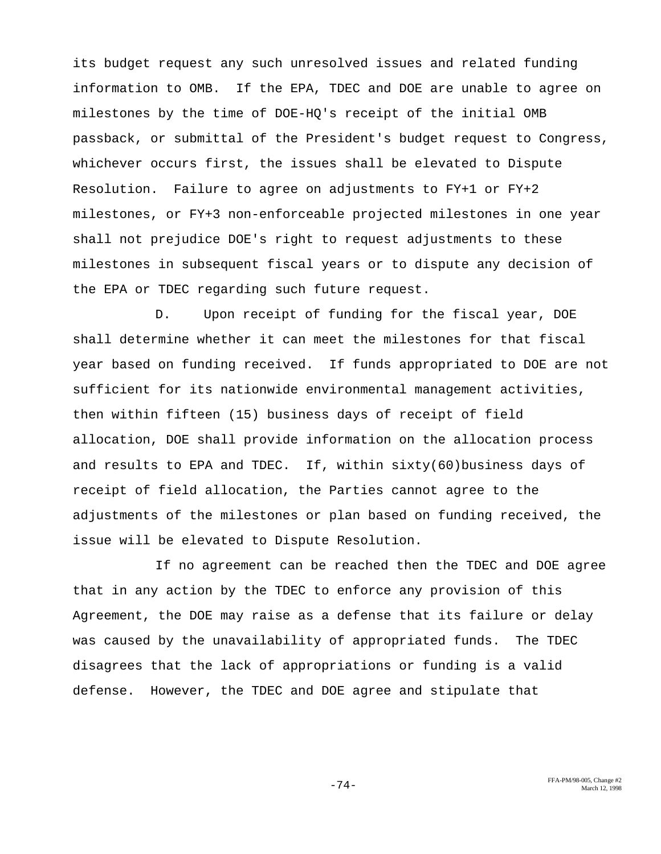its budget request any such unresolved issues and related funding information to OMB. If the EPA, TDEC and DOE are unable to agree on milestones by the time of DOE-HQ's receipt of the initial OMB passback, or submittal of the President's budget request to Congress, whichever occurs first, the issues shall be elevated to Dispute Resolution. Failure to agree on adjustments to FY+1 or FY+2 milestones, or FY+3 non-enforceable projected milestones in one year shall not prejudice DOE's right to request adjustments to these milestones in subsequent fiscal years or to dispute any decision of the EPA or TDEC regarding such future request.

D. Upon receipt of funding for the fiscal year, DOE shall determine whether it can meet the milestones for that fiscal year based on funding received. If funds appropriated to DOE are not sufficient for its nationwide environmental management activities, then within fifteen (15) business days of receipt of field allocation, DOE shall provide information on the allocation process and results to EPA and TDEC. If, within sixty(60)business days of receipt of field allocation, the Parties cannot agree to the adjustments of the milestones or plan based on funding received, the issue will be elevated to Dispute Resolution.

If no agreement can be reached then the TDEC and DOE agree that in any action by the TDEC to enforce any provision of this Agreement, the DOE may raise as a defense that its failure or delay was caused by the unavailability of appropriated funds. The TDEC disagrees that the lack of appropriations or funding is a valid defense. However, the TDEC and DOE agree and stipulate that

FFA-PM/98-005, Change #2 -74- March 12, 1998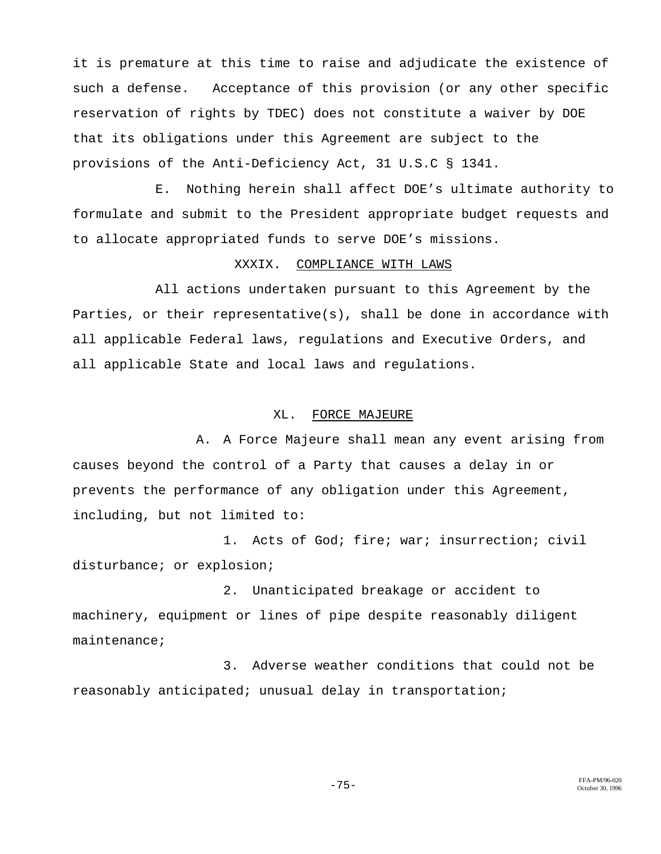it is premature at this time to raise and adjudicate the existence of such a defense. Acceptance of this provision (or any other specific reservation of rights by TDEC) does not constitute a waiver by DOE that its obligations under this Agreement are subject to the provisions of the Anti-Deficiency Act, 31 U.S.C § 1341.

E. Nothing herein shall affect DOE's ultimate authority to formulate and submit to the President appropriate budget requests and to allocate appropriated funds to serve DOE's missions.

#### XXXIX. COMPLIANCE WITH LAWS

All actions undertaken pursuant to this Agreement by the Parties, or their representative(s), shall be done in accordance with all applicable Federal laws, regulations and Executive Orders, and all applicable State and local laws and regulations.

# XL. FORCE MAJEURE

A. A Force Majeure shall mean any event arising from causes beyond the control of a Party that causes a delay in or prevents the performance of any obligation under this Agreement, including, but not limited to:

1. Acts of God; fire; war; insurrection; civil disturbance; or explosion;

2. Unanticipated breakage or accident to machinery, equipment or lines of pipe despite reasonably diligent maintenance;

3. Adverse weather conditions that could not be reasonably anticipated; unusual delay in transportation;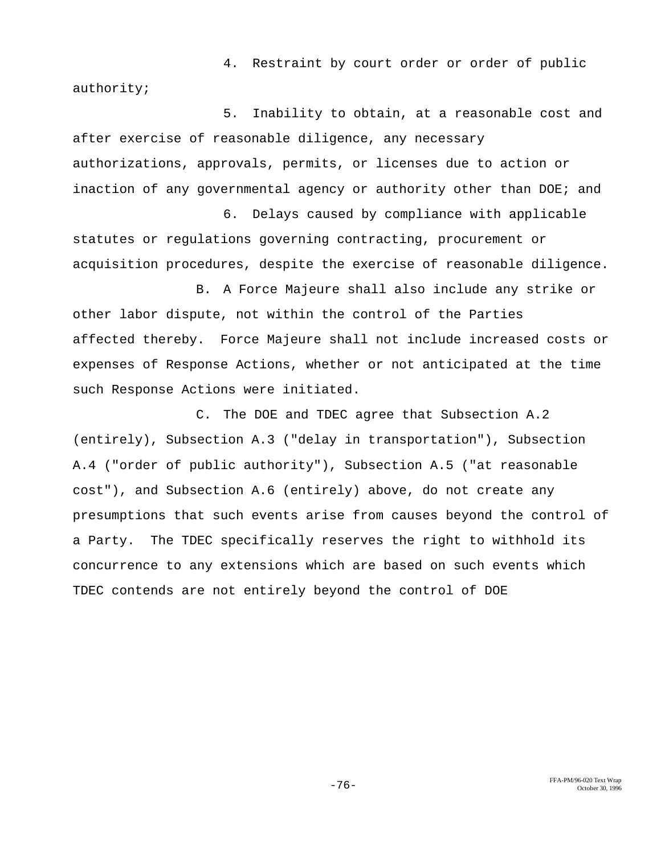4. Restraint by court order or order of public authority;

5. Inability to obtain, at a reasonable cost and after exercise of reasonable diligence, any necessary authorizations, approvals, permits, or licenses due to action or inaction of any governmental agency or authority other than DOE; and

6. Delays caused by compliance with applicable statutes or regulations governing contracting, procurement or acquisition procedures, despite the exercise of reasonable diligence.

B. A Force Majeure shall also include any strike or other labor dispute, not within the control of the Parties affected thereby. Force Majeure shall not include increased costs or expenses of Response Actions, whether or not anticipated at the time such Response Actions were initiated.

C. The DOE and TDEC agree that Subsection A.2 (entirely), Subsection A.3 ("delay in transportation"), Subsection A.4 ("order of public authority"), Subsection A.5 ("at reasonable cost"), and Subsection A.6 (entirely) above, do not create any presumptions that such events arise from causes beyond the control of a Party. The TDEC specifically reserves the right to withhold its concurrence to any extensions which are based on such events which TDEC contends are not entirely beyond the control of DOE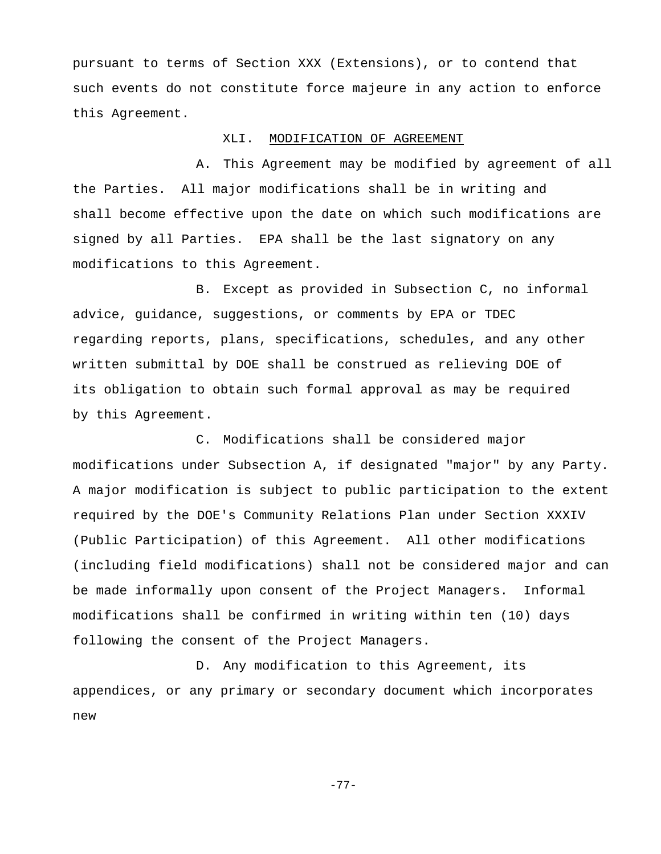pursuant to terms of Section XXX (Extensions), or to contend that such events do not constitute force majeure in any action to enforce this Agreement.

### XLI. MODIFICATION OF AGREEMENT

A. This Agreement may be modified by agreement of all the Parties. All major modifications shall be in writing and shall become effective upon the date on which such modifications are signed by all Parties. EPA shall be the last signatory on any modifications to this Agreement.

B. Except as provided in Subsection C, no informal advice, guidance, suggestions, or comments by EPA or TDEC regarding reports, plans, specifications, schedules, and any other written submittal by DOE shall be construed as relieving DOE of its obligation to obtain such formal approval as may be required by this Agreement.

C. Modifications shall be considered major modifications under Subsection A, if designated "major" by any Party. A major modification is subject to public participation to the extent required by the DOE's Community Relations Plan under Section XXXIV (Public Participation) of this Agreement. All other modifications (including field modifications) shall not be considered major and can be made informally upon consent of the Project Managers. Informal modifications shall be confirmed in writing within ten (10) days following the consent of the Project Managers.

D. Any modification to this Agreement, its appendices, or any primary or secondary document which incorporates new

-77-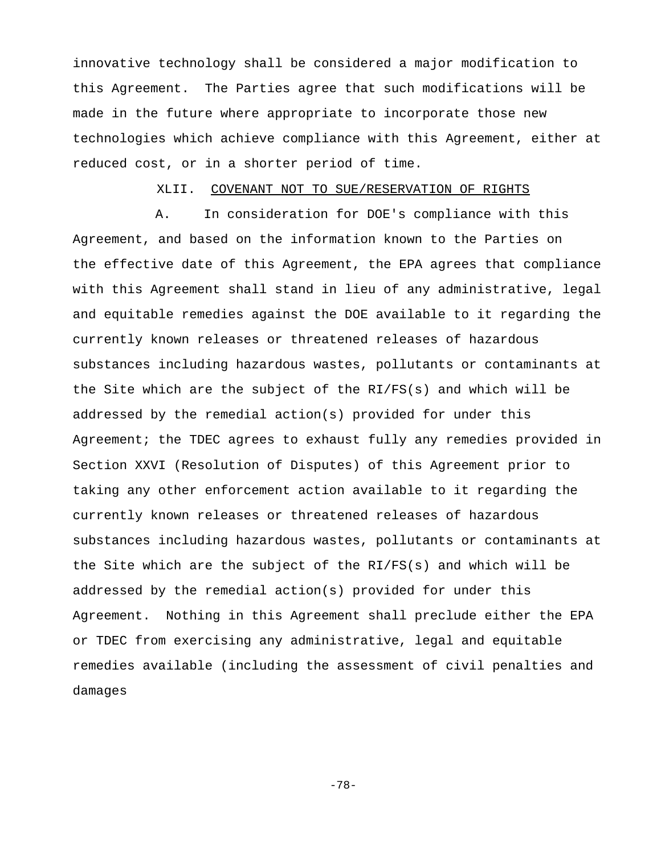innovative technology shall be considered a major modification to this Agreement. The Parties agree that such modifications will be made in the future where appropriate to incorporate those new technologies which achieve compliance with this Agreement, either at reduced cost, or in a shorter period of time.

# XLII. COVENANT NOT TO SUE/RESERVATION OF RIGHTS

A. In consideration for DOE's compliance with this Agreement, and based on the information known to the Parties on the effective date of this Agreement, the EPA agrees that compliance with this Agreement shall stand in lieu of any administrative, legal and equitable remedies against the DOE available to it regarding the currently known releases or threatened releases of hazardous substances including hazardous wastes, pollutants or contaminants at the Site which are the subject of the RI/FS(s) and which will be addressed by the remedial action(s) provided for under this Agreement; the TDEC agrees to exhaust fully any remedies provided in Section XXVI (Resolution of Disputes) of this Agreement prior to taking any other enforcement action available to it regarding the currently known releases or threatened releases of hazardous substances including hazardous wastes, pollutants or contaminants at the Site which are the subject of the RI/FS(s) and which will be addressed by the remedial action(s) provided for under this Agreement. Nothing in this Agreement shall preclude either the EPA or TDEC from exercising any administrative, legal and equitable remedies available (including the assessment of civil penalties and damages

-78-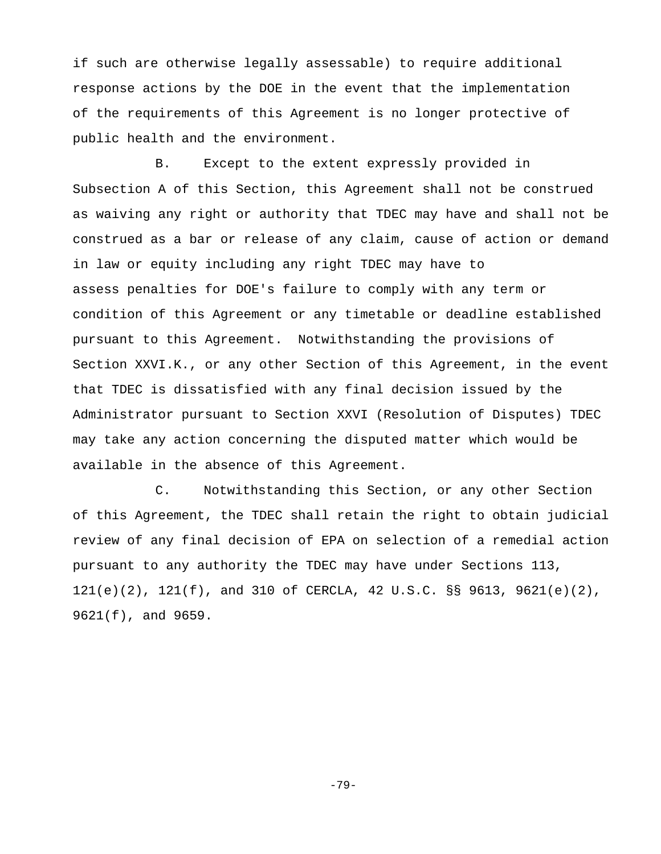if such are otherwise legally assessable) to require additional response actions by the DOE in the event that the implementation of the requirements of this Agreement is no longer protective of public health and the environment.

B. Except to the extent expressly provided in Subsection A of this Section, this Agreement shall not be construed as waiving any right or authority that TDEC may have and shall not be construed as a bar or release of any claim, cause of action or demand in law or equity including any right TDEC may have to assess penalties for DOE's failure to comply with any term or condition of this Agreement or any timetable or deadline established pursuant to this Agreement. Notwithstanding the provisions of Section XXVI.K., or any other Section of this Agreement, in the event that TDEC is dissatisfied with any final decision issued by the Administrator pursuant to Section XXVI (Resolution of Disputes) TDEC may take any action concerning the disputed matter which would be available in the absence of this Agreement.

C. Notwithstanding this Section, or any other Section of this Agreement, the TDEC shall retain the right to obtain judicial review of any final decision of EPA on selection of a remedial action pursuant to any authority the TDEC may have under Sections 113, 121(e)(2), 121(f), and 310 of CERCLA, 42 U.S.C. §§ 9613, 9621(e)(2), 9621(f), and 9659.

-79-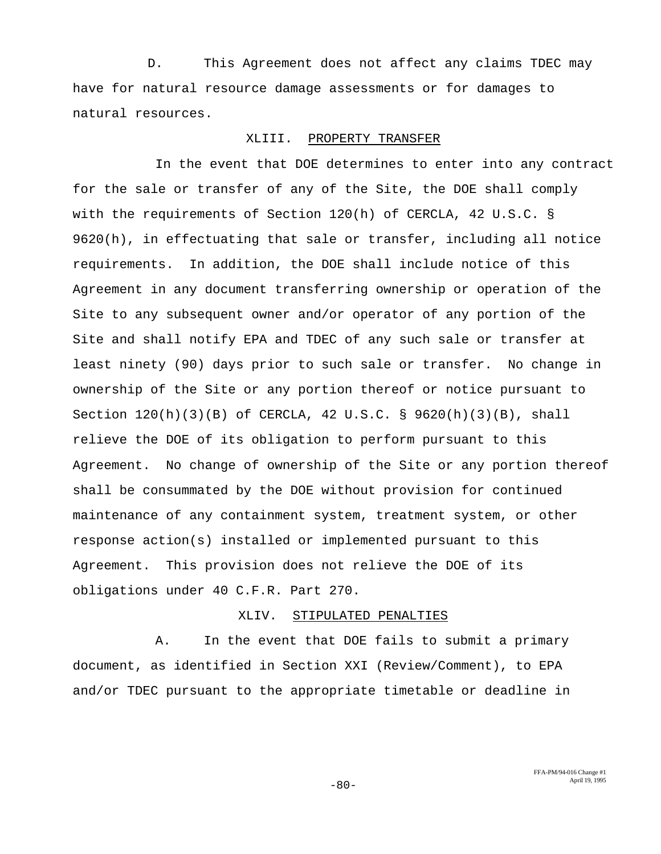D. This Agreement does not affect any claims TDEC may have for natural resource damage assessments or for damages to natural resources.

## XLIII. PROPERTY TRANSFER

In the event that DOE determines to enter into any contract for the sale or transfer of any of the Site, the DOE shall comply with the requirements of Section 120(h) of CERCLA, 42 U.S.C. § 9620(h), in effectuating that sale or transfer, including all notice requirements. In addition, the DOE shall include notice of this Agreement in any document transferring ownership or operation of the Site to any subsequent owner and/or operator of any portion of the Site and shall notify EPA and TDEC of any such sale or transfer at least ninety (90) days prior to such sale or transfer. No change in ownership of the Site or any portion thereof or notice pursuant to Section 120(h)(3)(B) of CERCLA, 42 U.S.C. § 9620(h)(3)(B), shall relieve the DOE of its obligation to perform pursuant to this Agreement. No change of ownership of the Site or any portion thereof shall be consummated by the DOE without provision for continued maintenance of any containment system, treatment system, or other response action(s) installed or implemented pursuant to this Agreement. This provision does not relieve the DOE of its obligations under 40 C.F.R. Part 270.

## XLIV. STIPULATED PENALTIES

A. In the event that DOE fails to submit a primary document, as identified in Section XXI (Review/Comment), to EPA and/or TDEC pursuant to the appropriate timetable or deadline in

> FFA-PM/94-016 Change #1  $-80-$  April 19, 1995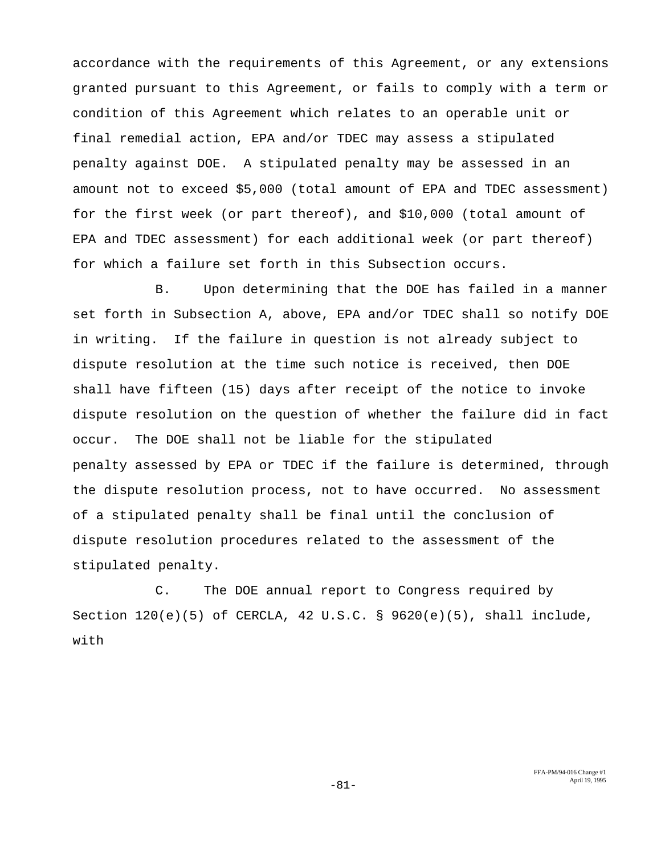accordance with the requirements of this Agreement, or any extensions granted pursuant to this Agreement, or fails to comply with a term or condition of this Agreement which relates to an operable unit or final remedial action, EPA and/or TDEC may assess a stipulated penalty against DOE. A stipulated penalty may be assessed in an amount not to exceed \$5,000 (total amount of EPA and TDEC assessment) for the first week (or part thereof), and \$10,000 (total amount of EPA and TDEC assessment) for each additional week (or part thereof) for which a failure set forth in this Subsection occurs.

B. Upon determining that the DOE has failed in a manner set forth in Subsection A, above, EPA and/or TDEC shall so notify DOE in writing. If the failure in question is not already subject to dispute resolution at the time such notice is received, then DOE shall have fifteen (15) days after receipt of the notice to invoke dispute resolution on the question of whether the failure did in fact occur. The DOE shall not be liable for the stipulated penalty assessed by EPA or TDEC if the failure is determined, through the dispute resolution process, not to have occurred. No assessment of a stipulated penalty shall be final until the conclusion of dispute resolution procedures related to the assessment of the stipulated penalty.

C. The DOE annual report to Congress required by Section  $120(e)(5)$  of CERCLA, 42 U.S.C. § 9620 $(e)(5)$ , shall include, with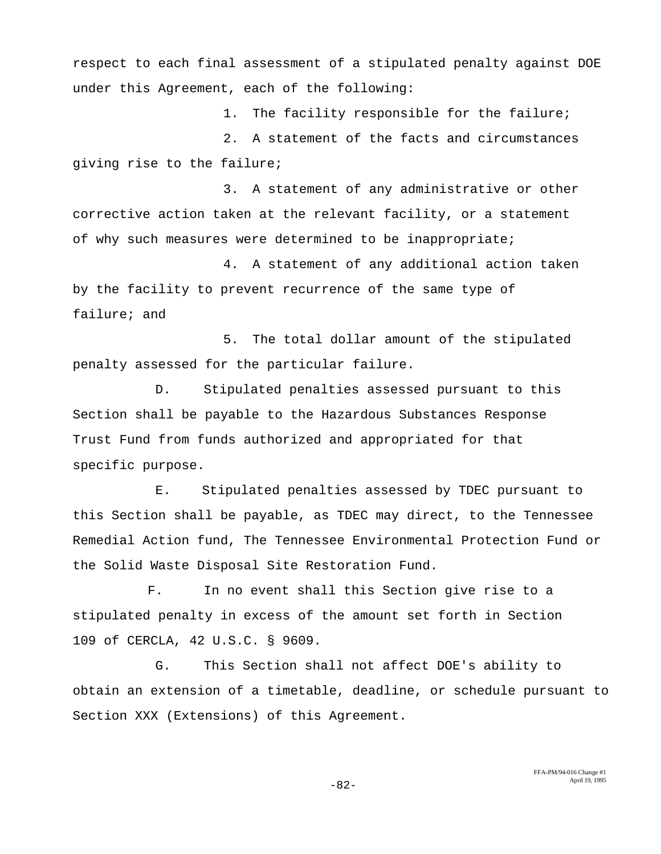respect to each final assessment of a stipulated penalty against DOE under this Agreement, each of the following:

1. The facility responsible for the failure;

2. A statement of the facts and circumstances giving rise to the failure;

3. A statement of any administrative or other corrective action taken at the relevant facility, or a statement of why such measures were determined to be inappropriate;

4. A statement of any additional action taken by the facility to prevent recurrence of the same type of failure; and

5. The total dollar amount of the stipulated penalty assessed for the particular failure.

D. Stipulated penalties assessed pursuant to this Section shall be payable to the Hazardous Substances Response Trust Fund from funds authorized and appropriated for that specific purpose.

E. Stipulated penalties assessed by TDEC pursuant to this Section shall be payable, as TDEC may direct, to the Tennessee Remedial Action fund, The Tennessee Environmental Protection Fund or the Solid Waste Disposal Site Restoration Fund.

 F. In no event shall this Section give rise to a stipulated penalty in excess of the amount set forth in Section 109 of CERCLA, 42 U.S.C. § 9609.

G. This Section shall not affect DOE's ability to obtain an extension of a timetable, deadline, or schedule pursuant to Section XXX (Extensions) of this Agreement.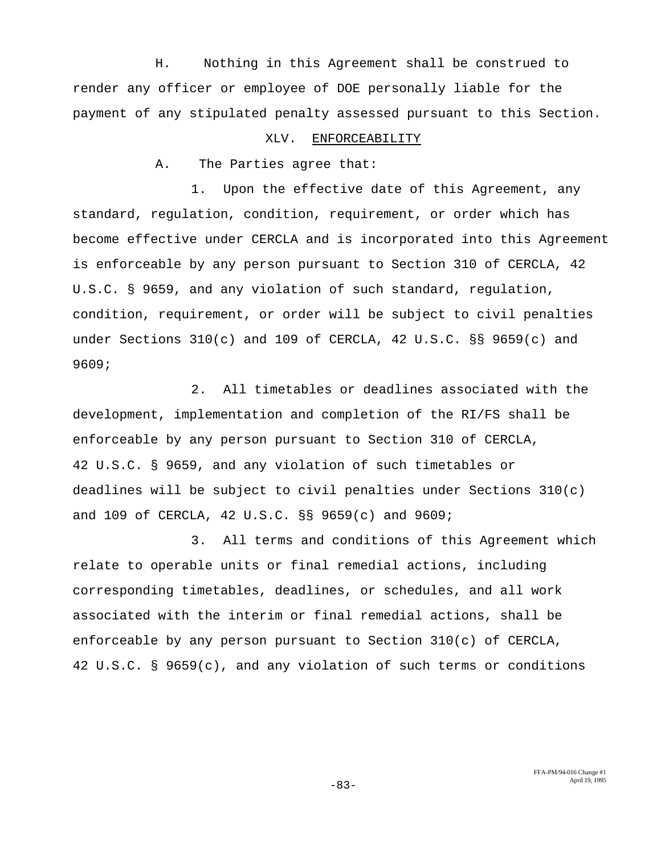H. Nothing in this Agreement shall be construed to render any officer or employee of DOE personally liable for the payment of any stipulated penalty assessed pursuant to this Section.

#### XLV. ENFORCEABILITY

A. The Parties agree that:

 1. Upon the effective date of this Agreement, any standard, regulation, condition, requirement, or order which has become effective under CERCLA and is incorporated into this Agreement is enforceable by any person pursuant to Section 310 of CERCLA, 42 U.S.C. § 9659, and any violation of such standard, regulation, condition, requirement, or order will be subject to civil penalties under Sections 310(c) and 109 of CERCLA, 42 U.S.C. §§ 9659(c) and 9609;

2. All timetables or deadlines associated with the development, implementation and completion of the RI/FS shall be enforceable by any person pursuant to Section 310 of CERCLA, 42 U.S.C. § 9659, and any violation of such timetables or deadlines will be subject to civil penalties under Sections 310(c) and 109 of CERCLA, 42 U.S.C. §§ 9659(c) and 9609;

3. All terms and conditions of this Agreement which relate to operable units or final remedial actions, including corresponding timetables, deadlines, or schedules, and all work associated with the interim or final remedial actions, shall be enforceable by any person pursuant to Section  $310(c)$  of CERCLA, 42 U.S.C. § 9659(c), and any violation of such terms or conditions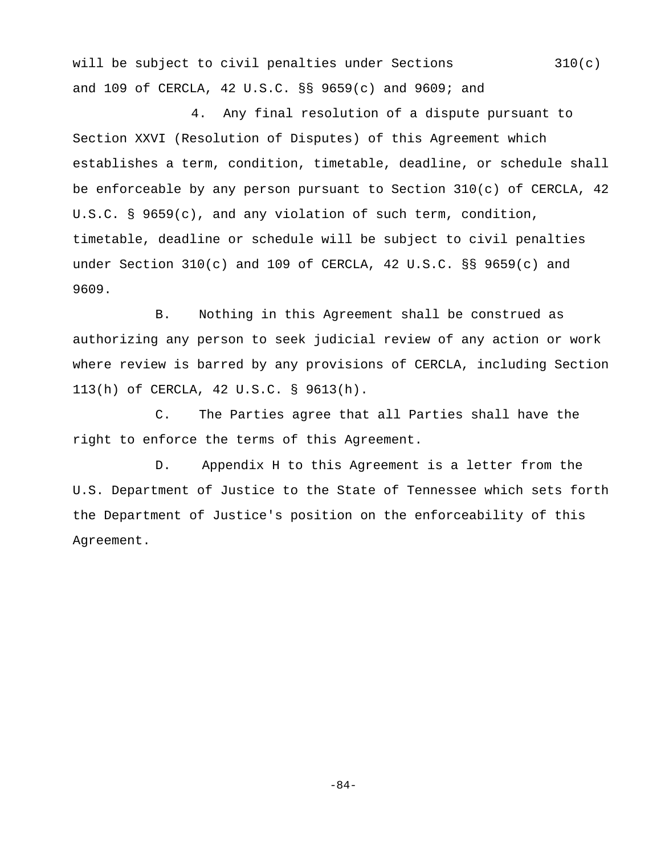will be subject to civil penalties under Sections 310(c) and 109 of CERCLA, 42 U.S.C. §§ 9659(c) and 9609; and

4. Any final resolution of a dispute pursuant to Section XXVI (Resolution of Disputes) of this Agreement which establishes a term, condition, timetable, deadline, or schedule shall be enforceable by any person pursuant to Section 310(c) of CERCLA, 42 U.S.C. § 9659(c), and any violation of such term, condition, timetable, deadline or schedule will be subject to civil penalties under Section  $310(c)$  and  $109$  of CERCLA, 42 U.S.C. §§ 9659(c) and 9609.

B. Nothing in this Agreement shall be construed as authorizing any person to seek judicial review of any action or work where review is barred by any provisions of CERCLA, including Section 113(h) of CERCLA, 42 U.S.C. § 9613(h).

C. The Parties agree that all Parties shall have the right to enforce the terms of this Agreement.

D. Appendix H to this Agreement is a letter from the U.S. Department of Justice to the State of Tennessee which sets forth the Department of Justice's position on the enforceability of this Agreement.

-84-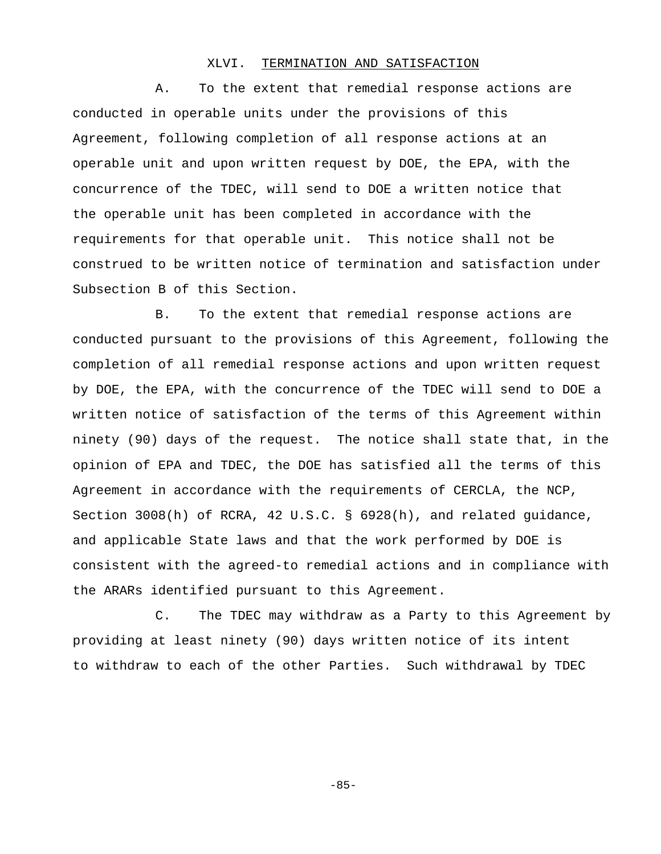## XLVI. TERMINATION AND SATISFACTION

A. To the extent that remedial response actions are conducted in operable units under the provisions of this Agreement, following completion of all response actions at an operable unit and upon written request by DOE, the EPA, with the concurrence of the TDEC, will send to DOE a written notice that the operable unit has been completed in accordance with the requirements for that operable unit. This notice shall not be construed to be written notice of termination and satisfaction under Subsection B of this Section.

B. To the extent that remedial response actions are conducted pursuant to the provisions of this Agreement, following the completion of all remedial response actions and upon written request by DOE, the EPA, with the concurrence of the TDEC will send to DOE a written notice of satisfaction of the terms of this Agreement within ninety (90) days of the request. The notice shall state that, in the opinion of EPA and TDEC, the DOE has satisfied all the terms of this Agreement in accordance with the requirements of CERCLA, the NCP, Section 3008(h) of RCRA, 42 U.S.C. § 6928(h), and related guidance, and applicable State laws and that the work performed by DOE is consistent with the agreed-to remedial actions and in compliance with the ARARs identified pursuant to this Agreement.

C. The TDEC may withdraw as a Party to this Agreement by providing at least ninety (90) days written notice of its intent to withdraw to each of the other Parties. Such withdrawal by TDEC

-85-